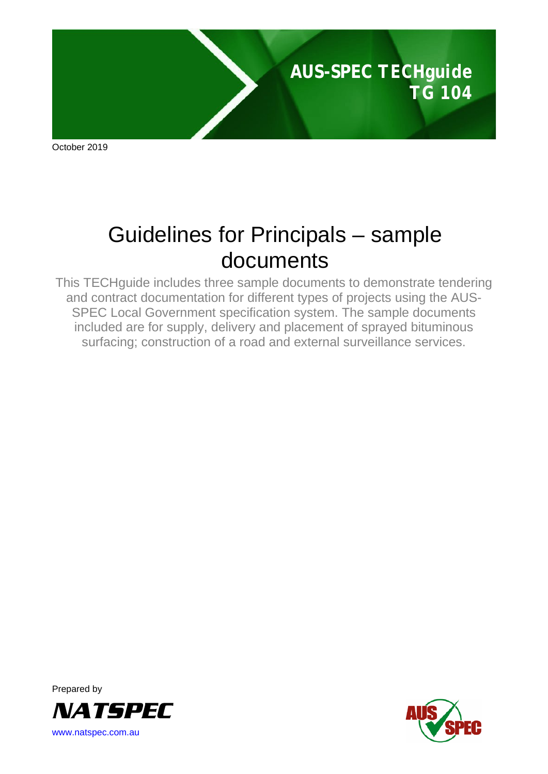

October 2019

# Guidelines for Principals – sample documents

This TECHguide includes three sample documents to demonstrate tendering and contract documentation for different types of projects using the AUS-SPEC Local Government specification system. The sample documents included are for supply, delivery and placement of sprayed bituminous surfacing; construction of a road and external surveillance services.



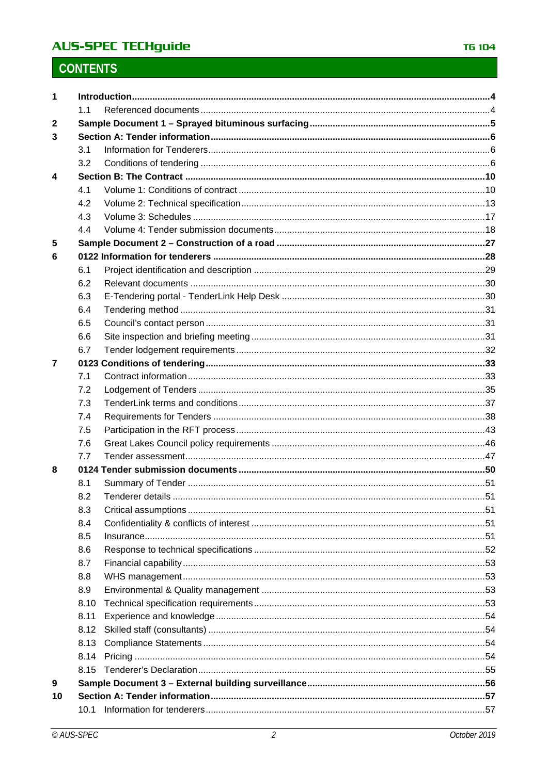# **AUS-SPEC TECHguide**

# **CONTENTS**

| 1            |             |  |  |
|--------------|-------------|--|--|
|              | 1.1         |  |  |
| $\mathbf{2}$ |             |  |  |
| 3            |             |  |  |
|              | 3.1         |  |  |
|              | 3.2         |  |  |
| 4            |             |  |  |
|              | 4.1         |  |  |
|              | 4.2         |  |  |
|              | 4.3         |  |  |
|              | 4.4         |  |  |
| 5            |             |  |  |
| 6            |             |  |  |
|              | 6.1         |  |  |
|              | 6.2         |  |  |
|              | 6.3         |  |  |
|              | 6.4         |  |  |
|              | 6.5         |  |  |
|              | 6.6         |  |  |
|              | 6.7         |  |  |
| 7            |             |  |  |
|              | 7.1         |  |  |
|              | 7.2         |  |  |
|              | 7.3         |  |  |
|              | 7.4         |  |  |
|              | 7.5         |  |  |
|              | 7.6         |  |  |
|              | 7.7         |  |  |
| 8            |             |  |  |
|              | 8.1         |  |  |
|              | 8.2         |  |  |
|              | 8.3         |  |  |
|              | 8.4         |  |  |
|              | 8.5         |  |  |
|              | 8.6         |  |  |
|              | 8.7         |  |  |
|              | 8.8         |  |  |
|              | 8.9<br>8.10 |  |  |
|              |             |  |  |
|              | 8.11        |  |  |
|              | 8.12        |  |  |
|              | 8.13        |  |  |
|              | 8.14        |  |  |
|              | 8.15        |  |  |
| 9<br>10      |             |  |  |
|              |             |  |  |
|              | 10.1        |  |  |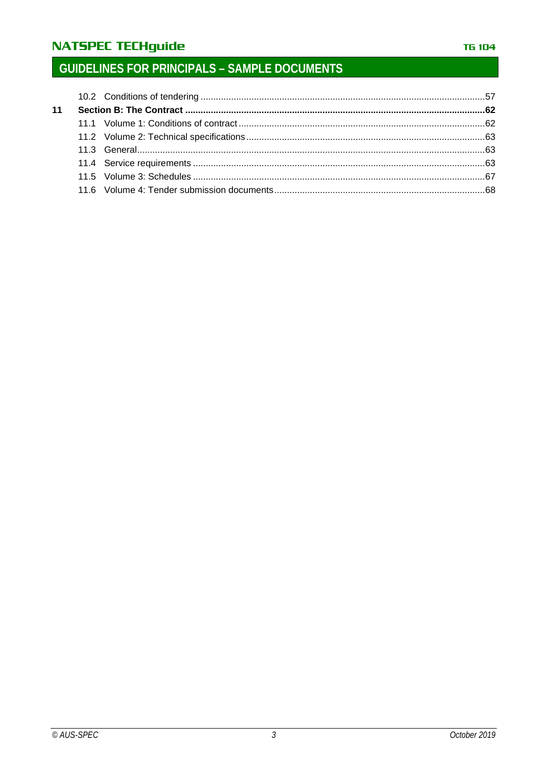# **NATSPEC TECHguide**

# **GUIDELINES FOR PRINCIPALS - SAMPLE DOCUMENTS**

| 11 |  |  |
|----|--|--|
|    |  |  |
|    |  |  |
|    |  |  |
|    |  |  |
|    |  |  |
|    |  |  |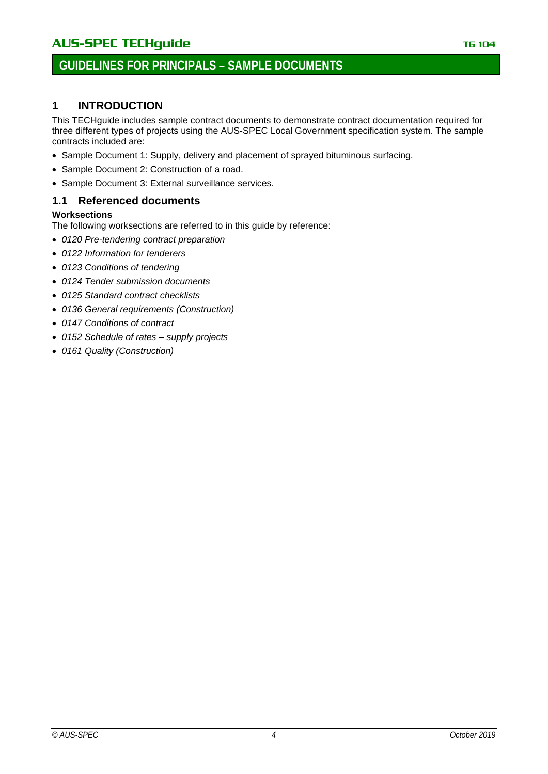# <span id="page-3-0"></span>**1 INTRODUCTION**

This TECHguide includes sample contract documents to demonstrate contract documentation required for three different types of projects using the AUS-SPEC Local Government specification system. The sample contracts included are:

- Sample Document 1: Supply, delivery and placement of sprayed bituminous surfacing.
- Sample Document 2: Construction of a road.
- Sample Document 3: External surveillance services.

### <span id="page-3-1"></span>**1.1 Referenced documents**

### **Worksections**

The following worksections are referred to in this guide by reference:

- *0120 Pre-tendering contract preparation*
- *0122 Information for tenderers*
- *0123 Conditions of tendering*
- *0124 Tender submission documents*
- *0125 Standard contract checklists*
- *0136 General requirements (Construction)*
- *0147 Conditions of contract*
- *0152 Schedule of rates – supply projects*
- *0161 Quality (Construction)*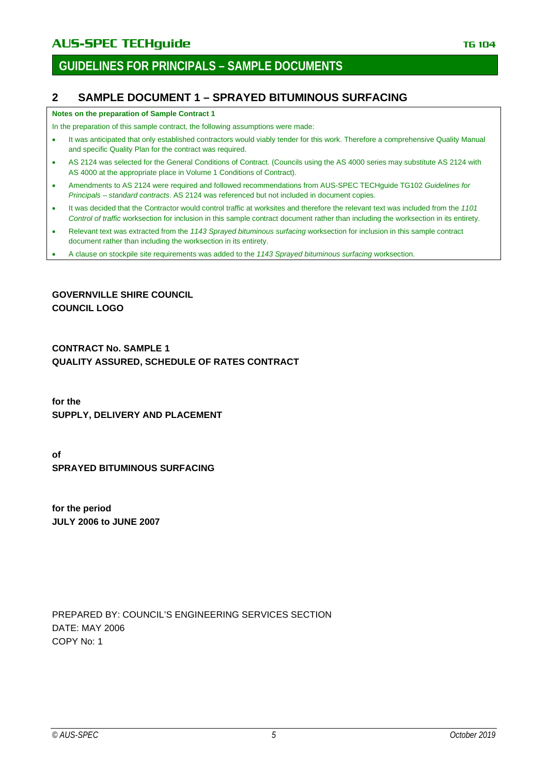### <span id="page-4-0"></span>**2 SAMPLE DOCUMENT 1 – SPRAYED BITUMINOUS SURFACING**

#### **Notes on the preparation of Sample Contract 1**

In the preparation of this sample contract, the following assumptions were made:

- It was anticipated that only established contractors would viably tender for this work. Therefore a comprehensive Quality Manual and specific Quality Plan for the contract was required.
- AS 2124 was selected for the General Conditions of Contract. (Councils using the AS 4000 series may substitute AS 2124 with AS 4000 at the appropriate place in Volume 1 Conditions of Contract).
- Amendments to AS 2124 were required and followed recommendations from AUS-SPEC TECHguide TG102 *Guidelines for Principals – standard contracts*. AS 2124 was referenced but not included in document copies.
- It was decided that the Contractor would control traffic at worksites and therefore the relevant text was included from the *1101 Control of traffic* worksection for inclusion in this sample contract document rather than including the worksection in its entirety.
- Relevant text was extracted from the *1143 Sprayed bituminous surfacing* worksection for inclusion in this sample contract document rather than including the worksection in its entirety.
- A clause on stockpile site requirements was added to the *1143 Sprayed bituminous surfacing* worksection.

**GOVERNVILLE SHIRE COUNCIL COUNCIL LOGO**

**CONTRACT No. SAMPLE 1 QUALITY ASSURED, SCHEDULE OF RATES CONTRACT**

**for the SUPPLY, DELIVERY AND PLACEMENT**

**of SPRAYED BITUMINOUS SURFACING**

**for the period JULY 2006 to JUNE 2007**

PREPARED BY: COUNCIL'S ENGINEERING SERVICES SECTION DATE: MAY 2006 COPY No: 1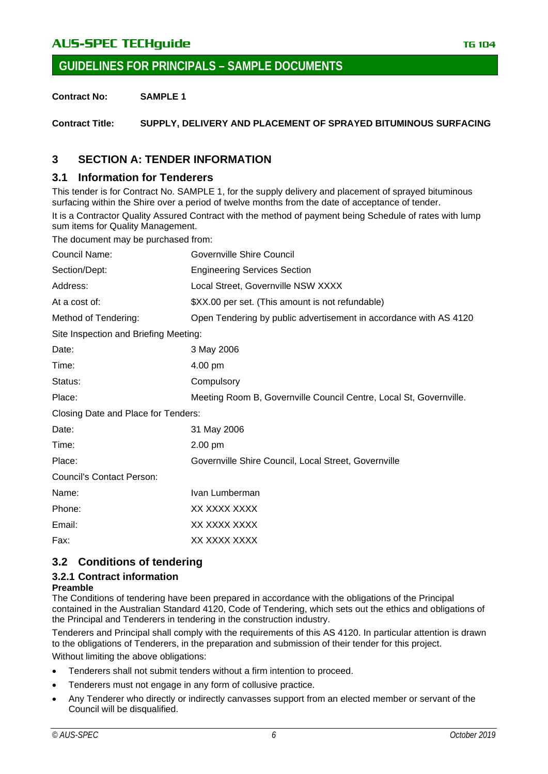# AU**S-SPEC TECHguide** The Contract of the Contract of The Contract of The Contract of The Contract of The Contract of The Contract of The Contract of The Contract of The Contract of The Contract of The Contract of The Contr

**GUIDELINES FOR PRINCIPALS – SAMPLE DOCUMENTS**

**Contract No: SAMPLE 1**

**Contract Title: SUPPLY, DELIVERY AND PLACEMENT OF SPRAYED BITUMINOUS SURFACING**

### <span id="page-5-0"></span>**3 SECTION A: TENDER INFORMATION**

### <span id="page-5-1"></span>**3.1 Information for Tenderers**

This tender is for Contract No. SAMPLE 1, for the supply delivery and placement of sprayed bituminous surfacing within the Shire over a period of twelve months from the date of acceptance of tender.

It is a Contractor Quality Assured Contract with the method of payment being Schedule of rates with lump sum items for Quality Management.

The document may be purchased from:

| Council Name:                         | Governville Shire Council                                          |
|---------------------------------------|--------------------------------------------------------------------|
| Section/Dept:                         | <b>Engineering Services Section</b>                                |
| Address:                              | Local Street, Governville NSW XXXX                                 |
| At a cost of:                         | \$XX.00 per set. (This amount is not refundable)                   |
| Method of Tendering:                  | Open Tendering by public advertisement in accordance with AS 4120  |
| Site Inspection and Briefing Meeting: |                                                                    |
| Date:                                 | 3 May 2006                                                         |
| Time:                                 | 4.00 pm                                                            |
| Status:                               | Compulsory                                                         |
| Place:                                | Meeting Room B, Governville Council Centre, Local St, Governville. |
| Closing Date and Place for Tenders:   |                                                                    |
| Date:                                 | 31 May 2006                                                        |
| Time:                                 | 2.00 pm                                                            |
| Place:                                | Governville Shire Council, Local Street, Governville               |
| <b>Council's Contact Person:</b>      |                                                                    |
| Name:                                 | Ivan Lumberman                                                     |
| Phone:                                | XX XXXX XXXX                                                       |
| Email:                                | XX XXXX XXXX                                                       |
| Fax:                                  | XX XXXX XXXX                                                       |
|                                       |                                                                    |

### <span id="page-5-2"></span>**3.2 Conditions of tendering**

### <span id="page-5-3"></span>**3.2.1 Contract information**

#### **Preamble**

The Conditions of tendering have been prepared in accordance with the obligations of the Principal contained in the Australian Standard 4120, Code of Tendering, which sets out the ethics and obligations of the Principal and Tenderers in tendering in the construction industry.

Tenderers and Principal shall comply with the requirements of this AS 4120. In particular attention is drawn to the obligations of Tenderers, in the preparation and submission of their tender for this project. Without limiting the above obligations:

• Tenderers shall not submit tenders without a firm intention to proceed.

- Tenderers must not engage in any form of collusive practice.
- Any Tenderer who directly or indirectly canvasses support from an elected member or servant of the Council will be disqualified.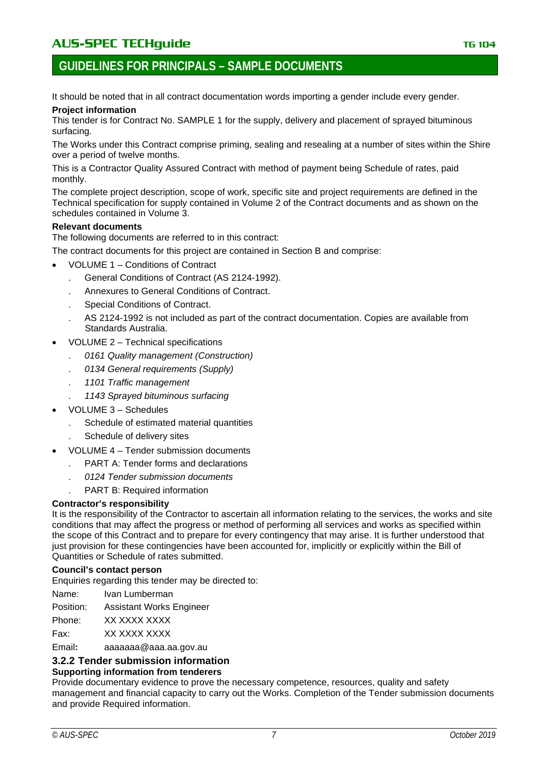### **GUIDELINES FOR PRINCIPALS – SAMPLE DOCUMENTS**

It should be noted that in all contract documentation words importing a gender include every gender. **Project information**

#### This tender is for Contract No. SAMPLE 1 for the supply, delivery and placement of sprayed bituminous surfacing.

The Works under this Contract comprise priming, sealing and resealing at a number of sites within the Shire over a period of twelve months.

This is a Contractor Quality Assured Contract with method of payment being Schedule of rates, paid monthly.

The complete project description, scope of work, specific site and project requirements are defined in the Technical specification for supply contained in Volume 2 of the Contract documents and as shown on the schedules contained in Volume 3.

#### **Relevant documents**

The following documents are referred to in this contract:

The contract documents for this project are contained in Section B and comprise:

- VOLUME 1 Conditions of Contract
	- . General Conditions of Contract (AS 2124-1992).
	- . Annexures to General Conditions of Contract.
	- . Special Conditions of Contract.
	- . AS 2124-1992 is not included as part of the contract documentation. Copies are available from Standards Australia.
- VOLUME 2 Technical specifications
	- . *0161 Quality management (Construction)*
	- . *0134 General requirements (Supply)*
	- . *1101 Traffic management*
	- . *1143 Sprayed bituminous surfacing*
- VOLUME 3 Schedules
	- Schedule of estimated material quantities
	- . Schedule of delivery sites
- VOLUME 4 Tender submission documents
	- . PART A: Tender forms and declarations
		- . *0124 Tender submission documents*
		- . PART B: Required information

#### **Contractor's responsibility**

It is the responsibility of the Contractor to ascertain all information relating to the services, the works and site conditions that may affect the progress or method of performing all services and works as specified within the scope of this Contract and to prepare for every contingency that may arise. It is further understood that just provision for these contingencies have been accounted for, implicitly or explicitly within the Bill of Quantities or Schedule of rates submitted.

#### **Council's contact person**

Enquiries regarding this tender may be directed to:

Name: Ivan Lumberman

Position: Assistant Works Engineer

Phone: XX XXXX XXXX

Fax: XX XXXX XXXX

Email**:** aaaaaaa@aaa.aa.gov.au

#### <span id="page-6-0"></span>**3.2.2 Tender submission information**

### **Supporting information from tenderers**

Provide documentary evidence to prove the necessary competence, resources, quality and safety management and financial capacity to carry out the Works. Completion of the Tender submission documents and provide Required information.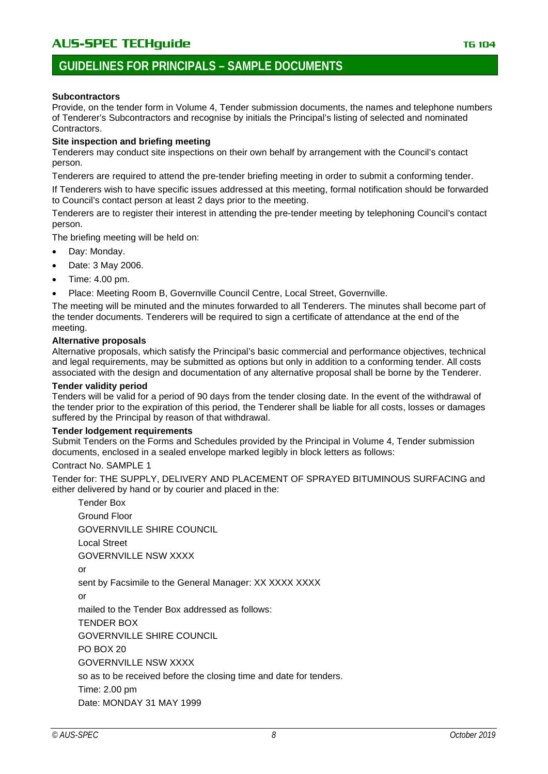### **GUIDELINES FOR PRINCIPALS – SAMPLE DOCUMENTS**

#### **Subcontractors**

Provide, on the tender form in Volume 4, Tender submission documents, the names and telephone numbers of Tenderer's Subcontractors and recognise by initials the Principal's listing of selected and nominated Contractors.

#### **Site inspection and briefing meeting**

Tenderers may conduct site inspections on their own behalf by arrangement with the Council's contact person.

Tenderers are required to attend the pre-tender briefing meeting in order to submit a conforming tender.

If Tenderers wish to have specific issues addressed at this meeting, formal notification should be forwarded to Council's contact person at least 2 days prior to the meeting.

Tenderers are to register their interest in attending the pre-tender meeting by telephoning Council's contact person.

The briefing meeting will be held on:

- Day: Monday.
- Date: 3 May 2006.
- Time: 4.00 pm.
- Place: Meeting Room B, Governville Council Centre, Local Street, Governville.

The meeting will be minuted and the minutes forwarded to all Tenderers. The minutes shall become part of the tender documents. Tenderers will be required to sign a certificate of attendance at the end of the meeting.

#### **Alternative proposals**

Alternative proposals, which satisfy the Principal's basic commercial and performance objectives, technical and legal requirements, may be submitted as options but only in addition to a conforming tender. All costs associated with the design and documentation of any alternative proposal shall be borne by the Tenderer.

#### **Tender validity period**

Tenders will be valid for a period of 90 days from the tender closing date. In the event of the withdrawal of the tender prior to the expiration of this period, the Tenderer shall be liable for all costs, losses or damages suffered by the Principal by reason of that withdrawal.

#### **Tender lodgement requirements**

Submit Tenders on the Forms and Schedules provided by the Principal in Volume 4, Tender submission documents, enclosed in a sealed envelope marked legibly in block letters as follows:

#### Contract No. SAMPLE 1

Tender for: THE SUPPLY, DELIVERY AND PLACEMENT OF SPRAYED BITUMINOUS SURFACING and either delivered by hand or by courier and placed in the:

Tender Box Ground Floor GOVERNVILLE SHIRE COUNCIL Local Street GOVERNVILLE NSW XXXX or sent by Facsimile to the General Manager: XX XXXX XXXX or mailed to the Tender Box addressed as follows: TENDER BOX GOVERNVILLE SHIRE COUNCIL PO BOX 20 GOVERNVILLE NSW XXXX so as to be received before the closing time and date for tenders. Time: 2.00 pm Date: MONDAY 31 MAY 1999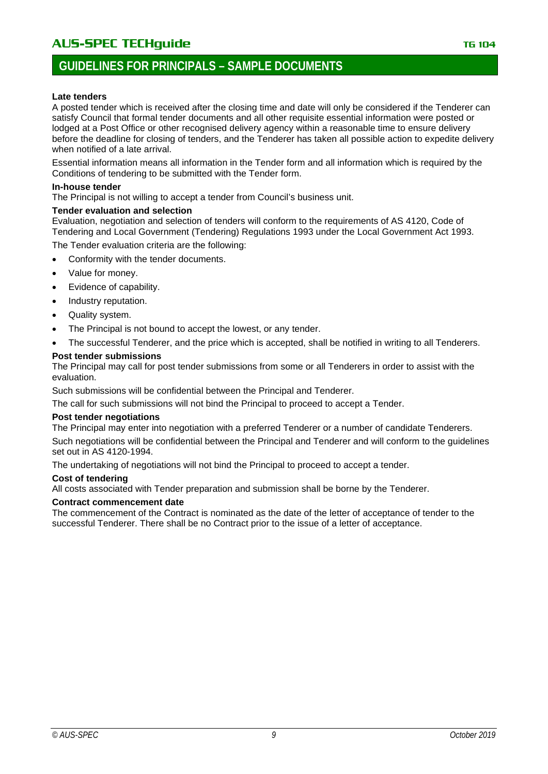# **GUIDELINES FOR PRINCIPALS – SAMPLE DOCUMENTS**

#### **Late tenders**

A posted tender which is received after the closing time and date will only be considered if the Tenderer can satisfy Council that formal tender documents and all other requisite essential information were posted or lodged at a Post Office or other recognised delivery agency within a reasonable time to ensure delivery before the deadline for closing of tenders, and the Tenderer has taken all possible action to expedite delivery when notified of a late arrival.

Essential information means all information in the Tender form and all information which is required by the Conditions of tendering to be submitted with the Tender form.

#### **In-house tender**

The Principal is not willing to accept a tender from Council's business unit.

#### **Tender evaluation and selection**

Evaluation, negotiation and selection of tenders will conform to the requirements of AS 4120, Code of Tendering and Local Government (Tendering) Regulations 1993 under the Local Government Act 1993. The Tender evaluation criteria are the following:

- Conformity with the tender documents.
- Value for money.
- Evidence of capability.
- Industry reputation.
- Quality system.
- The Principal is not bound to accept the lowest, or any tender.
- The successful Tenderer, and the price which is accepted, shall be notified in writing to all Tenderers.

#### **Post tender submissions**

The Principal may call for post tender submissions from some or all Tenderers in order to assist with the evaluation.

Such submissions will be confidential between the Principal and Tenderer.

The call for such submissions will not bind the Principal to proceed to accept a Tender.

#### **Post tender negotiations**

The Principal may enter into negotiation with a preferred Tenderer or a number of candidate Tenderers.

Such negotiations will be confidential between the Principal and Tenderer and will conform to the guidelines set out in AS 4120-1994.

The undertaking of negotiations will not bind the Principal to proceed to accept a tender.

#### **Cost of tendering**

All costs associated with Tender preparation and submission shall be borne by the Tenderer.

#### **Contract commencement date**

The commencement of the Contract is nominated as the date of the letter of acceptance of tender to the successful Tenderer. There shall be no Contract prior to the issue of a letter of acceptance.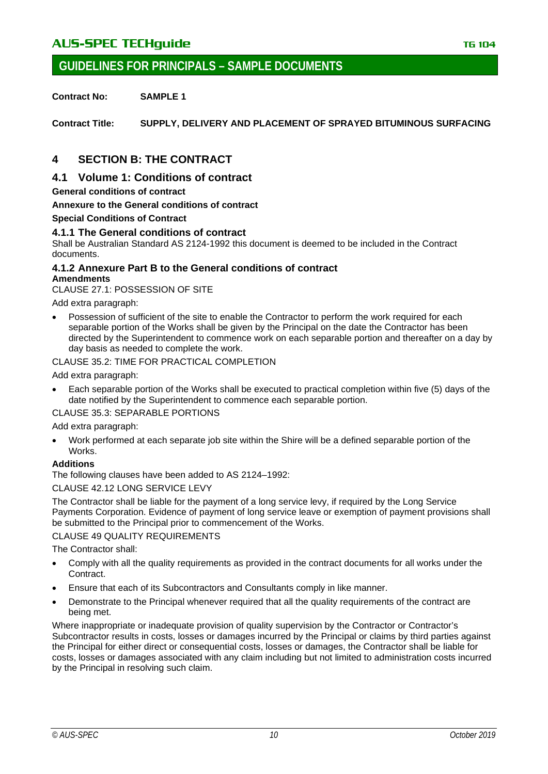### **GUIDELINES FOR PRINCIPALS – SAMPLE DOCUMENTS**

**Contract No: SAMPLE 1**

**Contract Title: SUPPLY, DELIVERY AND PLACEMENT OF SPRAYED BITUMINOUS SURFACING**

### <span id="page-9-0"></span>**4 SECTION B: THE CONTRACT**

### <span id="page-9-1"></span>**4.1 Volume 1: Conditions of contract**

**General conditions of contract**

**Annexure to the General conditions of contract**

#### **Special Conditions of Contract**

#### <span id="page-9-2"></span>**4.1.1 The General conditions of contract**

Shall be Australian Standard AS 2124-1992 this document is deemed to be included in the Contract documents.

#### <span id="page-9-3"></span>**4.1.2 Annexure Part B to the General conditions of contract Amendments**

CLAUSE 27.1: POSSESSION OF SITE

Add extra paragraph:

• Possession of sufficient of the site to enable the Contractor to perform the work required for each separable portion of the Works shall be given by the Principal on the date the Contractor has been directed by the Superintendent to commence work on each separable portion and thereafter on a day by day basis as needed to complete the work.

CLAUSE 35.2: TIME FOR PRACTICAL COMPLETION

Add extra paragraph:

• Each separable portion of the Works shall be executed to practical completion within five (5) days of the date notified by the Superintendent to commence each separable portion.

CLAUSE 35.3: SEPARABLE PORTIONS

#### Add extra paragraph:

• Work performed at each separate job site within the Shire will be a defined separable portion of the Works.

#### **Additions**

The following clauses have been added to AS 2124–1992:

#### CLAUSE 42.12 LONG SERVICE LEVY

The Contractor shall be liable for the payment of a long service levy, if required by the Long Service Payments Corporation. Evidence of payment of long service leave or exemption of payment provisions shall be submitted to the Principal prior to commencement of the Works.

#### CLAUSE 49 QUALITY REQUIREMENTS

The Contractor shall:

- Comply with all the quality requirements as provided in the contract documents for all works under the **Contract.**
- Ensure that each of its Subcontractors and Consultants comply in like manner.
- Demonstrate to the Principal whenever required that all the quality requirements of the contract are being met.

Where inappropriate or inadequate provision of quality supervision by the Contractor or Contractor's Subcontractor results in costs, losses or damages incurred by the Principal or claims by third parties against the Principal for either direct or consequential costs, losses or damages, the Contractor shall be liable for costs, losses or damages associated with any claim including but not limited to administration costs incurred by the Principal in resolving such claim.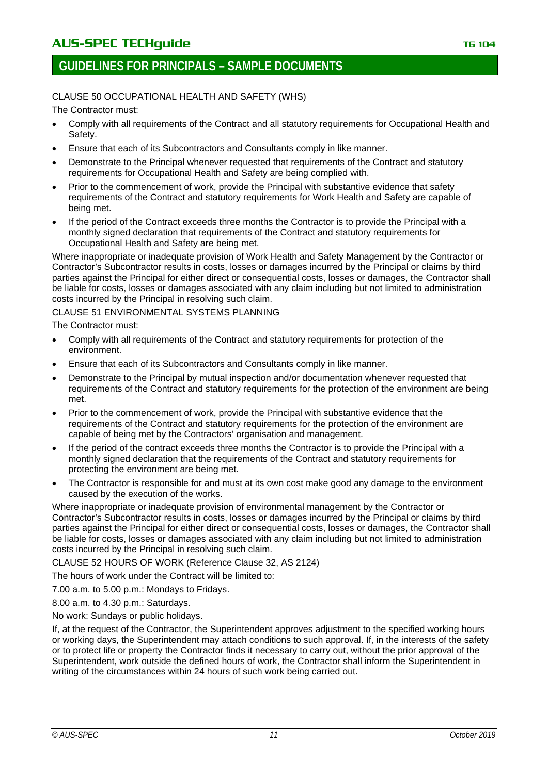# CLAUSE 50 OCCUPATIONAL HEALTH AND SAFETY (WHS)

The Contractor must:

- Comply with all requirements of the Contract and all statutory requirements for Occupational Health and Safety.
- Ensure that each of its Subcontractors and Consultants comply in like manner.
- Demonstrate to the Principal whenever requested that requirements of the Contract and statutory requirements for Occupational Health and Safety are being complied with.
- Prior to the commencement of work, provide the Principal with substantive evidence that safety requirements of the Contract and statutory requirements for Work Health and Safety are capable of being met.
- If the period of the Contract exceeds three months the Contractor is to provide the Principal with a monthly signed declaration that requirements of the Contract and statutory requirements for Occupational Health and Safety are being met.

Where inappropriate or inadequate provision of Work Health and Safety Management by the Contractor or Contractor's Subcontractor results in costs, losses or damages incurred by the Principal or claims by third parties against the Principal for either direct or consequential costs, losses or damages, the Contractor shall be liable for costs, losses or damages associated with any claim including but not limited to administration costs incurred by the Principal in resolving such claim.

#### CLAUSE 51 ENVIRONMENTAL SYSTEMS PLANNING

The Contractor must:

- Comply with all requirements of the Contract and statutory requirements for protection of the environment.
- Ensure that each of its Subcontractors and Consultants comply in like manner.
- Demonstrate to the Principal by mutual inspection and/or documentation whenever requested that requirements of the Contract and statutory requirements for the protection of the environment are being met.
- Prior to the commencement of work, provide the Principal with substantive evidence that the requirements of the Contract and statutory requirements for the protection of the environment are capable of being met by the Contractors' organisation and management.
- If the period of the contract exceeds three months the Contractor is to provide the Principal with a monthly signed declaration that the requirements of the Contract and statutory requirements for protecting the environment are being met.
- The Contractor is responsible for and must at its own cost make good any damage to the environment caused by the execution of the works.

Where inappropriate or inadequate provision of environmental management by the Contractor or Contractor's Subcontractor results in costs, losses or damages incurred by the Principal or claims by third parties against the Principal for either direct or consequential costs, losses or damages, the Contractor shall be liable for costs, losses or damages associated with any claim including but not limited to administration costs incurred by the Principal in resolving such claim.

CLAUSE 52 HOURS OF WORK (Reference Clause 32, AS 2124)

The hours of work under the Contract will be limited to:

7.00 a.m. to 5.00 p.m.: Mondays to Fridays.

8.00 a.m. to 4.30 p.m.: Saturdays.

No work: Sundays or public holidays.

If, at the request of the Contractor, the Superintendent approves adjustment to the specified working hours or working days, the Superintendent may attach conditions to such approval. If, in the interests of the safety or to protect life or property the Contractor finds it necessary to carry out, without the prior approval of the Superintendent, work outside the defined hours of work, the Contractor shall inform the Superintendent in writing of the circumstances within 24 hours of such work being carried out.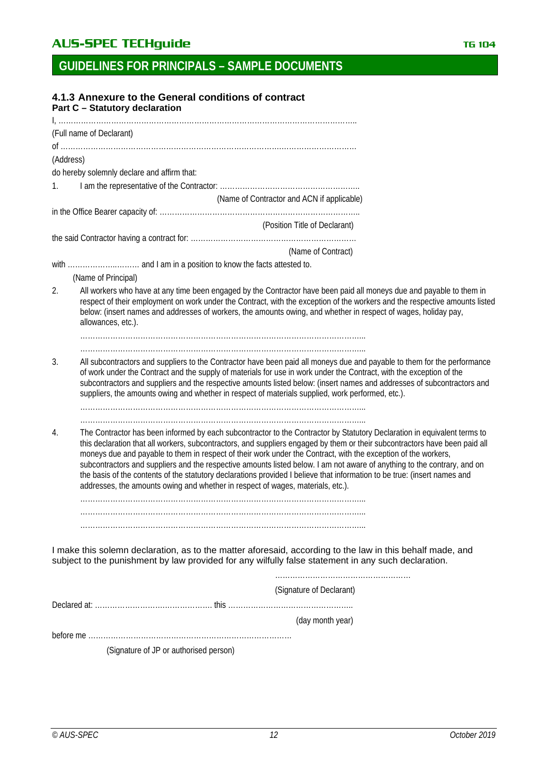<span id="page-11-0"></span>

|    | 4.1.3 Annexure to the General conditions of contract<br><b>Part C - Statutory declaration</b>                                                                                                                                                                                                                                                                                                                                                                                                                                                                                             |
|----|-------------------------------------------------------------------------------------------------------------------------------------------------------------------------------------------------------------------------------------------------------------------------------------------------------------------------------------------------------------------------------------------------------------------------------------------------------------------------------------------------------------------------------------------------------------------------------------------|
|    |                                                                                                                                                                                                                                                                                                                                                                                                                                                                                                                                                                                           |
|    | (Full name of Declarant)                                                                                                                                                                                                                                                                                                                                                                                                                                                                                                                                                                  |
|    | (Address)                                                                                                                                                                                                                                                                                                                                                                                                                                                                                                                                                                                 |
|    | do hereby solemnly declare and affirm that:                                                                                                                                                                                                                                                                                                                                                                                                                                                                                                                                               |
| 1. |                                                                                                                                                                                                                                                                                                                                                                                                                                                                                                                                                                                           |
|    | (Name of Contractor and ACN if applicable)                                                                                                                                                                                                                                                                                                                                                                                                                                                                                                                                                |
|    |                                                                                                                                                                                                                                                                                                                                                                                                                                                                                                                                                                                           |
|    | (Position Title of Declarant)                                                                                                                                                                                                                                                                                                                                                                                                                                                                                                                                                             |
|    |                                                                                                                                                                                                                                                                                                                                                                                                                                                                                                                                                                                           |
|    | (Name of Contract)                                                                                                                                                                                                                                                                                                                                                                                                                                                                                                                                                                        |
|    |                                                                                                                                                                                                                                                                                                                                                                                                                                                                                                                                                                                           |
|    | (Name of Principal)                                                                                                                                                                                                                                                                                                                                                                                                                                                                                                                                                                       |
| 2. | All workers who have at any time been engaged by the Contractor have been paid all moneys due and payable to them in<br>respect of their employment on work under the Contract, with the exception of the workers and the respective amounts listed<br>below: (insert names and addresses of workers, the amounts owing, and whether in respect of wages, holiday pay,<br>allowances, etc.).                                                                                                                                                                                              |
|    |                                                                                                                                                                                                                                                                                                                                                                                                                                                                                                                                                                                           |
|    |                                                                                                                                                                                                                                                                                                                                                                                                                                                                                                                                                                                           |
| 3. | All subcontractors and suppliers to the Contractor have been paid all moneys due and payable to them for the performance<br>of work under the Contract and the supply of materials for use in work under the Contract, with the exception of the<br>subcontractors and suppliers and the respective amounts listed below: (insert names and addresses of subcontractors and<br>suppliers, the amounts owing and whether in respect of materials supplied, work performed, etc.).                                                                                                          |
| 4. | The Contractor has been informed by each subcontractor to the Contractor by Statutory Declaration in equivalent terms to                                                                                                                                                                                                                                                                                                                                                                                                                                                                  |
|    | this declaration that all workers, subcontractors, and suppliers engaged by them or their subcontractors have been paid all<br>moneys due and payable to them in respect of their work under the Contract, with the exception of the workers,<br>subcontractors and suppliers and the respective amounts listed below. I am not aware of anything to the contrary, and on<br>the basis of the contents of the statutory declarations provided I believe that information to be true: (insert names and<br>addresses, the amounts owing and whether in respect of wages, materials, etc.). |
|    |                                                                                                                                                                                                                                                                                                                                                                                                                                                                                                                                                                                           |
|    |                                                                                                                                                                                                                                                                                                                                                                                                                                                                                                                                                                                           |
|    |                                                                                                                                                                                                                                                                                                                                                                                                                                                                                                                                                                                           |
|    | I make this solemn declaration, as to the matter aforesaid, according to the law in this behalf made, and<br>subject to the punishment by law provided for any wilfully false statement in any such declaration.                                                                                                                                                                                                                                                                                                                                                                          |
|    | (Signature of Declarant)                                                                                                                                                                                                                                                                                                                                                                                                                                                                                                                                                                  |
|    |                                                                                                                                                                                                                                                                                                                                                                                                                                                                                                                                                                                           |
|    | (day month year)                                                                                                                                                                                                                                                                                                                                                                                                                                                                                                                                                                          |
|    |                                                                                                                                                                                                                                                                                                                                                                                                                                                                                                                                                                                           |

before me ………………………………………………………………………

(Signature of JP or authorised person)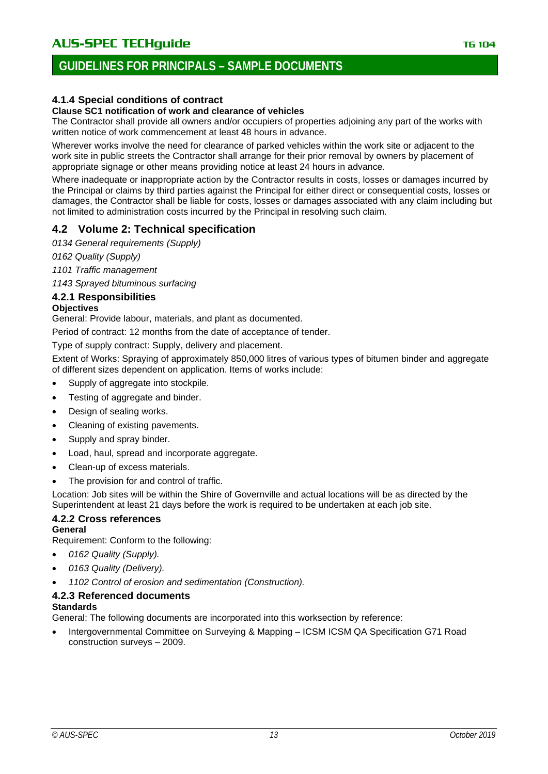# **GUIDELINES FOR PRINCIPALS – SAMPLE DOCUMENTS**

### <span id="page-12-1"></span>**4.1.4 Special conditions of contract**

#### **Clause SC1 notification of work and clearance of vehicles**

The Contractor shall provide all owners and/or occupiers of properties adjoining any part of the works with written notice of work commencement at least 48 hours in advance.

Wherever works involve the need for clearance of parked vehicles within the work site or adjacent to the work site in public streets the Contractor shall arrange for their prior removal by owners by placement of appropriate signage or other means providing notice at least 24 hours in advance.

Where inadequate or inappropriate action by the Contractor results in costs, losses or damages incurred by the Principal or claims by third parties against the Principal for either direct or consequential costs, losses or damages, the Contractor shall be liable for costs, losses or damages associated with any claim including but not limited to administration costs incurred by the Principal in resolving such claim.

### <span id="page-12-0"></span>**4.2 Volume 2: Technical specification**

*0134 General requirements (Supply)*

*0162 Quality (Supply)*

*1101 Traffic management*

*1143 Sprayed bituminous surfacing*

#### <span id="page-12-2"></span>**4.2.1 Responsibilities**

#### **Objectives**

General: Provide labour, materials, and plant as documented.

Period of contract: 12 months from the date of acceptance of tender.

Type of supply contract: Supply, delivery and placement.

Extent of Works: Spraying of approximately 850,000 litres of various types of bitumen binder and aggregate of different sizes dependent on application. Items of works include:

- Supply of aggregate into stockpile.
- Testing of aggregate and binder.
- Design of sealing works.
- Cleaning of existing pavements.
- Supply and spray binder.
- Load, haul, spread and incorporate aggregate.
- Clean-up of excess materials.
- The provision for and control of traffic.

Location: Job sites will be within the Shire of Governville and actual locations will be as directed by the Superintendent at least 21 days before the work is required to be undertaken at each job site.

# <span id="page-12-3"></span>**4.2.2 Cross references**

**General**

Requirement: Conform to the following:

- *0162 Quality (Supply).*
- *0163 Quality (Delivery).*
- *1102 Control of erosion and sedimentation (Construction).*

### <span id="page-12-4"></span>**4.2.3 Referenced documents**

#### **Standards**

General: The following documents are incorporated into this worksection by reference:

• Intergovernmental Committee on Surveying & Mapping – ICSM ICSM QA Specification G71 Road construction surveys – 2009.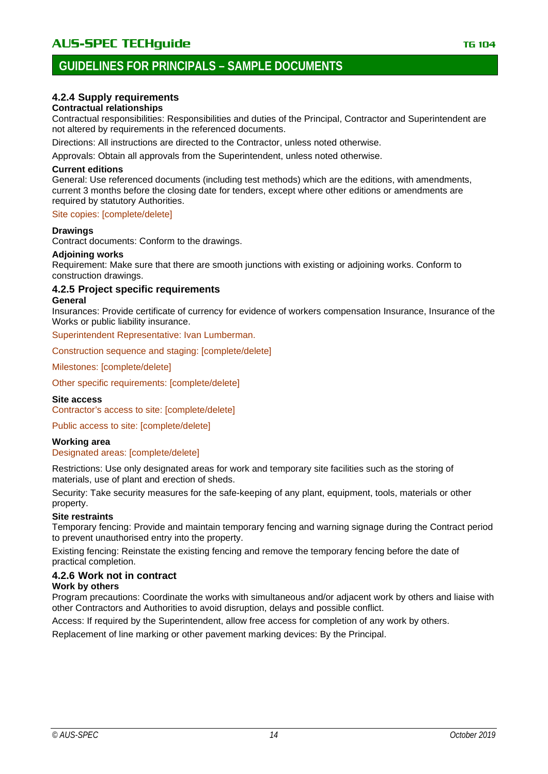# **GUIDELINES FOR PRINCIPALS – SAMPLE DOCUMENTS**

### <span id="page-13-0"></span>**4.2.4 Supply requirements**

#### **Contractual relationships**

Contractual responsibilities: Responsibilities and duties of the Principal, Contractor and Superintendent are not altered by requirements in the referenced documents.

Directions: All instructions are directed to the Contractor, unless noted otherwise.

Approvals: Obtain all approvals from the Superintendent, unless noted otherwise.

#### **Current editions**

General: Use referenced documents (including test methods) which are the editions, with amendments, current 3 months before the closing date for tenders, except where other editions or amendments are required by statutory Authorities.

#### Site copies: [complete/delete]

#### **Drawings**

Contract documents: Conform to the drawings.

#### **Adjoining works**

Requirement: Make sure that there are smooth junctions with existing or adjoining works. Conform to construction drawings.

#### <span id="page-13-1"></span>**4.2.5 Project specific requirements General**

Insurances: Provide certificate of currency for evidence of workers compensation Insurance, Insurance of the Works or public liability insurance.

Superintendent Representative: Ivan Lumberman.

Construction sequence and staging: [complete/delete]

Milestones: [complete/delete]

Other specific requirements: [complete/delete]

#### **Site access**

Contractor's access to site: [complete/delete]

Public access to site: [complete/delete]

#### **Working area**

#### Designated areas: [complete/delete]

Restrictions: Use only designated areas for work and temporary site facilities such as the storing of materials, use of plant and erection of sheds.

Security: Take security measures for the safe-keeping of any plant, equipment, tools, materials or other property.

#### **Site restraints**

Temporary fencing: Provide and maintain temporary fencing and warning signage during the Contract period to prevent unauthorised entry into the property.

Existing fencing: Reinstate the existing fencing and remove the temporary fencing before the date of practical completion.

#### <span id="page-13-2"></span>**4.2.6 Work not in contract**

#### **Work by others**

Program precautions: Coordinate the works with simultaneous and/or adjacent work by others and liaise with other Contractors and Authorities to avoid disruption, delays and possible conflict.

Access: If required by the Superintendent, allow free access for completion of any work by others.

Replacement of line marking or other pavement marking devices: By the Principal.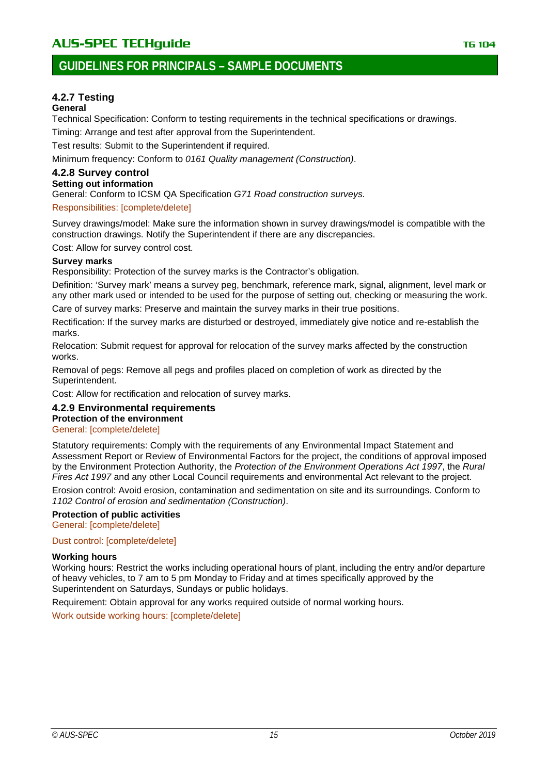# **GUIDELINES FOR PRINCIPALS – SAMPLE DOCUMENTS**

### <span id="page-14-0"></span>**4.2.7 Testing**

#### **General**

Technical Specification: Conform to testing requirements in the technical specifications or drawings.

Timing: Arrange and test after approval from the Superintendent.

Test results: Submit to the Superintendent if required.

Minimum frequency: Conform to *0161 Quality management (Construction)*.

#### <span id="page-14-1"></span>**4.2.8 Survey control Setting out information**

General: Conform to ICSM QA Specification *G71 Road construction surveys.*

#### Responsibilities: [complete/delete]

Survey drawings/model: Make sure the information shown in survey drawings/model is compatible with the construction drawings. Notify the Superintendent if there are any discrepancies.

Cost: Allow for survey control cost.

#### **Survey marks**

Responsibility: Protection of the survey marks is the Contractor's obligation.

Definition: 'Survey mark' means a survey peg, benchmark, reference mark, signal, alignment, level mark or any other mark used or intended to be used for the purpose of setting out, checking or measuring the work.

Care of survey marks: Preserve and maintain the survey marks in their true positions.

Rectification: If the survey marks are disturbed or destroyed, immediately give notice and re-establish the marks.

Relocation: Submit request for approval for relocation of the survey marks affected by the construction works.

Removal of pegs: Remove all pegs and profiles placed on completion of work as directed by the Superintendent.

Cost: Allow for rectification and relocation of survey marks.

#### <span id="page-14-2"></span>**4.2.9 Environmental requirements Protection of the environment**

#### General: [complete/delete]

Statutory requirements: Comply with the requirements of any Environmental Impact Statement and Assessment Report or Review of Environmental Factors for the project, the conditions of approval imposed by the Environment Protection Authority, the *Protection of the Environment Operations Act 1997*, the *Rural Fires Act 1997* and any other Local Council requirements and environmental Act relevant to the project.

Erosion control: Avoid erosion, contamination and sedimentation on site and its surroundings. Conform to *1102 Control of erosion and sedimentation (Construction)*.

#### **Protection of public activities** General: [complete/delete]

Dust control: [complete/delete]

#### **Working hours**

Working hours: Restrict the works including operational hours of plant, including the entry and/or departure of heavy vehicles, to 7 am to 5 pm Monday to Friday and at times specifically approved by the Superintendent on Saturdays, Sundays or public holidays.

Requirement: Obtain approval for any works required outside of normal working hours.

Work outside working hours: [complete/delete]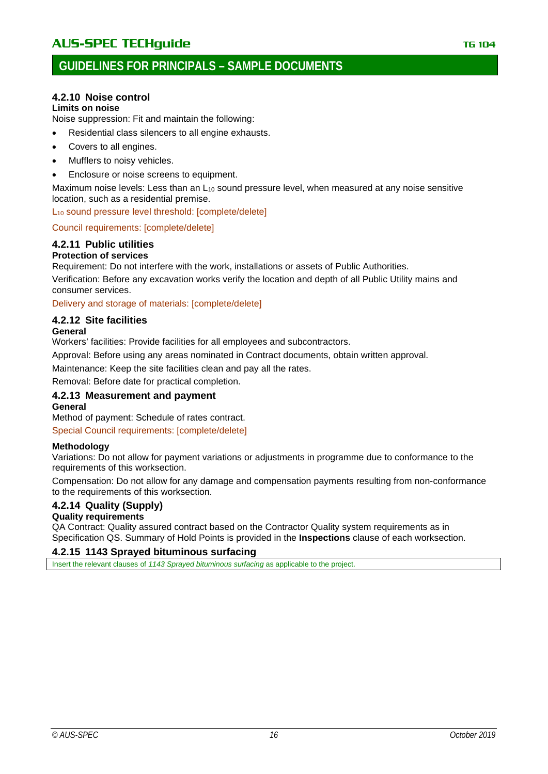# **GUIDELINES FOR PRINCIPALS – SAMPLE DOCUMENTS**

### <span id="page-15-0"></span>**4.2.10 Noise control**

#### **Limits on noise**

Noise suppression: Fit and maintain the following:

- Residential class silencers to all engine exhausts.
- Covers to all engines.
- Mufflers to noisy vehicles.
- Enclosure or noise screens to equipment.

Maximum noise levels: Less than an L<sub>10</sub> sound pressure level, when measured at any noise sensitive location, such as a residential premise.

L<sub>10</sub> sound pressure level threshold: [complete/delete]

#### Council requirements: [complete/delete]

### <span id="page-15-1"></span>**4.2.11 Public utilities**

#### **Protection of services**

Requirement: Do not interfere with the work, installations or assets of Public Authorities.

Verification: Before any excavation works verify the location and depth of all Public Utility mains and consumer services.

Delivery and storage of materials: [complete/delete]

#### <span id="page-15-2"></span>**4.2.12 Site facilities**

#### **General**

Workers' facilities: Provide facilities for all employees and subcontractors.

Approval: Before using any areas nominated in Contract documents, obtain written approval.

Maintenance: Keep the site facilities clean and pay all the rates.

Removal: Before date for practical completion.

### <span id="page-15-3"></span>**4.2.13 Measurement and payment**

#### **General**

Method of payment: Schedule of rates contract.

Special Council requirements: [complete/delete]

#### **Methodology**

Variations: Do not allow for payment variations or adjustments in programme due to conformance to the requirements of this worksection.

Compensation: Do not allow for any damage and compensation payments resulting from non-conformance to the requirements of this worksection.

### <span id="page-15-4"></span>**4.2.14 Quality (Supply)**

#### **Quality requirements**

QA Contract: Quality assured contract based on the Contractor Quality system requirements as in Specification QS. Summary of Hold Points is provided in the **Inspections** clause of each worksection.

#### <span id="page-15-5"></span>**4.2.15 1143 Sprayed bituminous surfacing**

Insert the relevant clauses of *1143 Sprayed bituminous surfacing* as applicable to the project.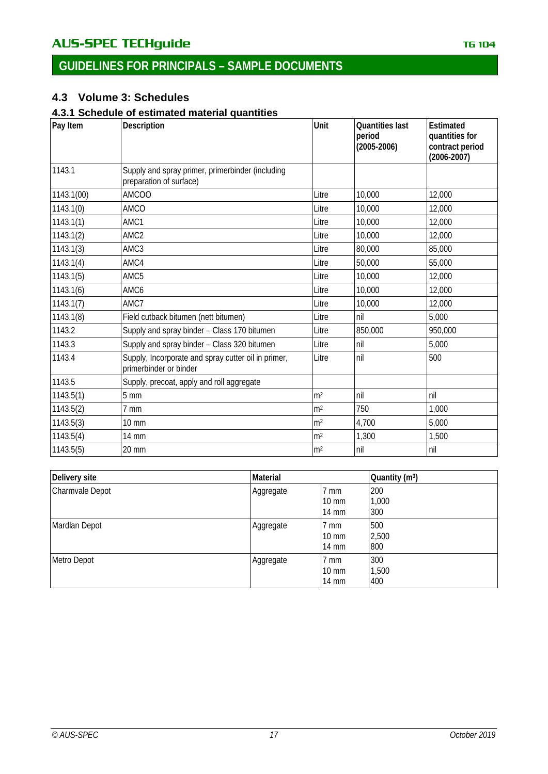# <span id="page-16-0"></span>**4.3 Volume 3: Schedules**

### <span id="page-16-1"></span>**4.3.1 Schedule of estimated material quantities**

| Pay Item   | Description                                                                   | Unit           | <b>Quantities last</b><br>period<br>$(2005 - 2006)$ | Estimated<br>quantities for<br>contract period<br>$(2006 - 2007)$ |
|------------|-------------------------------------------------------------------------------|----------------|-----------------------------------------------------|-------------------------------------------------------------------|
| 1143.1     | Supply and spray primer, primerbinder (including<br>preparation of surface)   |                |                                                     |                                                                   |
| 1143.1(00) | <b>AMCOO</b>                                                                  | Litre          | 10,000                                              | 12,000                                                            |
| 1143.1(0)  | AMCO                                                                          | Litre          | 10,000                                              | 12,000                                                            |
| 1143.1(1)  | AMC1                                                                          | Litre          | 10,000                                              | 12,000                                                            |
| 1143.1(2)  | AMC <sub>2</sub>                                                              | Litre          | 10,000                                              | 12,000                                                            |
| 1143.1(3)  | AMC3                                                                          | Litre          | 80,000                                              | 85,000                                                            |
| 1143.1(4)  | AMC4                                                                          | Litre          | 50,000                                              | 55,000                                                            |
| 1143.1(5)  | AMC5                                                                          | Litre          | 10,000                                              | 12,000                                                            |
| 1143.1(6)  | AMC6                                                                          | Litre          | 10,000                                              | 12,000                                                            |
| 1143.1(7)  | AMC7                                                                          | Litre          | 10,000                                              | 12,000                                                            |
| 1143.1(8)  | Field cutback bitumen (nett bitumen)                                          | Litre          | nil                                                 | 5,000                                                             |
| 1143.2     | Supply and spray binder - Class 170 bitumen                                   | Litre          | 850,000                                             | 950,000                                                           |
| 1143.3     | Supply and spray binder - Class 320 bitumen                                   | Litre          | nil                                                 | 5,000                                                             |
| 1143.4     | Supply, Incorporate and spray cutter oil in primer,<br>primerbinder or binder | Litre          | nil                                                 | 500                                                               |
| 1143.5     | Supply, precoat, apply and roll aggregate                                     |                |                                                     |                                                                   |
| 1143.5(1)  | $5 \text{ mm}$                                                                | m <sup>2</sup> | nil                                                 | nil                                                               |
| 1143.5(2)  | 7 mm                                                                          | m <sup>2</sup> | 750                                                 | 1,000                                                             |
| 1143.5(3)  | $10 \text{ mm}$                                                               | m <sup>2</sup> | 4,700                                               | 5,000                                                             |
| 1143.5(4)  | 14 mm                                                                         | m <sup>2</sup> | 1,300                                               | 1,500                                                             |
| 1143.5(5)  | $20 \text{ mm}$                                                               | m <sup>2</sup> | nil                                                 | nil                                                               |

| Delivery site   | <b>Material</b> |                                                      | Quantity (m <sup>3</sup> ) |  |
|-----------------|-----------------|------------------------------------------------------|----------------------------|--|
| Charmvale Depot | Aggregate       | 7 mm<br>$10 \text{ mm}$<br>$14 \text{ mm}$           | 200<br>1,000<br>300        |  |
| Mardlan Depot   | Aggregate       | 7 mm<br>$10 \text{ mm}$<br>$14 \text{ mm}$           | 500<br>2,500<br>800        |  |
| Metro Depot     | Aggregate       | $7 \text{ mm}$<br>$10 \text{ mm}$<br>$14 \text{ mm}$ | 300<br>1,500<br>400        |  |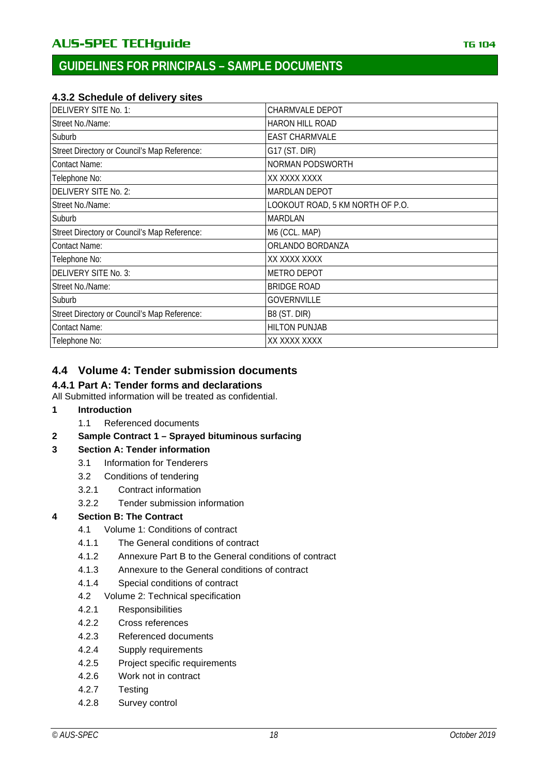### <span id="page-17-1"></span>**4.3.2 Schedule of delivery sites**

| DELIVERY SITE No. 1:                         | <b>CHARMVALE DEPOT</b>           |
|----------------------------------------------|----------------------------------|
| Street No./Name:                             | <b>HARON HILL ROAD</b>           |
| Suburb                                       | <b>EAST CHARMVALE</b>            |
| Street Directory or Council's Map Reference: | G17 (ST. DIR)                    |
| <b>Contact Name:</b>                         | NORMAN PODSWORTH                 |
| Telephone No:                                | XX XXXX XXXX                     |
| DELIVERY SITE No. 2:                         | <b>MARDLAN DEPOT</b>             |
| Street No./Name:                             | LOOKOUT ROAD, 5 KM NORTH OF P.O. |
| Suburb                                       | <b>MARDLAN</b>                   |
| Street Directory or Council's Map Reference: | M6 (CCL. MAP)                    |
| <b>Contact Name:</b>                         | ORLANDO BORDANZA                 |
| Telephone No:                                | XX XXXX XXXX                     |
| DELIVERY SITE No. 3:                         | <b>METRO DEPOT</b>               |
| Street No./Name:                             | <b>BRIDGE ROAD</b>               |
| Suburb                                       | <b>GOVERNVILLE</b>               |
| Street Directory or Council's Map Reference: | B8 (ST. DIR)                     |
| <b>Contact Name:</b>                         | <b>HILTON PUNJAB</b>             |
| Telephone No:                                | XX XXXX XXXX                     |

# <span id="page-17-0"></span>**4.4 Volume 4: Tender submission documents**

### <span id="page-17-2"></span>**4.4.1 Part A: Tender forms and declarations**

All Submitted information will be treated as confidential.

- **1 [Introduction](#page-3-0)**
	- 1.1 [Referenced documents](#page-3-1)
- **2 Sample Contract 1 – [Sprayed bituminous surfacing](#page-4-0)**

### **3 [Section A: Tender information](#page-5-0)**

- 3.1 [Information for Tenderers](#page-5-1)
- 3.2 [Conditions of tendering](#page-5-2)
- 3.2.1 [Contract information](#page-5-3)
- 3.2.2 [Tender submission information](#page-6-0)

### **4 [Section B: The Contract](#page-9-0)**

- 4.1 [Volume 1: Conditions of contract](#page-9-1)
- 4.1.1 [The General conditions of contract](#page-9-2)
- 4.1.2 Annexure Part [B to the General conditions of contract](#page-9-3)
- 4.1.3 [Annexure to the General conditions of contract](#page-11-0)
- 4.1.4 [Special conditions of contract](#page-12-1)
- 4.2 [Volume 2: Technical specification](#page-12-0)
- 4.2.1 [Responsibilities](#page-12-2)
- 4.2.2 [Cross references](#page-12-3)
- 4.2.3 [Referenced documents](#page-12-4)
- 4.2.4 [Supply requirements](#page-13-0)
- 4.2.5 [Project specific requirements](#page-13-1)
- 4.2.6 [Work not in contract](#page-13-2)
- 4.2.7 [Testing](#page-14-0)
- 4.2.8 [Survey control](#page-14-1)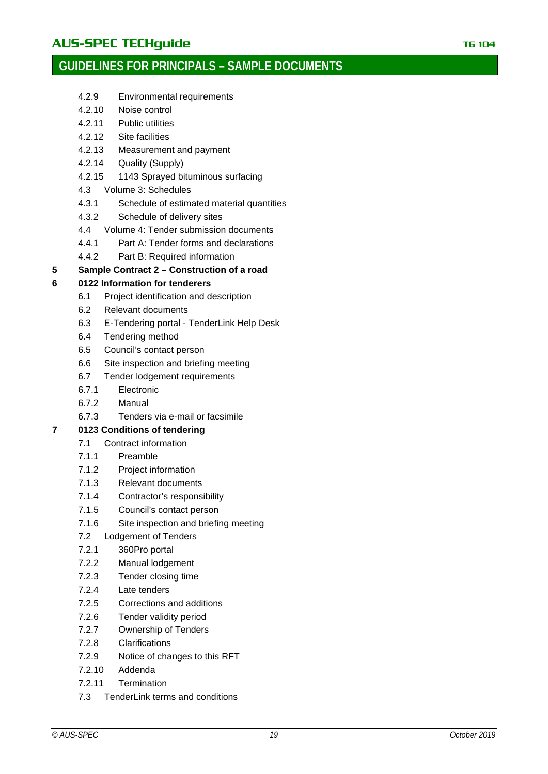# AU**S-SPEC TECHguide** The Contract of the Contract of The Contract of The Contract of The Contract of The Contract of The Contract of The Contract of The Contract of The Contract of The Contract of The Contract of The Contr

# **GUIDELINES FOR PRINCIPALS – SAMPLE DOCUMENTS**

- 4.2.9 [Environmental requirements](#page-14-2)
- 4.2.10 [Noise control](#page-15-0)
- 4.2.11 [Public utilities](#page-15-1)
- 4.2.12 [Site facilities](#page-15-2)
- 4.2.13 [Measurement and payment](#page-15-3)
- 4.2.14 [Quality \(Supply\)](#page-15-4)
- 4.2.15 [1143 Sprayed bituminous surfacing](#page-15-5)
- 4.3 [Volume 3: Schedules](#page-16-0)
- 4.3.1 [Schedule of estimated material quantities](#page-16-1)
- 4.3.2 [Schedule of delivery sites](#page-17-1)
- 4.4 [Volume 4: Tender submission documents](#page-17-0)
- 4.4.1 [Part A: Tender forms and declarations](#page-17-2)
- 4.4.2 [Part B: Required information](#page-25-0)

#### **5 Sample Contract 2 – [Construction of a road](#page-26-0)**

### **6 [0122 Information for tenderers](#page-27-0)**

- 6.1 [Project identification and description](#page-28-0)
- 6.2 [Relevant documents](#page-29-0)
- 6.3 E-Tendering portal [TenderLink Help Desk](#page-29-1)
- 6.4 [Tendering method](#page-30-0)
- 6.5 [Council's contact person](#page-30-1)
- 6.6 [Site inspection and briefing meeting](#page-30-2)
- 6.7 [Tender lodgement requirements](#page-31-0)
- 6.7.1 [Electronic](#page-31-1)
- 6.7.2 [Manual](#page-31-2)
- 6.7.3 [Tenders via e-mail or facsimile](#page-31-3)

### **7 [0123 Conditions of tendering](#page-32-0)**

- 7.1 [Contract information](#page-32-1)
- 7.1.1 [Preamble](#page-32-2)
- 7.1.2 [Project information](#page-32-3)
- 7.1.3 [Relevant documents](#page-32-4)
- 7.1.4 [Contractor's responsibility](#page-33-0)
- 7.1.5 [Council's contact person](#page-33-1)
- 7.1.6 [Site inspection and briefing meeting](#page-34-1)
- 7.2 [Lodgement of Tenders](#page-34-0)
- 7.2.1 [360Pro portal](#page-34-2)
- 7.2.2 [Manual lodgement](#page-34-3)
- 7.2.3 [Tender closing time](#page-35-0)
- 7.2.4 [Late tenders](#page-35-1)
- 7.2.5 [Corrections and additions](#page-35-2)
- 7.2.6 [Tender validity period](#page-35-3)
- 7.2.7 [Ownership of Tenders](#page-35-4)
- 7.2.8 [Clarifications](#page-35-5)
- 7.2.9 [Notice of changes to this RFT](#page-35-6)
- 7.2.10 [Addenda](#page-35-7)
- 7.2.11 [Termination](#page-36-1)
- 7.3 [TenderLink terms and conditions](#page-36-0)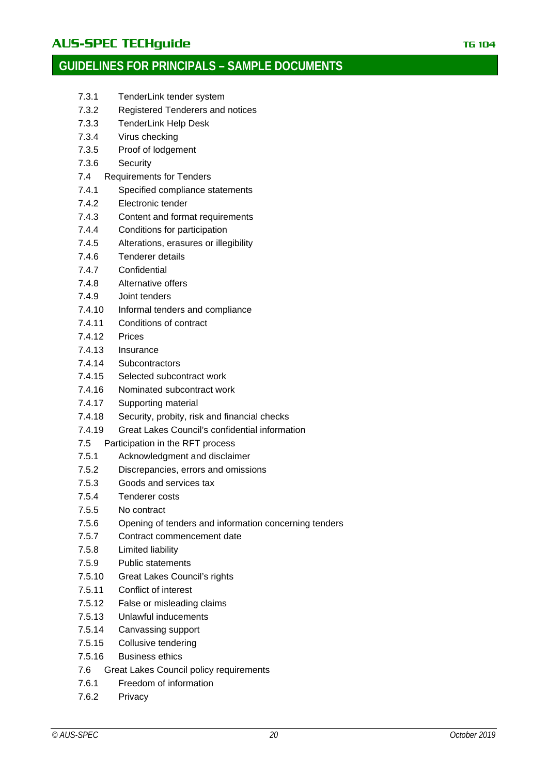# AUS-SPEC TECHguide **TECHGUIDE TECHGUIDE TELEVISION** TG 104

# **GUIDELINES FOR PRINCIPALS – SAMPLE DOCUMENTS**

- 7.3.1 [TenderLink tender system](#page-36-2)
- 7.3.2 [Registered Tenderers and notices](#page-36-3)
- 7.3.3 [TenderLink Help Desk](#page-36-4)
- 7.3.4 [Virus checking](#page-36-5)
- 7.3.5 [Proof of lodgement](#page-37-1)
- 7.3.6 [Security](#page-37-2)
- 7.4 [Requirements for Tenders](#page-37-0)
- 7.4.1 [Specified compliance statements](#page-37-3)
- 7.4.2 [Electronic tender](#page-38-0)
- 7.4.3 [Content and format requirements](#page-38-1)
- 7.4.4 [Conditions for participation](#page-38-2)
- 7.4.5 [Alterations, erasures or illegibility](#page-38-3)
- 7.4.6 [Tenderer details](#page-38-4)
- 7.4.7 [Confidential](#page-39-0)
- 7.4.8 [Alternative offers](#page-39-1)
- 7.4.9 [Joint tenders](#page-39-2)
- 7.4.10 [Informal tenders and compliance](#page-39-3)
- 7.4.11 [Conditions of contract](#page-39-4)
- [7.4.12](#page-40-0) Prices
- 7.4.13 [Insurance](#page-40-1)
- 7.4.14 [Subcontractors](#page-41-0)
- 7.4.15 [Selected subcontract work](#page-41-1)
- 7.4.16 [Nominated subcontract work](#page-41-2)
- 7.4.17 [Supporting material](#page-41-3)
- 7.4.18 [Security, probity, risk and financial checks](#page-41-4)
- 7.4.19 [Great Lakes Council's confidential information](#page-42-1)
- 7.5 [Participation in the RFT process](#page-42-0)
- 7.5.1 [Acknowledgment and disclaimer](#page-42-2)
- 7.5.2 [Discrepancies, errors and omissions](#page-43-0)
- 7.5.3 [Goods and services tax](#page-43-1)
- 7.5.4 [Tenderer costs](#page-43-2)
- 7.5.5 [No contract](#page-43-3)
- 7.5.6 [Opening of tenders and information concerning tenders](#page-43-4)
- 7.5.7 [Contract commencement date](#page-43-5)
- 7.5.8 [Limited liability](#page-43-6)
- 7.5.9 [Public statements](#page-43-7)
- 7.5.10 [Great Lakes Council's rights](#page-43-8)
- 7.5.11 [Conflict of interest](#page-44-0)
- 7.5.12 [False or misleading claims](#page-44-1)
- 7.5.13 [Unlawful inducements](#page-45-1)
- 7.5.14 [Canvassing support](#page-45-2)
- 7.5.15 [Collusive tendering](#page-45-3)
- 7.5.16 [Business ethics](#page-45-4)
- 7.6 [Great Lakes Council policy requirements](#page-45-0)
- 7.6.1 [Freedom of information](#page-45-5)
- 7.6.2 [Privacy](#page-45-6)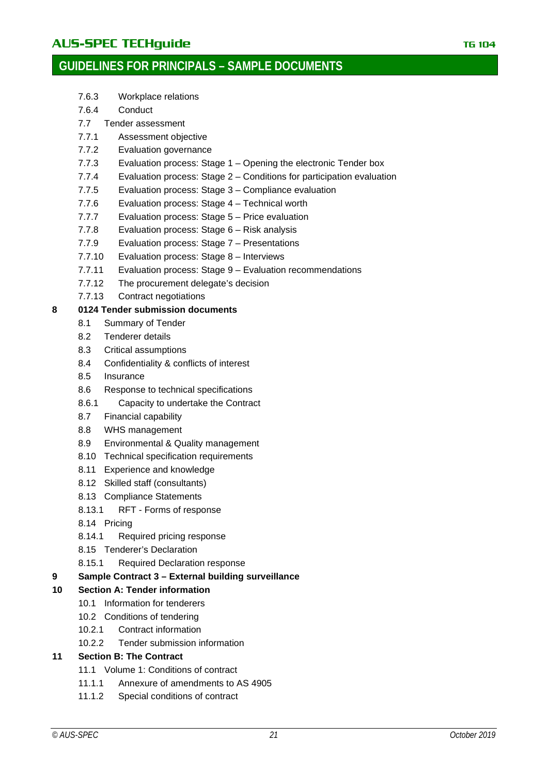- 7.6.3 [Workplace relations](#page-45-7)
- 7.6.4 [Conduct](#page-45-8)
- 7.7 [Tender assessment](#page-46-0)
- 7.7.1 [Assessment objective](#page-46-1)
- 7.7.2 [Evaluation governance](#page-46-2)
- 7.7.3 Evaluation process: Stage 1 [Opening the electronic Tender box](#page-46-3)
- 7.7.4 Evaluation process: Stage 2 [Conditions for participation evaluation](#page-47-0)
- 7.7.5 [Evaluation process: Stage 3 –](#page-47-1) Compliance evaluation
- 7.7.6 [Evaluation process: Stage 4 –](#page-47-2) Technical worth
- 7.7.7 [Evaluation process: Stage 5 –](#page-47-3) Price evaluation
- 7.7.8 [Evaluation process: Stage 6 –](#page-47-4) Risk analysis
- 7.7.9 [Evaluation process: Stage 7 –](#page-48-0) Presentations
- 7.7.10 [Evaluation process: Stage 8 –](#page-48-1) Interviews
- 7.7.11 [Evaluation process: Stage 9 –](#page-48-2) Evaluation recommendations
- 7.7.12 [The procurement delegate's decision](#page-48-3)
- 7.7.13 [Contract negotiations](#page-48-4)

### **8 [0124 Tender submission documents](#page-49-0)**

- 8.1 [Summary of Tender](#page-50-0)
- 8.2 [Tenderer details](#page-50-1)
- 8.3 [Critical assumptions](#page-50-2)
- 8.4 [Confidentiality & conflicts of interest](#page-50-3)
- 8.5 [Insurance](#page-50-4)
- 8.6 [Response to technical specifications](#page-51-0)
- 8.6.1 [Capacity to undertake the Contract](#page-51-1)
- 8.7 [Financial capability](#page-52-0)
- 8.8 WHS [management](#page-52-1)
- 8.9 [Environmental & Quality management](#page-52-2)
- 8.10 [Technical specification requirements](#page-52-3)
- 8.11 [Experience and knowledge](#page-53-0)
- 8.12 [Skilled staff \(consultants\)](#page-53-1)
- 8.13 [Compliance Statements](#page-53-2)
- 8.13.1 RFT [Forms of response](#page-53-4)
- 8.14 [Pricing](#page-53-3)
- 8.14.1 [Required pricing response](#page-53-5)
- 8.15 [Tenderer's Declaration](#page-54-0)
- 8.15.1 [Required Declaration response](#page-54-1)

#### **9 Sample Contract 3 – [External building surveillance](#page-55-0)**

### **10 [Section A: Tender information](#page-56-0)**

- 10.1 [Information for tenderers](#page-56-1)
- 10.2 [Conditions of tendering](#page-56-2)
- 10.2.1 [Contract information](#page-56-3)
- 10.2.2 [Tender submission information](#page-58-0)

### **11 [Section B: The Contract](#page-61-0)**

- 11.1 [Volume 1: Conditions of contract](#page-61-1)
- 11.1.1 [Annexure of amendments to AS](#page-61-2) 4905
- 11.1.2 [Special conditions of contract](#page-62-3)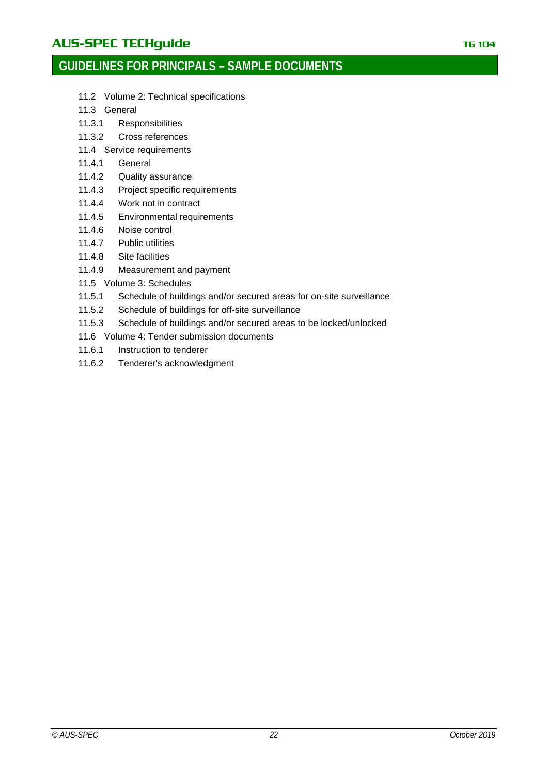# AUS-SPEC TECHguide **TECHGUIDE TECHGUIDE TELES IN THE 104**

# **GUIDELINES FOR PRINCIPALS – SAMPLE DOCUMENTS**

- 11.2 [Volume 2: Technical specifications](#page-62-0)
- 11.3 [General](#page-62-1)
- 11.3.1 [Responsibilities](#page-62-4)
- 11.3.2 [Cross references](#page-62-5)
- 11.4 [Service requirements](#page-62-2)
- 11.4.1 [General](#page-62-6)
- 11.4.2 [Quality assurance](#page-63-0)
- 11.4.3 [Project specific requirements](#page-63-1)
- 11.4.4 [Work not in contract](#page-65-0)
- 11.4.5 [Environmental requirements](#page-65-1)
- 11.4.6 [Noise control](#page-65-2)
- 11.4.7 [Public utilities](#page-65-3)
- 11.4.8 [Site facilities](#page-65-4)
- 11.4.9 [Measurement and payment](#page-66-1)
- 11.5 [Volume 3: Schedules](#page-66-0)
- 11.5.1 [Schedule of buildings and/or secured areas for on-site surveillance](#page-66-2)
- 11.5.2 [Schedule of buildings for off-site surveillance](#page-67-1)
- 11.5.3 [Schedule of buildings and/or secured areas to be locked/unlocked](#page-67-2)
- 11.6 [Volume 4: Tender submission documents](#page-67-0)
- 11.6.1 [Instruction to tenderer](#page-68-0)
- 11.6.2 [Tenderer's acknowledgment](#page-68-1)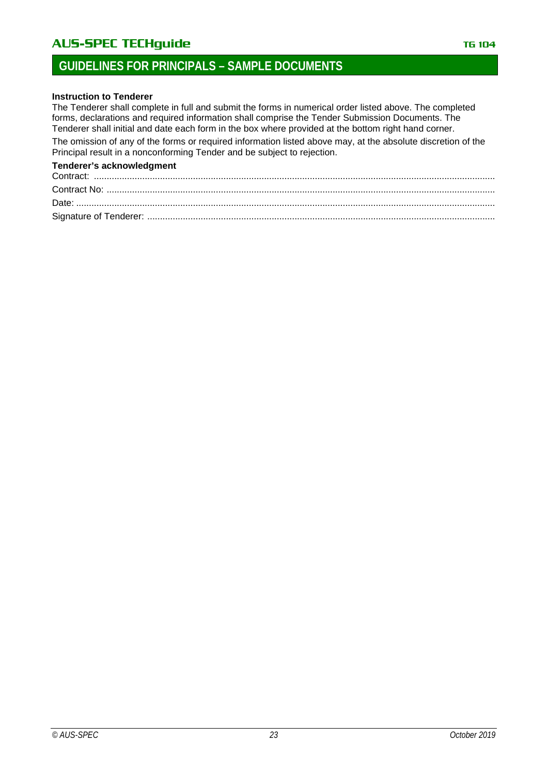# AU**S-SPEC TECHguide** The Contract of the Contract of the TG 104

# **GUIDELINES FOR PRINCIPALS – SAMPLE DOCUMENTS**

#### **Instruction to Tenderer**

The Tenderer shall complete in full and submit the forms in numerical order listed above. The completed forms, declarations and required information shall comprise the Tender Submission Documents. The Tenderer shall initial and date each form in the box where provided at the bottom right hand corner. The omission of any of the forms or required information listed above may, at the absolute discretion of the Principal result in a nonconforming Tender and be subject to rejection.

#### **Tenderer's acknowledgment**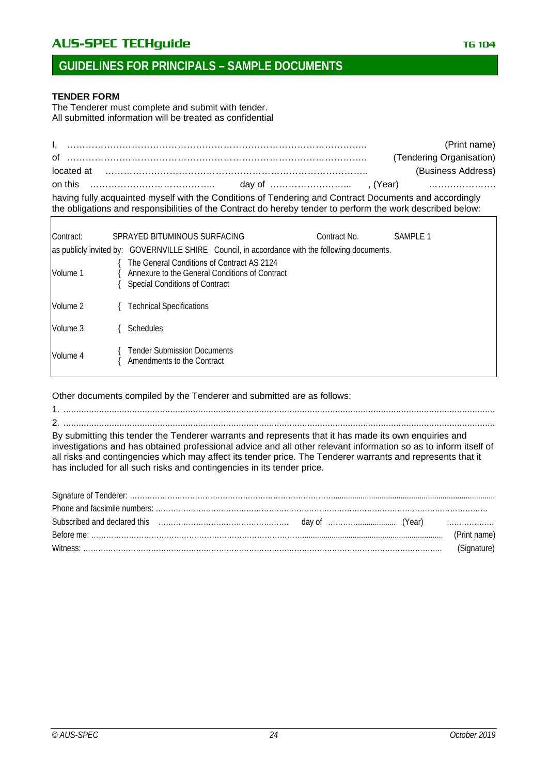# AUS-SPEC TECHguide **TECHGUIDE TECHGUIDE TELES IN THE 104**

# **GUIDELINES FOR PRINCIPALS – SAMPLE DOCUMENTS**

#### **TENDER FORM**

The Tenderer must complete and submit with tender. All submitted information will be treated as confidential

|            |                                                                                                                                                                                                                      |                                                                                                                                       |          | (Print name)             |  |  |
|------------|----------------------------------------------------------------------------------------------------------------------------------------------------------------------------------------------------------------------|---------------------------------------------------------------------------------------------------------------------------------------|----------|--------------------------|--|--|
| οf         |                                                                                                                                                                                                                      |                                                                                                                                       |          | (Tendering Organisation) |  |  |
| located at |                                                                                                                                                                                                                      |                                                                                                                                       |          | (Business Address)       |  |  |
| on this    |                                                                                                                                                                                                                      |                                                                                                                                       |          |                          |  |  |
|            | having fully acquainted myself with the Conditions of Tendering and Contract Documents and accordingly<br>the obligations and responsibilities of the Contract do hereby tender to perform the work described below: |                                                                                                                                       |          |                          |  |  |
|            |                                                                                                                                                                                                                      |                                                                                                                                       |          |                          |  |  |
| Contract:  |                                                                                                                                                                                                                      | SPRAYED BITUMINOUS SURFACING<br>Contract No.                                                                                          | SAMPLE 1 |                          |  |  |
|            |                                                                                                                                                                                                                      | as publicly invited by: GOVERNVILLE SHIRE Council, in accordance with the following documents.                                        |          |                          |  |  |
| Volume 1   |                                                                                                                                                                                                                      | The General Conditions of Contract AS 2124<br>Annexure to the General Conditions of Contract<br><b>Special Conditions of Contract</b> |          |                          |  |  |
| Volume 2   |                                                                                                                                                                                                                      | <b>Technical Specifications</b>                                                                                                       |          |                          |  |  |
| Volume 3   |                                                                                                                                                                                                                      | Schedules                                                                                                                             |          |                          |  |  |
| Volume 4   |                                                                                                                                                                                                                      | <b>Tender Submission Documents</b><br>Amendments to the Contract                                                                      |          |                          |  |  |

Other documents compiled by the Tenderer and submitted are as follows:

1. .......................................................................................................................................................................... 2. ..........................................................................................................................................................................

By submitting this tender the Tenderer warrants and represents that it has made its own enquiries and investigations and has obtained professional advice and all other relevant information so as to inform itself of all risks and contingencies which may affect its tender price. The Tenderer warrants and represents that it has included for all such risks and contingencies in its tender price.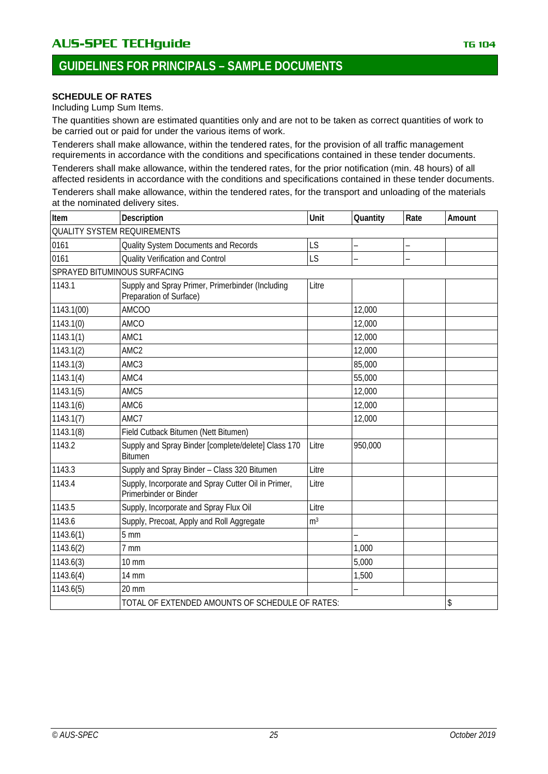### **SCHEDULE OF RATES**

Including Lump Sum Items.

The quantities shown are estimated quantities only and are not to be taken as correct quantities of work to be carried out or paid for under the various items of work.

Tenderers shall make allowance, within the tendered rates, for the provision of all traffic management requirements in accordance with the conditions and specifications contained in these tender documents.

Tenderers shall make allowance, within the tendered rates, for the prior notification (min. 48 hours) of all affected residents in accordance with the conditions and specifications contained in these tender documents.

Tenderers shall make allowance, within the tendered rates, for the transport and unloading of the materials at the nominated delivery sites.

| Item                               | Description                                                                   | Unit           | Quantity | Rate                     | Amount |
|------------------------------------|-------------------------------------------------------------------------------|----------------|----------|--------------------------|--------|
| <b>QUALITY SYSTEM REQUIREMENTS</b> |                                                                               |                |          |                          |        |
| 0161                               | Quality System Documents and Records                                          | LS             | -        | $\overline{\phantom{0}}$ |        |
| 0161                               | <b>Quality Verification and Control</b>                                       | LS             |          |                          |        |
| SPRAYED BITUMINOUS SURFACING       |                                                                               |                |          |                          |        |
| 1143.1                             | Supply and Spray Primer, Primerbinder (Including<br>Preparation of Surface)   | Litre          |          |                          |        |
| 1143.1(00)                         | <b>AMCOO</b>                                                                  |                | 12,000   |                          |        |
| 1143.1(0)                          | AMCO                                                                          |                | 12,000   |                          |        |
| 1143.1(1)                          | AMC1                                                                          |                | 12,000   |                          |        |
| 1143.1(2)                          | AMC <sub>2</sub>                                                              |                | 12,000   |                          |        |
| 1143.1(3)                          | AMC3                                                                          |                | 85,000   |                          |        |
| 1143.1(4)                          | AMC4                                                                          |                | 55,000   |                          |        |
| 1143.1(5)                          | AMC5                                                                          |                | 12,000   |                          |        |
| 1143.1(6)                          | AMC6                                                                          |                | 12,000   |                          |        |
| 1143.1(7)                          | AMC7                                                                          |                | 12,000   |                          |        |
| 1143.1(8)                          | Field Cutback Bitumen (Nett Bitumen)                                          |                |          |                          |        |
| 1143.2                             | Supply and Spray Binder [complete/delete] Class 170<br><b>Bitumen</b>         | Litre          | 950,000  |                          |        |
| 1143.3                             | Supply and Spray Binder - Class 320 Bitumen                                   | Litre          |          |                          |        |
| 1143.4                             | Supply, Incorporate and Spray Cutter Oil in Primer,<br>Primerbinder or Binder | Litre          |          |                          |        |
| 1143.5                             | Supply, Incorporate and Spray Flux Oil                                        | Litre          |          |                          |        |
| 1143.6                             | Supply, Precoat, Apply and Roll Aggregate                                     | m <sup>3</sup> |          |                          |        |
| 1143.6(1)                          | 5 <sub>mm</sub>                                                               |                |          |                          |        |
| 1143.6(2)                          | 7 mm                                                                          |                | 1,000    |                          |        |
| 1143.6(3)                          | <b>10 mm</b>                                                                  |                | 5,000    |                          |        |
| 1143.6(4)                          | <b>14 mm</b>                                                                  |                | 1,500    |                          |        |
| 1143.6(5)                          | 20 mm                                                                         |                |          |                          |        |
|                                    | TOTAL OF EXTENDED AMOUNTS OF SCHEDULE OF RATES:                               |                |          |                          | \$     |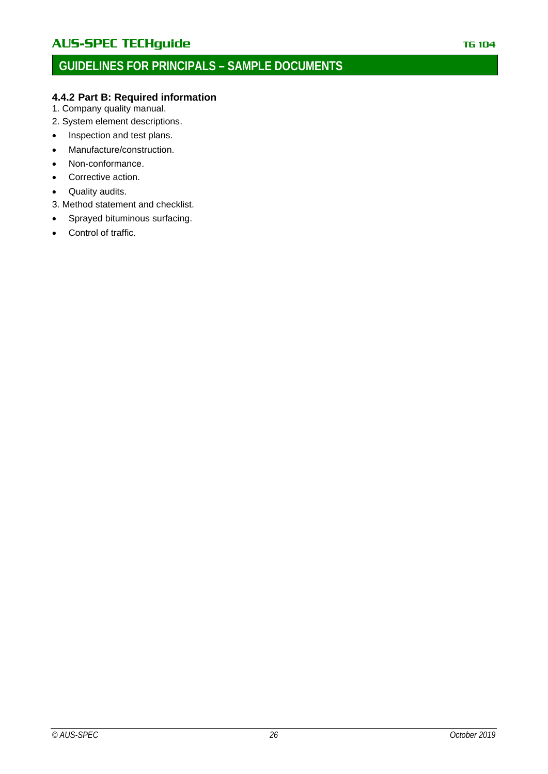### <span id="page-25-0"></span>**4.4.2 Part B: Required information**

- 1. Company quality manual.
- 2. System element descriptions.
- Inspection and test plans.
- Manufacture/construction.
- Non-conformance.
- Corrective action.
- Quality audits.
- 3. Method statement and checklist.
- Sprayed bituminous surfacing.
- Control of traffic.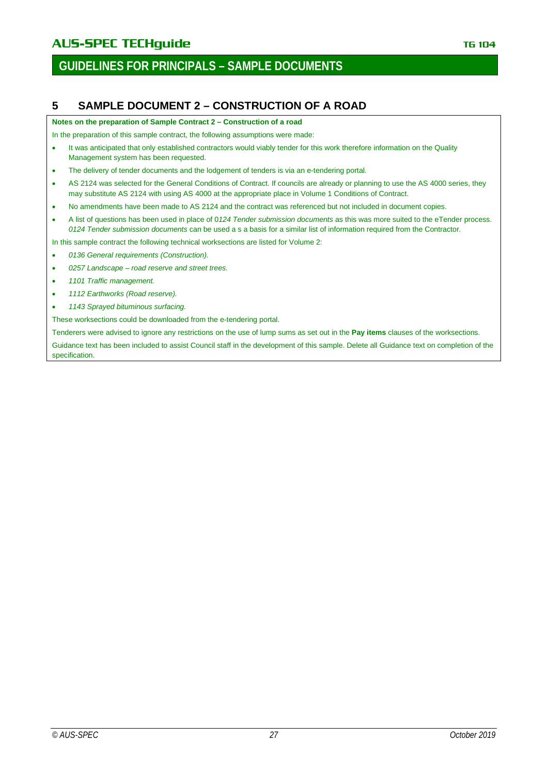# **GUIDELINES FOR PRINCIPALS – SAMPLE DOCUMENTS**

### <span id="page-26-0"></span>**5 SAMPLE DOCUMENT 2 – CONSTRUCTION OF A ROAD**

**Notes on the preparation of Sample Contract 2 – Construction of a road**

In the preparation of this sample contract, the following assumptions were made:

- It was anticipated that only established contractors would viably tender for this work therefore information on the Quality Management system has been requested.
- The delivery of tender documents and the lodgement of tenders is via an e-tendering portal.
- AS 2124 was selected for the General Conditions of Contract. If councils are already or planning to use the AS 4000 series, they may substitute AS 2124 with using AS 4000 at the appropriate place in Volume 1 Conditions of Contract.
- No amendments have been made to AS 2124 and the contract was referenced but not included in document copies.
- A list of questions has been used in place of 0*124 Tender submission documents* as this was more suited to the eTender process. *0124 Tender submission documents* can be used a s a basis for a similar list of information required from the Contractor.

In this sample contract the following technical worksections are listed for Volume 2:

- *0136 General requirements (Construction).*
- *0257 Landscape – road reserve and street trees.*
- *1101 Traffic management.*
- *1112 Earthworks (Road reserve).*
- *1143 Sprayed bituminous surfacing.*

These worksections could be downloaded from the e-tendering portal.

Tenderers were advised to ignore any restrictions on the use of lump sums as set out in the **Pay items** clauses of the worksections.

Guidance text has been included to assist Council staff in the development of this sample. Delete all Guidance text on completion of the specification.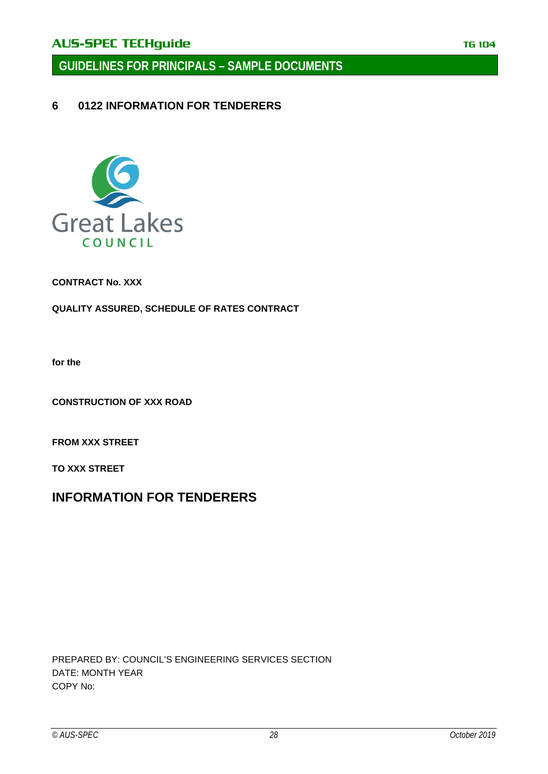**GUIDELINES FOR PRINCIPALS – SAMPLE DOCUMENTS**

<span id="page-27-0"></span>**6 0122 INFORMATION FOR TENDERERS**



**CONTRACT No. XXX**

**QUALITY ASSURED, SCHEDULE OF RATES CONTRACT**

**for the**

**CONSTRUCTION OF XXX ROAD**

**FROM XXX STREET**

**TO XXX STREET**

# **INFORMATION FOR TENDERERS**

PREPARED BY: COUNCIL'S ENGINEERING SERVICES SECTION DATE: MONTH YEAR COPY No: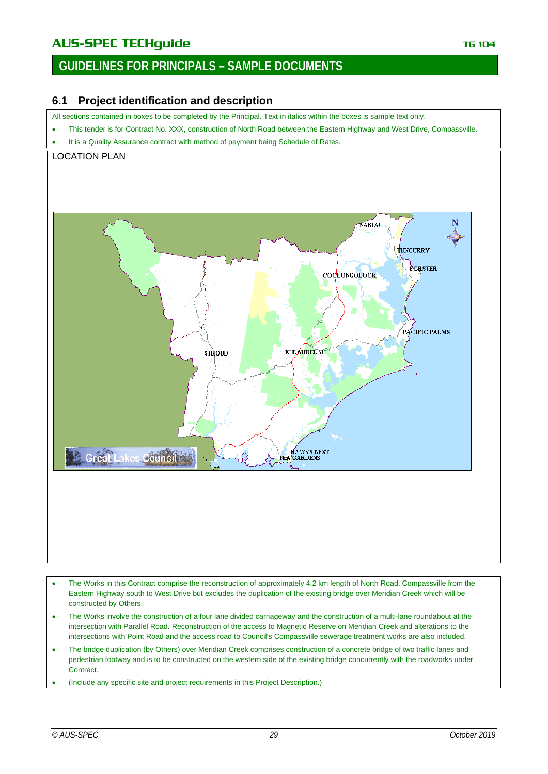# AUS-SPEC TECHguide **TECHGUIDE TECHGUIDE TELEVISION** TG 104

# **GUIDELINES FOR PRINCIPALS – SAMPLE DOCUMENTS**

### <span id="page-28-0"></span>**6.1 Project identification and description**

All sections contained in boxes to be completed by the Principal. Text in italics within the boxes is sample text only.

- This tender is for Contract No. XXX, construction of North Road between the Eastern Highway and West Drive, Compassville.
- It is a Quality Assurance contract with method of payment being Schedule of Rates.

### LOCATION PLAN



- The Works in this Contract comprise the reconstruction of approximately 4.2 km length of North Road, Compassville from the Eastern Highway south to West Drive but excludes the duplication of the existing bridge over Meridian Creek which will be constructed by Others.
- The Works involve the construction of a four lane divided carriageway and the construction of a multi-lane roundabout at the intersection with Parallel Road. Reconstruction of the access to Magnetic Reserve on Meridian Creek and alterations to the intersections with Point Road and the access road to Council's Compassville sewerage treatment works are also included.
- The bridge duplication (by Others) over Meridian Creek comprises construction of a concrete bridge of two traffic lanes and pedestrian footway and is to be constructed on the western side of the existing bridge concurrently with the roadworks under Contract.
- (Include any specific site and project requirements in this Project Description.)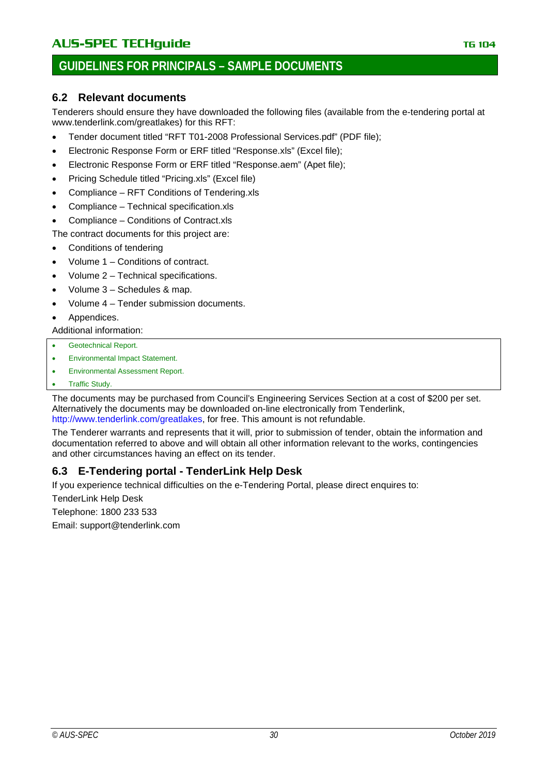### <span id="page-29-0"></span>**6.2 Relevant documents**

Tenderers should ensure they have downloaded the following files (available from the e-tendering portal at www.tenderlink.com/greatlakes) for this RFT:

- Tender document titled "RFT T01-2008 Professional Services.pdf" (PDF file);
- Electronic Response Form or ERF titled "Response.xls" (Excel file);
- Electronic Response Form or ERF titled "Response.aem" (Apet file);
- Pricing Schedule titled "Pricing.xls" (Excel file)
- Compliance RFT Conditions of Tendering.xls
- Compliance Technical specification.xls
- Compliance Conditions of Contract.xls

The contract documents for this project are:

- Conditions of tendering
- Volume 1 Conditions of contract.
- Volume 2 Technical specifications.
- Volume 3 Schedules & map.
- Volume 4 Tender submission documents.
- Appendices.

Additional information:

- Geotechnical Report.
- Environmental Impact Statement.
- Environmental Assessment Report.
- **Traffic Study.**

The documents may be purchased from Council's Engineering Services Section at a cost of \$200 per set. Alternatively the documents may be downloaded on-line electronically from Tenderlink, [http://www.tenderlink.com/greatlakes,](http://www.tenderlink.com/greatlakes) for free. This amount is not refundable.

The Tenderer warrants and represents that it will, prior to submission of tender, obtain the information and documentation referred to above and will obtain all other information relevant to the works, contingencies and other circumstances having an effect on its tender.

# <span id="page-29-1"></span>**6.3 E-Tendering portal - TenderLink Help Desk**

If you experience technical difficulties on the e-Tendering Portal, please direct enquires to:

TenderLink Help Desk

Telephone: 1800 233 533

Email: support@tenderlink.com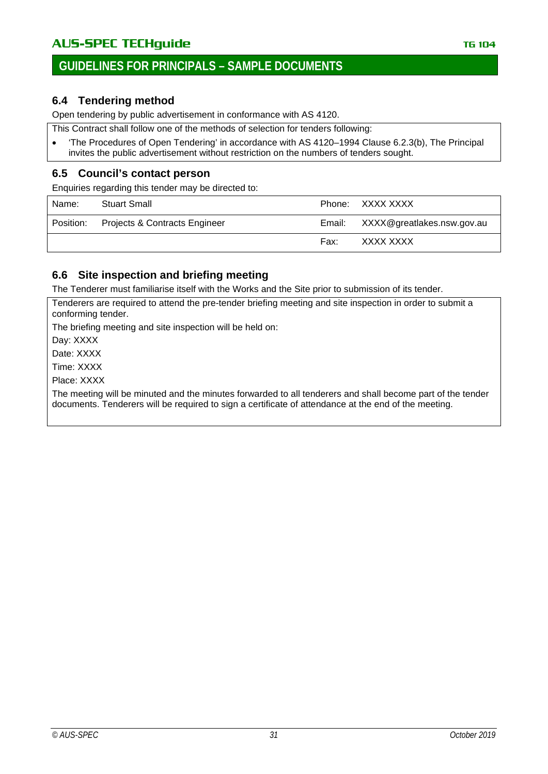### <span id="page-30-0"></span>**6.4 Tendering method**

Open tendering by public advertisement in conformance with AS 4120.

This Contract shall follow one of the methods of selection for tenders following:

• 'The Procedures of Open Tendering' in accordance with AS 4120–1994 Clause 6.2.3(b), The Principal invites the public advertisement without restriction on the numbers of tenders sought.

### <span id="page-30-1"></span>**6.5 Council's contact person**

Enquiries regarding this tender may be directed to:

| Name:     | <b>Stuart Small</b>           |        | Phone: XXXX XXXX           |
|-----------|-------------------------------|--------|----------------------------|
| Position: | Projects & Contracts Engineer | Email: | XXXX@greatlakes.nsw.gov.au |
|           |                               | Fax:   | XXXX XXXX                  |

### <span id="page-30-2"></span>**6.6 Site inspection and briefing meeting**

The Tenderer must familiarise itself with the Works and the Site prior to submission of its tender.

Tenderers are required to attend the pre-tender briefing meeting and site inspection in order to submit a conforming tender.

The briefing meeting and site inspection will be held on:

Day: XXXX

Date: XXXX

Time: XXXX

Place: XXXX

The meeting will be minuted and the minutes forwarded to all tenderers and shall become part of the tender documents. Tenderers will be required to sign a certificate of attendance at the end of the meeting.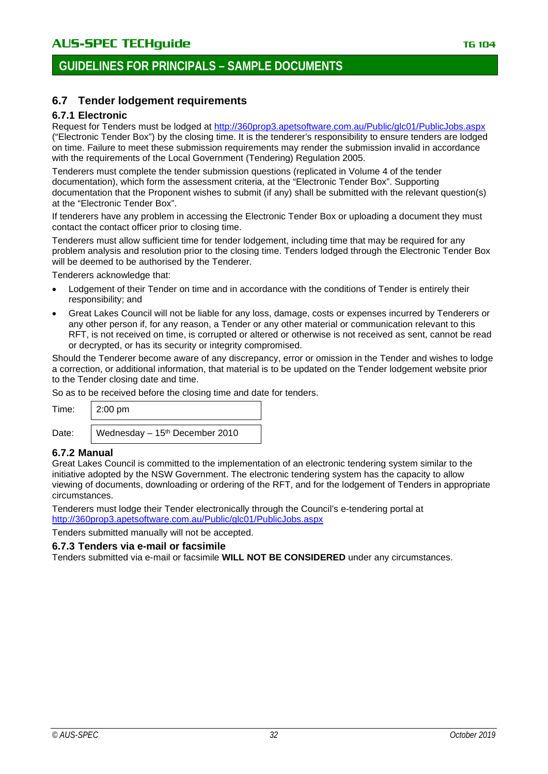### <span id="page-31-0"></span>**6.7 Tender lodgement requirements**

#### <span id="page-31-1"></span>**6.7.1 Electronic**

Request for Tenders must be lodged at<http://360prop3.apetsoftware.com.au/Public/glc01/PublicJobs.aspx> ("Electronic Tender Box") by the closing time. It is the tenderer's responsibility to ensure tenders are lodged on time. Failure to meet these submission requirements may render the submission invalid in accordance with the requirements of the Local Government (Tendering) Regulation 2005.

Tenderers must complete the tender submission questions (replicated in Volume 4 of the tender documentation), which form the assessment criteria, at the "Electronic Tender Box". Supporting documentation that the Proponent wishes to submit (if any) shall be submitted with the relevant question(s) at the "Electronic Tender Box".

If tenderers have any problem in accessing the Electronic Tender Box or uploading a document they must contact the contact officer prior to closing time.

Tenderers must allow sufficient time for tender lodgement, including time that may be required for any problem analysis and resolution prior to the closing time. Tenders lodged through the Electronic Tender Box will be deemed to be authorised by the Tenderer.

Tenderers acknowledge that:

- Lodgement of their Tender on time and in accordance with the conditions of Tender is entirely their responsibility; and
- Great Lakes Council will not be liable for any loss, damage, costs or expenses incurred by Tenderers or any other person if, for any reason, a Tender or any other material or communication relevant to this RFT, is not received on time, is corrupted or altered or otherwise is not received as sent, cannot be read or decrypted, or has its security or integrity compromised.

Should the Tenderer become aware of any discrepancy, error or omission in the Tender and wishes to lodge a correction, or additional information, that material is to be updated on the Tender lodgement website prior to the Tender closing date and time.

So as to be received before the closing time and date for tenders.

| Time: | $2:00 \text{ pm}$               |
|-------|---------------------------------|
| Date: | Wednesday $-15th$ December 2010 |

### <span id="page-31-2"></span>**6.7.2 Manual**

Great Lakes Council is committed to the implementation of an electronic tendering system similar to the initiative adopted by the NSW Government. The electronic tendering system has the capacity to allow viewing of documents, downloading or ordering of the RFT, and for the lodgement of Tenders in appropriate circumstances.

Tenderers must lodge their Tender electronically through the Council's e-tendering portal at <http://360prop3.apetsoftware.com.au/Public/glc01/PublicJobs.aspx>

Tenders submitted manually will not be accepted.

#### <span id="page-31-3"></span>**6.7.3 Tenders via e-mail or facsimile**

Tenders submitted via e-mail or facsimile **WILL NOT BE CONSIDERED** under any circumstances.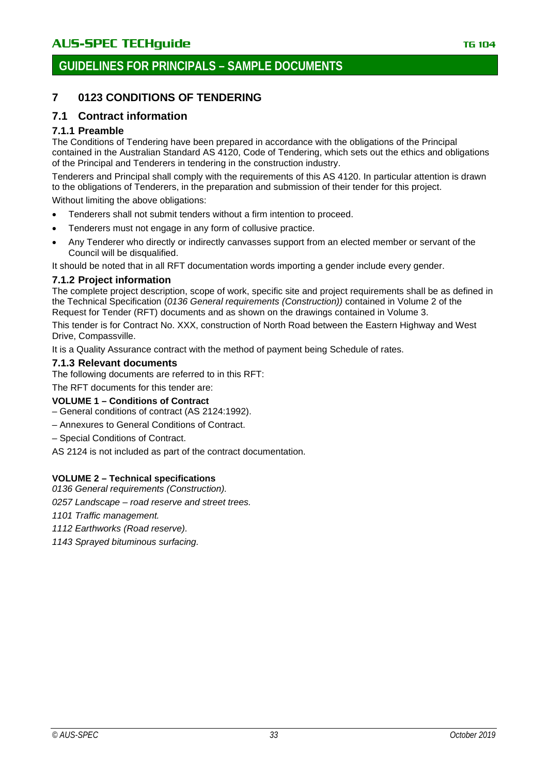# **GUIDELINES FOR PRINCIPALS – SAMPLE DOCUMENTS**

### <span id="page-32-0"></span>**7 0123 CONDITIONS OF TENDERING**

### <span id="page-32-1"></span>**7.1 Contract information**

### <span id="page-32-2"></span>**7.1.1 Preamble**

The Conditions of Tendering have been prepared in accordance with the obligations of the Principal contained in the Australian Standard AS 4120, Code of Tendering, which sets out the ethics and obligations of the Principal and Tenderers in tendering in the construction industry.

Tenderers and Principal shall comply with the requirements of this AS 4120. In particular attention is drawn to the obligations of Tenderers, in the preparation and submission of their tender for this project.

Without limiting the above obligations:

- Tenderers shall not submit tenders without a firm intention to proceed.
- Tenderers must not engage in any form of collusive practice.
- Any Tenderer who directly or indirectly canvasses support from an elected member or servant of the Council will be disqualified.

It should be noted that in all RFT documentation words importing a gender include every gender.

#### <span id="page-32-3"></span>**7.1.2 Project information**

The complete project description, scope of work, specific site and project requirements shall be as defined in the Technical Specification (*0136 General requirements (Construction))* contained in Volume 2 of the Request for Tender (RFT) documents and as shown on the drawings contained in Volume 3.

This tender is for Contract No. XXX, construction of North Road between the Eastern Highway and West Drive, Compassville.

It is a Quality Assurance contract with the method of payment being Schedule of rates.

#### <span id="page-32-4"></span>**7.1.3 Relevant documents**

The following documents are referred to in this RFT:

The RFT documents for this tender are:

#### **VOLUME 1 – Conditions of Contract**

- General conditions of contract (AS 2124:1992).
- Annexures to General Conditions of Contract.
- Special Conditions of Contract.

AS 2124 is not included as part of the contract documentation.

#### **VOLUME 2 – Technical specifications**

*0136 General requirements (Construction).*

*0257 Landscape – road reserve and street trees.*

*1101 Traffic management.*

*1112 Earthworks (Road reserve).*

*1143 Sprayed bituminous surfacing.*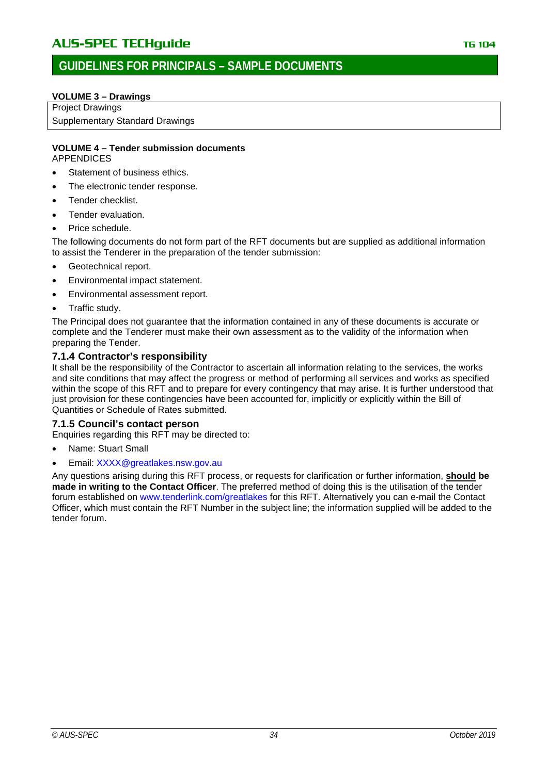#### **VOLUME 3 – Drawings**

Project Drawings Supplementary Standard Drawings

#### **VOLUME 4 – Tender submission documents** APPENDICES

- Statement of business ethics.
- The electronic tender response.
- Tender checklist.
- Tender evaluation.
- Price schedule.

The following documents do not form part of the RFT documents but are supplied as additional information to assist the Tenderer in the preparation of the tender submission:

- Geotechnical report.
- Environmental impact statement.
- Environmental assessment report.
- Traffic study.

The Principal does not guarantee that the information contained in any of these documents is accurate or complete and the Tenderer must make their own assessment as to the validity of the information when preparing the Tender.

#### <span id="page-33-0"></span>**7.1.4 Contractor's responsibility**

It shall be the responsibility of the Contractor to ascertain all information relating to the services, the works and site conditions that may affect the progress or method of performing all services and works as specified within the scope of this RFT and to prepare for every contingency that may arise. It is further understood that just provision for these contingencies have been accounted for, implicitly or explicitly within the Bill of Quantities or Schedule of Rates submitted.

#### <span id="page-33-1"></span>**7.1.5 Council's contact person**

Enquiries regarding this RFT may be directed to:

- Name: Stuart Small
- Email: [XXXX@greatlakes.nsw.gov.au](mailto:XXXX@greatlakes.nsw.gov.au)

Any questions arising during this RFT process, or requests for clarification or further information, **should be made in writing to the Contact Officer**. The preferred method of doing this is the utilisation of the tender forum established on [www.tenderlink.com/greatlakes](http://www.tenderlink.com/greatlakes) for this RFT. Alternatively you can e-mail the Contact Officer, which must contain the RFT Number in the subject line; the information supplied will be added to the tender forum.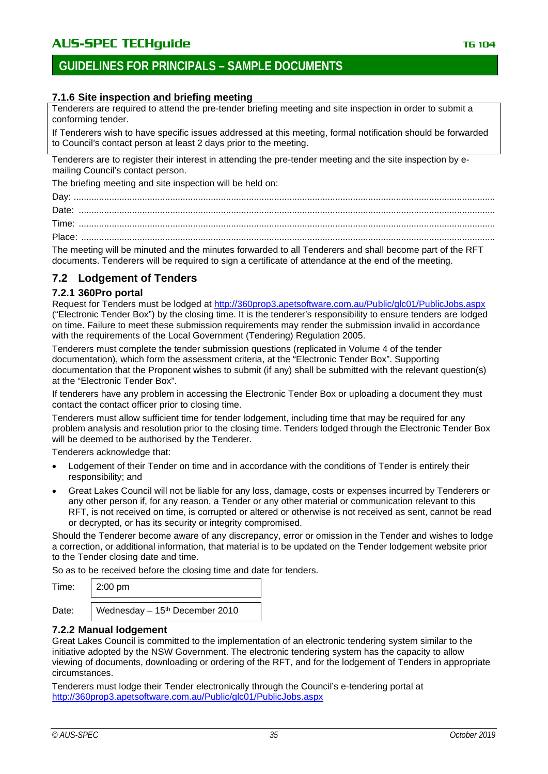### <span id="page-34-1"></span>**7.1.6 Site inspection and briefing meeting**

Tenderers are required to attend the pre-tender briefing meeting and site inspection in order to submit a conforming tender.

If Tenderers wish to have specific issues addressed at this meeting, formal notification should be forwarded to Council's contact person at least 2 days prior to the meeting.

Tenderers are to register their interest in attending the pre-tender meeting and the site inspection by emailing Council's contact person.

The briefing meeting and site inspection will be held on:

Day: ...................................................................................................................................................................... Date: .................................................................................................................................................................... Time: .................................................................................................................................................................... Place: ...................................................................................................................................................................

The meeting will be minuted and the minutes forwarded to all Tenderers and shall become part of the RFT documents. Tenderers will be required to sign a certificate of attendance at the end of the meeting.

### <span id="page-34-0"></span>**7.2 Lodgement of Tenders**

### <span id="page-34-2"></span>**7.2.1 360Pro portal**

Request for Tenders must be lodged at<http://360prop3.apetsoftware.com.au/Public/glc01/PublicJobs.aspx> ("Electronic Tender Box") by the closing time. It is the tenderer's responsibility to ensure tenders are lodged on time. Failure to meet these submission requirements may render the submission invalid in accordance with the requirements of the Local Government (Tendering) Regulation 2005.

Tenderers must complete the tender submission questions (replicated in Volume 4 of the tender documentation), which form the assessment criteria, at the "Electronic Tender Box". Supporting documentation that the Proponent wishes to submit (if any) shall be submitted with the relevant question(s) at the "Electronic Tender Box".

If tenderers have any problem in accessing the Electronic Tender Box or uploading a document they must contact the contact officer prior to closing time.

Tenderers must allow sufficient time for tender lodgement, including time that may be required for any problem analysis and resolution prior to the closing time. Tenders lodged through the Electronic Tender Box will be deemed to be authorised by the Tenderer.

Tenderers acknowledge that:

- Lodgement of their Tender on time and in accordance with the conditions of Tender is entirely their responsibility; and
- Great Lakes Council will not be liable for any loss, damage, costs or expenses incurred by Tenderers or any other person if, for any reason, a Tender or any other material or communication relevant to this RFT, is not received on time, is corrupted or altered or otherwise is not received as sent, cannot be read or decrypted, or has its security or integrity compromised.

Should the Tenderer become aware of any discrepancy, error or omission in the Tender and wishes to lodge a correction, or additional information, that material is to be updated on the Tender lodgement website prior to the Tender closing date and time.

So as to be received before the closing time and date for tenders.

| Time: | $2:00 \text{ pm}$ |  |
|-------|-------------------|--|
|-------|-------------------|--|

Date: Wednesday – 15<sup>th</sup> December 2010

### <span id="page-34-3"></span>**7.2.2 Manual lodgement**

Great Lakes Council is committed to the implementation of an electronic tendering system similar to the initiative adopted by the NSW Government. The electronic tendering system has the capacity to allow viewing of documents, downloading or ordering of the RFT, and for the lodgement of Tenders in appropriate circumstances.

Tenderers must lodge their Tender electronically through the Council's e-tendering portal at <http://360prop3.apetsoftware.com.au/Public/glc01/PublicJobs.aspx>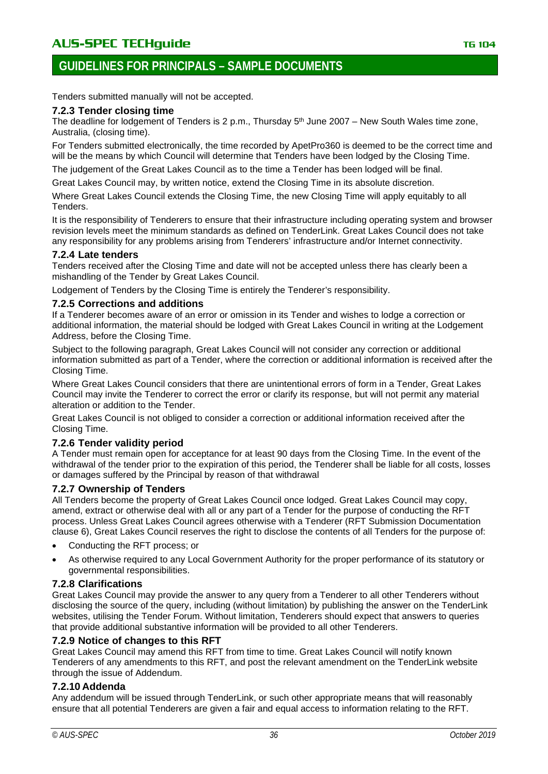# **GUIDELINES FOR PRINCIPALS – SAMPLE DOCUMENTS**

Tenders submitted manually will not be accepted.

#### <span id="page-35-0"></span>**7.2.3 Tender closing time**

The deadline for lodgement of Tenders is 2 p.m., Thursday  $5<sup>th</sup>$  June 2007 – New South Wales time zone, Australia, (closing time).

For Tenders submitted electronically, the time recorded by ApetPro360 is deemed to be the correct time and will be the means by which Council will determine that Tenders have been lodged by the Closing Time.

The judgement of the Great Lakes Council as to the time a Tender has been lodged will be final.

Great Lakes Council may, by written notice, extend the Closing Time in its absolute discretion.

Where Great Lakes Council extends the Closing Time, the new Closing Time will apply equitably to all Tenders.

It is the responsibility of Tenderers to ensure that their infrastructure including operating system and browser revision levels meet the minimum standards as defined on TenderLink. Great Lakes Council does not take any responsibility for any problems arising from Tenderers' infrastructure and/or Internet connectivity.

#### <span id="page-35-1"></span>**7.2.4 Late tenders**

Tenders received after the Closing Time and date will not be accepted unless there has clearly been a mishandling of the Tender by Great Lakes Council.

Lodgement of Tenders by the Closing Time is entirely the Tenderer's responsibility.

#### <span id="page-35-2"></span>**7.2.5 Corrections and additions**

If a Tenderer becomes aware of an error or omission in its Tender and wishes to lodge a correction or additional information, the material should be lodged with Great Lakes Council in writing at the Lodgement Address, before the Closing Time.

Subject to the following paragraph, Great Lakes Council will not consider any correction or additional information submitted as part of a Tender, where the correction or additional information is received after the Closing Time.

Where Great Lakes Council considers that there are unintentional errors of form in a Tender, Great Lakes Council may invite the Tenderer to correct the error or clarify its response, but will not permit any material alteration or addition to the Tender.

Great Lakes Council is not obliged to consider a correction or additional information received after the Closing Time.

#### <span id="page-35-3"></span>**7.2.6 Tender validity period**

A Tender must remain open for acceptance for at least 90 days from the Closing Time. In the event of the withdrawal of the tender prior to the expiration of this period, the Tenderer shall be liable for all costs, losses or damages suffered by the Principal by reason of that withdrawal

#### <span id="page-35-4"></span>**7.2.7 Ownership of Tenders**

All Tenders become the property of Great Lakes Council once lodged. Great Lakes Council may copy, amend, extract or otherwise deal with all or any part of a Tender for the purpose of conducting the RFT process. Unless Great Lakes Council agrees otherwise with a Tenderer (RFT Submission Documentation clause 6), Great Lakes Council reserves the right to disclose the contents of all Tenders for the purpose of:

- Conducting the RFT process; or
- As otherwise required to any Local Government Authority for the proper performance of its statutory or governmental responsibilities.

#### <span id="page-35-5"></span>**7.2.8 Clarifications**

Great Lakes Council may provide the answer to any query from a Tenderer to all other Tenderers without disclosing the source of the query, including (without limitation) by publishing the answer on the TenderLink websites, utilising the Tender Forum. Without limitation, Tenderers should expect that answers to queries that provide additional substantive information will be provided to all other Tenderers.

#### <span id="page-35-6"></span>**7.2.9 Notice of changes to this RFT**

Great Lakes Council may amend this RFT from time to time. Great Lakes Council will notify known Tenderers of any amendments to this RFT, and post the relevant amendment on the TenderLink website through the issue of Addendum.

#### <span id="page-35-7"></span>**7.2.10 Addenda**

Any addendum will be issued through TenderLink, or such other appropriate means that will reasonably ensure that all potential Tenderers are given a fair and equal access to information relating to the RFT.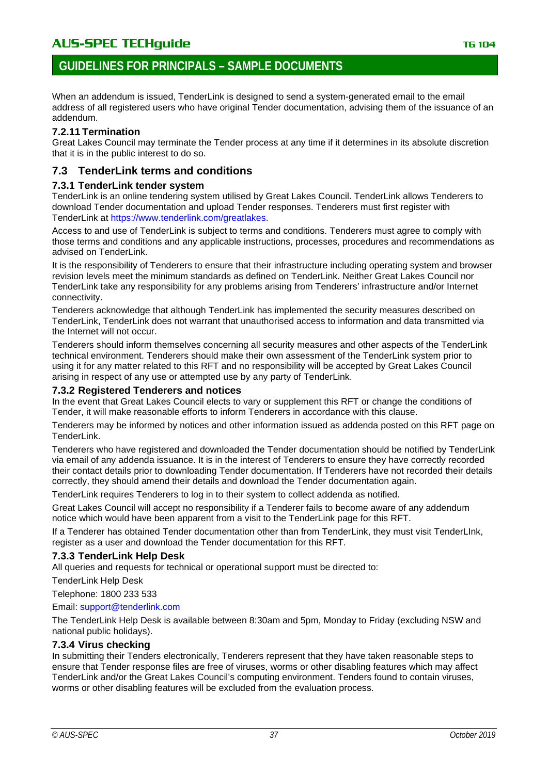# **GUIDELINES FOR PRINCIPALS – SAMPLE DOCUMENTS**

When an addendum is issued, TenderLink is designed to send a system-generated email to the email address of all registered users who have original Tender documentation, advising them of the issuance of an addendum.

# **7.2.11 Termination**

Great Lakes Council may terminate the Tender process at any time if it determines in its absolute discretion that it is in the public interest to do so.

# **7.3 TenderLink terms and conditions**

### **7.3.1 TenderLink tender system**

TenderLink is an online tendering system utilised by Great Lakes Council. TenderLink allows Tenderers to download Tender documentation and upload Tender responses. Tenderers must first register with TenderLink at [https://www.tenderlink.com/greatlakes.](https://www.tenderlink.com/greatlakes)

Access to and use of TenderLink is subject to terms and conditions. Tenderers must agree to comply with those terms and conditions and any applicable instructions, processes, procedures and recommendations as advised on TenderLink.

It is the responsibility of Tenderers to ensure that their infrastructure including operating system and browser revision levels meet the minimum standards as defined on TenderLink. Neither Great Lakes Council nor TenderLink take any responsibility for any problems arising from Tenderers' infrastructure and/or Internet connectivity.

Tenderers acknowledge that although TenderLink has implemented the security measures described on TenderLink, TenderLink does not warrant that unauthorised access to information and data transmitted via the Internet will not occur.

Tenderers should inform themselves concerning all security measures and other aspects of the TenderLink technical environment. Tenderers should make their own assessment of the TenderLink system prior to using it for any matter related to this RFT and no responsibility will be accepted by Great Lakes Council arising in respect of any use or attempted use by any party of TenderLink.

### **7.3.2 Registered Tenderers and notices**

In the event that Great Lakes Council elects to vary or supplement this RFT or change the conditions of Tender, it will make reasonable efforts to inform Tenderers in accordance with this clause.

Tenderers may be informed by notices and other information issued as addenda posted on this RFT page on TenderLink.

Tenderers who have registered and downloaded the Tender documentation should be notified by TenderLink via email of any addenda issuance. It is in the interest of Tenderers to ensure they have correctly recorded their contact details prior to downloading Tender documentation. If Tenderers have not recorded their details correctly, they should amend their details and download the Tender documentation again.

TenderLink requires Tenderers to log in to their system to collect addenda as notified.

Great Lakes Council will accept no responsibility if a Tenderer fails to become aware of any addendum notice which would have been apparent from a visit to the TenderLink page for this RFT.

If a Tenderer has obtained Tender documentation other than from TenderLink, they must visit TenderLInk, register as a user and download the Tender documentation for this RFT.

# **7.3.3 TenderLink Help Desk**

All queries and requests for technical or operational support must be directed to:

TenderLink Help Desk

Telephone: 1800 233 533

### Email: [support@tenderlink.com](mailto:support@tenderlink.com)

The TenderLink Help Desk is available between 8:30am and 5pm, Monday to Friday (excluding NSW and national public holidays).

### **7.3.4 Virus checking**

In submitting their Tenders electronically, Tenderers represent that they have taken reasonable steps to ensure that Tender response files are free of viruses, worms or other disabling features which may affect TenderLink and/or the Great Lakes Council's computing environment. Tenders found to contain viruses, worms or other disabling features will be excluded from the evaluation process.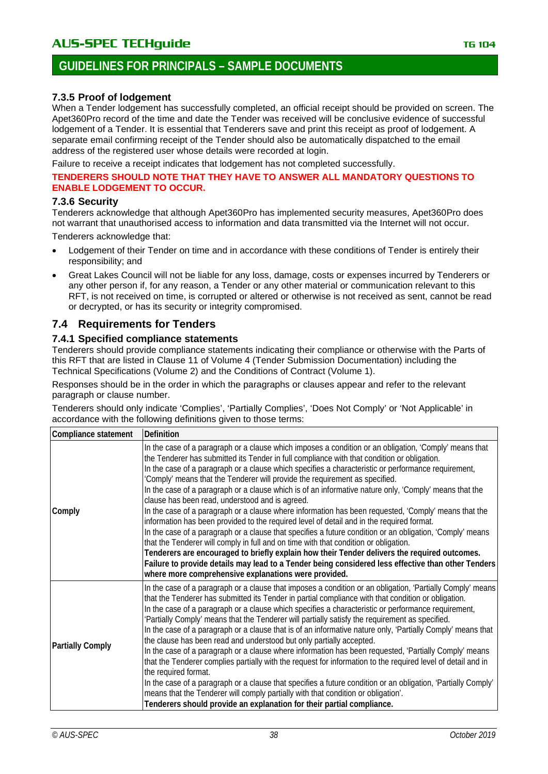# **GUIDELINES FOR PRINCIPALS – SAMPLE DOCUMENTS**

### **7.3.5 Proof of lodgement**

When a Tender lodgement has successfully completed, an official receipt should be provided on screen. The Apet360Pro record of the time and date the Tender was received will be conclusive evidence of successful lodgement of a Tender. It is essential that Tenderers save and print this receipt as proof of lodgement. A separate email confirming receipt of the Tender should also be automatically dispatched to the email address of the registered user whose details were recorded at login.

Failure to receive a receipt indicates that lodgement has not completed successfully.

#### **TENDERERS SHOULD NOTE THAT THEY HAVE TO ANSWER ALL MANDATORY QUESTIONS TO ENABLE LODGEMENT TO OCCUR.**

### **7.3.6 Security**

Tenderers acknowledge that although Apet360Pro has implemented security measures, Apet360Pro does not warrant that unauthorised access to information and data transmitted via the Internet will not occur.

Tenderers acknowledge that:

- Lodgement of their Tender on time and in accordance with these conditions of Tender is entirely their responsibility; and
- Great Lakes Council will not be liable for any loss, damage, costs or expenses incurred by Tenderers or any other person if, for any reason, a Tender or any other material or communication relevant to this RFT, is not received on time, is corrupted or altered or otherwise is not received as sent, cannot be read or decrypted, or has its security or integrity compromised.

# **7.4 Requirements for Tenders**

### **7.4.1 Specified compliance statements**

Tenderers should provide compliance statements indicating their compliance or otherwise with the Parts of this RFT that are listed in Clause 11 of Volume 4 (Tender Submission Documentation) including the Technical Specifications (Volume 2) and the Conditions of Contract (Volume 1).

Responses should be in the order in which the paragraphs or clauses appear and refer to the relevant paragraph or clause number.

Tenderers should only indicate 'Complies', 'Partially Complies', 'Does Not Comply' or 'Not Applicable' in accordance with the following definitions given to those terms:

| Compliance statement    | Definition                                                                                                                                                                                                                                                                                                                                                                                                                                                                                                                                                                                                                                                                                                                                                                                                                                                                                                                                                                                                                                                                                                                                                                                                                       |  |
|-------------------------|----------------------------------------------------------------------------------------------------------------------------------------------------------------------------------------------------------------------------------------------------------------------------------------------------------------------------------------------------------------------------------------------------------------------------------------------------------------------------------------------------------------------------------------------------------------------------------------------------------------------------------------------------------------------------------------------------------------------------------------------------------------------------------------------------------------------------------------------------------------------------------------------------------------------------------------------------------------------------------------------------------------------------------------------------------------------------------------------------------------------------------------------------------------------------------------------------------------------------------|--|
| Comply                  | In the case of a paragraph or a clause which imposes a condition or an obligation, 'Comply' means that<br>the Tenderer has submitted its Tender in full compliance with that condition or obligation.<br>In the case of a paragraph or a clause which specifies a characteristic or performance requirement,<br>'Comply' means that the Tenderer will provide the requirement as specified.<br>In the case of a paragraph or a clause which is of an informative nature only, 'Comply' means that the<br>clause has been read, understood and is agreed.<br>In the case of a paragraph or a clause where information has been requested, 'Comply' means that the<br>information has been provided to the required level of detail and in the required format.<br>In the case of a paragraph or a clause that specifies a future condition or an obligation, 'Comply' means<br>that the Tenderer will comply in full and on time with that condition or obligation.<br>Tenderers are encouraged to briefly explain how their Tender delivers the required outcomes.<br>Failure to provide details may lead to a Tender being considered less effective than other Tenders<br>where more comprehensive explanations were provided. |  |
| <b>Partially Comply</b> | In the case of a paragraph or a clause that imposes a condition or an obligation, 'Partially Comply' means<br>that the Tenderer has submitted its Tender in partial compliance with that condition or obligation.<br>In the case of a paragraph or a clause which specifies a characteristic or performance requirement,<br>'Partially Comply' means that the Tenderer will partially satisfy the requirement as specified.<br>In the case of a paragraph or a clause that is of an informative nature only, 'Partially Comply' means that<br>the clause has been read and understood but only partially accepted.<br>In the case of a paragraph or a clause where information has been requested, 'Partially Comply' means<br>that the Tenderer complies partially with the request for information to the required level of detail and in<br>the required format.<br>In the case of a paragraph or a clause that specifies a future condition or an obligation, 'Partially Comply'<br>means that the Tenderer will comply partially with that condition or obligation'.<br>Tenderers should provide an explanation for their partial compliance.                                                                               |  |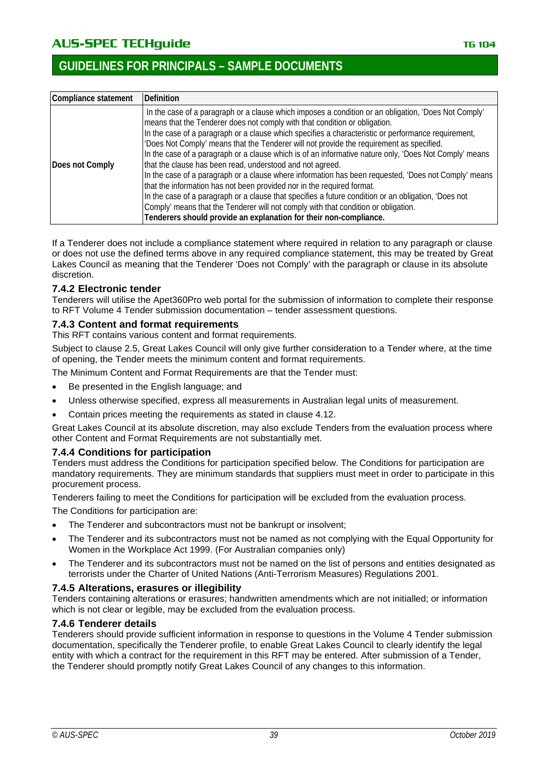# AU**S-SPEC TECHguide** The Contract of the Contract of The Contract of The Contract of The Contract of The Contract of The Contract of The Contract of The Contract of The Contract of The Contract of The Contract of The Contr

| Compliance statement | Definition                                                                                                                                                                                                                                                                                                                                                                                                                                                                                                                                                                                                                                                                                                                                                                                                                                                                                                                                                                                                        |  |  |
|----------------------|-------------------------------------------------------------------------------------------------------------------------------------------------------------------------------------------------------------------------------------------------------------------------------------------------------------------------------------------------------------------------------------------------------------------------------------------------------------------------------------------------------------------------------------------------------------------------------------------------------------------------------------------------------------------------------------------------------------------------------------------------------------------------------------------------------------------------------------------------------------------------------------------------------------------------------------------------------------------------------------------------------------------|--|--|
| Does not Comply      | In the case of a paragraph or a clause which imposes a condition or an obligation, 'Does Not Comply'<br>means that the Tenderer does not comply with that condition or obligation.<br>In the case of a paragraph or a clause which specifies a characteristic or performance requirement,<br>'Does Not Comply' means that the Tenderer will not provide the requirement as specified.<br>In the case of a paragraph or a clause which is of an informative nature only, 'Does Not Comply' means<br>that the clause has been read, understood and not agreed.<br>In the case of a paragraph or a clause where information has been requested, 'Does not Comply' means<br>that the information has not been provided nor in the required format.<br>In the case of a paragraph or a clause that specifies a future condition or an obligation, 'Does not<br>Comply' means that the Tenderer will not comply with that condition or obligation.<br>Tenderers should provide an explanation for their non-compliance. |  |  |

If a Tenderer does not include a compliance statement where required in relation to any paragraph or clause or does not use the defined terms above in any required compliance statement, this may be treated by Great Lakes Council as meaning that the Tenderer 'Does not Comply' with the paragraph or clause in its absolute discretion.

### **7.4.2 Electronic tender**

Tenderers will utilise the Apet360Pro web portal for the submission of information to complete their response to RFT Volume 4 Tender submission documentation – tender assessment questions.

### **7.4.3 Content and format requirements**

This RFT contains various content and format requirements.

Subject to clause 2.5, Great Lakes Council will only give further consideration to a Tender where, at the time of opening, the Tender meets the minimum content and format requirements.

The Minimum Content and Format Requirements are that the Tender must:

- Be presented in the English language; and
- Unless otherwise specified, express all measurements in Australian legal units of measurement.
- Contain prices meeting the requirements as stated in clause 4.12.

Great Lakes Council at its absolute discretion, may also exclude Tenders from the evaluation process where other Content and Format Requirements are not substantially met.

### **7.4.4 Conditions for participation**

Tenders must address the Conditions for participation specified below. The Conditions for participation are mandatory requirements. They are minimum standards that suppliers must meet in order to participate in this procurement process.

Tenderers failing to meet the Conditions for participation will be excluded from the evaluation process. The Conditions for participation are:

- The Tenderer and subcontractors must not be bankrupt or insolvent;
- The Tenderer and its subcontractors must not be named as not complying with the Equal Opportunity for Women in the Workplace Act 1999. (For Australian companies only)
- The Tenderer and its subcontractors must not be named on the list of persons and entities designated as terrorists under the Charter of United Nations (Anti-Terrorism Measures) Regulations 2001.

### **7.4.5 Alterations, erasures or illegibility**

Tenders containing alterations or erasures; handwritten amendments which are not initialled; or information which is not clear or legible, may be excluded from the evaluation process.

### **7.4.6 Tenderer details**

Tenderers should provide sufficient information in response to questions in the Volume 4 Tender submission documentation, specifically the Tenderer profile, to enable Great Lakes Council to clearly identify the legal entity with which a contract for the requirement in this RFT may be entered. After submission of a Tender, the Tenderer should promptly notify Great Lakes Council of any changes to this information.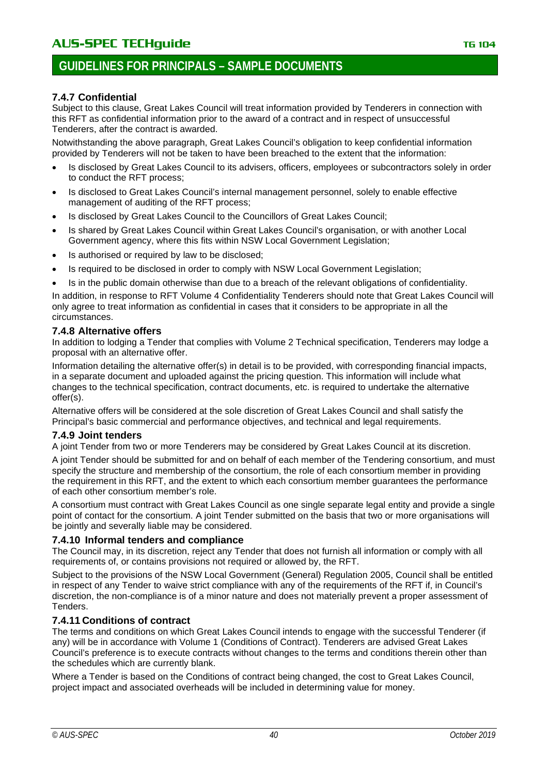# **7.4.7 Confidential**

Subject to this clause, Great Lakes Council will treat information provided by Tenderers in connection with this RFT as confidential information prior to the award of a contract and in respect of unsuccessful Tenderers, after the contract is awarded.

Notwithstanding the above paragraph, Great Lakes Council's obligation to keep confidential information provided by Tenderers will not be taken to have been breached to the extent that the information:

- Is disclosed by Great Lakes Council to its advisers, officers, employees or subcontractors solely in order to conduct the RFT process;
- Is disclosed to Great Lakes Council's internal management personnel, solely to enable effective management of auditing of the RFT process;
- Is disclosed by Great Lakes Council to the Councillors of Great Lakes Council;
- Is shared by Great Lakes Council within Great Lakes Council's organisation, or with another Local Government agency, where this fits within NSW Local Government Legislation;
- Is authorised or required by law to be disclosed:
- Is required to be disclosed in order to comply with NSW Local Government Legislation;
- Is in the public domain otherwise than due to a breach of the relevant obligations of confidentiality.

In addition, in response to RFT Volume 4 Confidentiality Tenderers should note that Great Lakes Council will only agree to treat information as confidential in cases that it considers to be appropriate in all the circumstances.

# **7.4.8 Alternative offers**

In addition to lodging a Tender that complies with Volume 2 Technical specification, Tenderers may lodge a proposal with an alternative offer.

Information detailing the alternative offer(s) in detail is to be provided, with corresponding financial impacts, in a separate document and uploaded against the pricing question. This information will include what changes to the technical specification, contract documents, etc. is required to undertake the alternative offer(s).

Alternative offers will be considered at the sole discretion of Great Lakes Council and shall satisfy the Principal's basic commercial and performance objectives, and technical and legal requirements.

# **7.4.9 Joint tenders**

A joint Tender from two or more Tenderers may be considered by Great Lakes Council at its discretion.

A joint Tender should be submitted for and on behalf of each member of the Tendering consortium, and must specify the structure and membership of the consortium, the role of each consortium member in providing the requirement in this RFT, and the extent to which each consortium member guarantees the performance of each other consortium member's role.

A consortium must contract with Great Lakes Council as one single separate legal entity and provide a single point of contact for the consortium. A joint Tender submitted on the basis that two or more organisations will be jointly and severally liable may be considered.

# **7.4.10 Informal tenders and compliance**

The Council may, in its discretion, reject any Tender that does not furnish all information or comply with all requirements of, or contains provisions not required or allowed by, the RFT.

Subject to the provisions of the NSW Local Government (General) Regulation 2005, Council shall be entitled in respect of any Tender to waive strict compliance with any of the requirements of the RFT if, in Council's discretion, the non-compliance is of a minor nature and does not materially prevent a proper assessment of Tenders.

# **7.4.11 Conditions of contract**

The terms and conditions on which Great Lakes Council intends to engage with the successful Tenderer (if any) will be in accordance with Volume 1 (Conditions of Contract). Tenderers are advised Great Lakes Council's preference is to execute contracts without changes to the terms and conditions therein other than the schedules which are currently blank.

Where a Tender is based on the Conditions of contract being changed, the cost to Great Lakes Council, project impact and associated overheads will be included in determining value for money.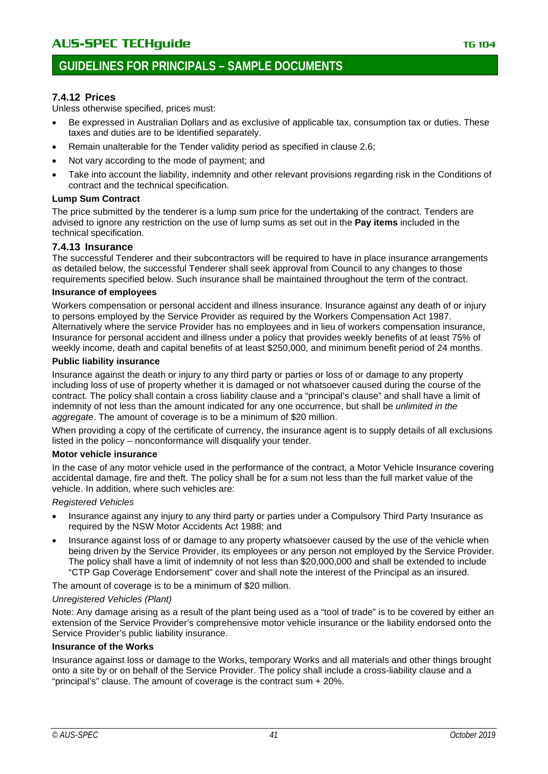# **GUIDELINES FOR PRINCIPALS – SAMPLE DOCUMENTS**

# **7.4.12 Prices**

Unless otherwise specified, prices must:

- Be expressed in Australian Dollars and as exclusive of applicable tax, consumption tax or duties. These taxes and duties are to be identified separately.
- Remain unalterable for the Tender validity period as specified in clause 2.6;
- Not vary according to the mode of payment; and
- Take into account the liability, indemnity and other relevant provisions regarding risk in the Conditions of contract and the technical specification.

#### **Lump Sum Contract**

The price submitted by the tenderer is a lump sum price for the undertaking of the contract. Tenders are advised to ignore any restriction on the use of lump sums as set out in the **Pay items** included in the technical specification.

#### **7.4.13 Insurance**

The successful Tenderer and their subcontractors will be required to have in place insurance arrangements as detailed below, the successful Tenderer shall seek approval from Council to any changes to those requirements specified below. Such insurance shall be maintained throughout the term of the contract.

#### **Insurance of employees**

Workers compensation or personal accident and illness insurance. Insurance against any death of or injury to persons employed by the Service Provider as required by the Workers Compensation Act 1987. Alternatively where the service Provider has no employees and in lieu of workers compensation insurance, Insurance for personal accident and illness under a policy that provides weekly benefits of at least 75% of weekly income, death and capital benefits of at least \$250,000, and minimum benefit period of 24 months.

#### **Public liability insurance**

Insurance against the death or injury to any third party or parties or loss of or damage to any property including loss of use of property whether it is damaged or not whatsoever caused during the course of the contract. The policy shall contain a cross liability clause and a "principal's clause" and shall have a limit of indemnity of not less than the amount indicated for any one occurrence, but shall be *unlimited in the aggregate*. The amount of coverage is to be a minimum of \$20 million.

When providing a copy of the certificate of currency, the insurance agent is to supply details of all exclusions listed in the policy – nonconformance will disqualify your tender.

#### **Motor vehicle insurance**

In the case of any motor vehicle used in the performance of the contract, a Motor Vehicle Insurance covering accidental damage, fire and theft. The policy shall be for a sum not less than the full market value of the vehicle. In addition, where such vehicles are:

*Registered Vehicles*

- Insurance against any injury to any third party or parties under a Compulsory Third Party Insurance as required by the NSW Motor Accidents Act 1988; and
- Insurance against loss of or damage to any property whatsoever caused by the use of the vehicle when being driven by the Service Provider, its employees or any person not employed by the Service Provider. The policy shall have a limit of indemnity of not less than \$20,000,000 and shall be extended to include "CTP Gap Coverage Endorsement" cover and shall note the interest of the Principal as an insured.

The amount of coverage is to be a minimum of \$20 million.

### *Unregistered Vehicles (Plant)*

Note: Any damage arising as a result of the plant being used as a "tool of trade" is to be covered by either an extension of the Service Provider's comprehensive motor vehicle insurance or the liability endorsed onto the Service Provider's public liability insurance.

### **Insurance of the Works**

Insurance against loss or damage to the Works, temporary Works and all materials and other things brought onto a site by or on behalf of the Service Provider. The policy shall include a cross-liability clause and a "principal's" clause. The amount of coverage is the contract sum + 20%.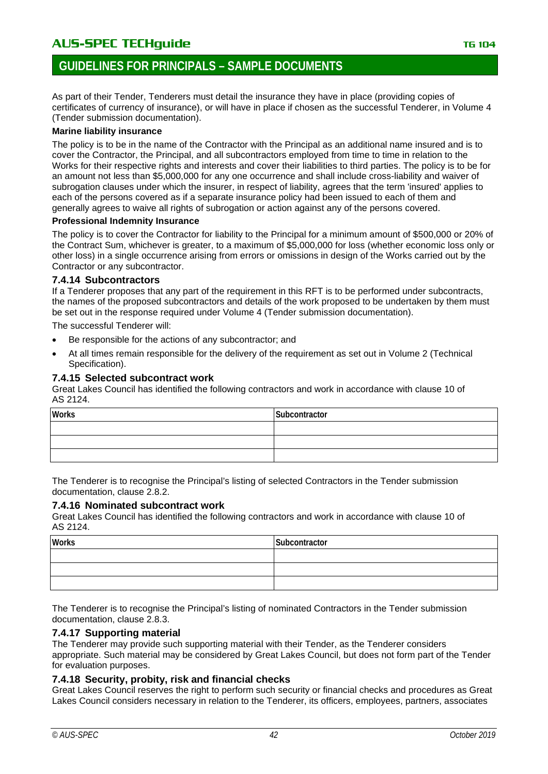# **GUIDELINES FOR PRINCIPALS – SAMPLE DOCUMENTS**

As part of their Tender, Tenderers must detail the insurance they have in place (providing copies of certificates of currency of insurance), or will have in place if chosen as the successful Tenderer, in Volume 4 (Tender submission documentation).

#### **Marine liability insurance**

The policy is to be in the name of the Contractor with the Principal as an additional name insured and is to cover the Contractor, the Principal, and all subcontractors employed from time to time in relation to the Works for their respective rights and interests and cover their liabilities to third parties. The policy is to be for an amount not less than \$5,000,000 for any one occurrence and shall include cross-liability and waiver of subrogation clauses under which the insurer, in respect of liability, agrees that the term 'insured' applies to each of the persons covered as if a separate insurance policy had been issued to each of them and generally agrees to waive all rights of subrogation or action against any of the persons covered.

#### **Professional Indemnity Insurance**

The policy is to cover the Contractor for liability to the Principal for a minimum amount of \$500,000 or 20% of the Contract Sum, whichever is greater, to a maximum of \$5,000,000 for loss (whether economic loss only or other loss) in a single occurrence arising from errors or omissions in design of the Works carried out by the Contractor or any subcontractor.

### **7.4.14 Subcontractors**

If a Tenderer proposes that any part of the requirement in this RFT is to be performed under subcontracts, the names of the proposed subcontractors and details of the work proposed to be undertaken by them must be set out in the response required under Volume 4 (Tender submission documentation).

The successful Tenderer will:

- Be responsible for the actions of any subcontractor; and
- At all times remain responsible for the delivery of the requirement as set out in Volume 2 (Technical Specification).

### **7.4.15 Selected subcontract work**

Great Lakes Council has identified the following contractors and work in accordance with clause 10 of AS 2124.

| <b>Works</b> | Subcontractor |
|--------------|---------------|
|              |               |
|              |               |
|              |               |

The Tenderer is to recognise the Principal's listing of selected Contractors in the Tender submission documentation, clause 2.8.2.

### **7.4.16 Nominated subcontract work**

Great Lakes Council has identified the following contractors and work in accordance with clause 10 of AS 2124.

| <b>Works</b> | Subcontractor |
|--------------|---------------|
|              |               |
|              |               |
|              |               |

The Tenderer is to recognise the Principal's listing of nominated Contractors in the Tender submission documentation, clause 2.8.3.

### **7.4.17 Supporting material**

The Tenderer may provide such supporting material with their Tender, as the Tenderer considers appropriate. Such material may be considered by Great Lakes Council, but does not form part of the Tender for evaluation purposes.

### **7.4.18 Security, probity, risk and financial checks**

Great Lakes Council reserves the right to perform such security or financial checks and procedures as Great Lakes Council considers necessary in relation to the Tenderer, its officers, employees, partners, associates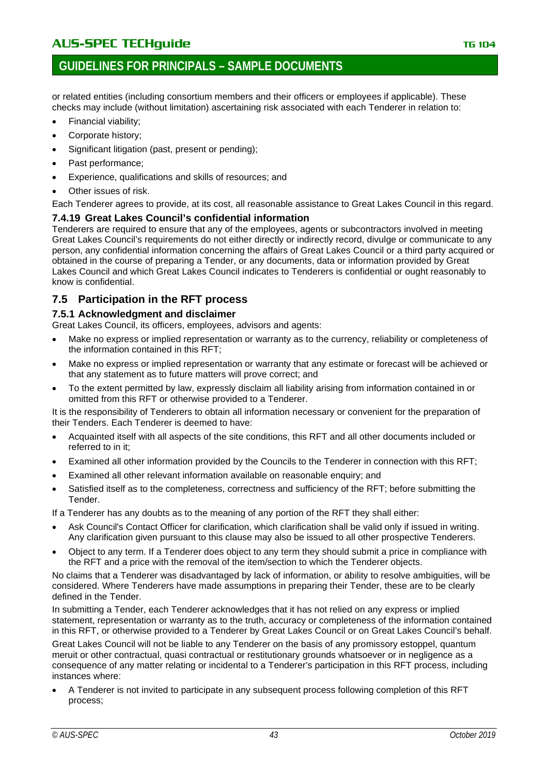or related entities (including consortium members and their officers or employees if applicable). These checks may include (without limitation) ascertaining risk associated with each Tenderer in relation to:

- Financial viability;
- Corporate history;
- Significant litigation (past, present or pending);
- Past performance;
- Experience, qualifications and skills of resources; and
- Other issues of risk.

Each Tenderer agrees to provide, at its cost, all reasonable assistance to Great Lakes Council in this regard.

### **7.4.19 Great Lakes Council's confidential information**

Tenderers are required to ensure that any of the employees, agents or subcontractors involved in meeting Great Lakes Council's requirements do not either directly or indirectly record, divulge or communicate to any person, any confidential information concerning the affairs of Great Lakes Council or a third party acquired or obtained in the course of preparing a Tender, or any documents, data or information provided by Great Lakes Council and which Great Lakes Council indicates to Tenderers is confidential or ought reasonably to know is confidential.

# **7.5 Participation in the RFT process**

### **7.5.1 Acknowledgment and disclaimer**

Great Lakes Council, its officers, employees, advisors and agents:

- Make no express or implied representation or warranty as to the currency, reliability or completeness of the information contained in this RFT;
- Make no express or implied representation or warranty that any estimate or forecast will be achieved or that any statement as to future matters will prove correct; and
- To the extent permitted by law, expressly disclaim all liability arising from information contained in or omitted from this RFT or otherwise provided to a Tenderer.

It is the responsibility of Tenderers to obtain all information necessary or convenient for the preparation of their Tenders. Each Tenderer is deemed to have:

- Acquainted itself with all aspects of the site conditions, this RFT and all other documents included or referred to in it;
- Examined all other information provided by the Councils to the Tenderer in connection with this RFT;
- Examined all other relevant information available on reasonable enquiry; and
- Satisfied itself as to the completeness, correctness and sufficiency of the RFT; before submitting the Tender.

If a Tenderer has any doubts as to the meaning of any portion of the RFT they shall either:

- Ask Council's Contact Officer for clarification, which clarification shall be valid only if issued in writing. Any clarification given pursuant to this clause may also be issued to all other prospective Tenderers.
- Object to any term. If a Tenderer does object to any term they should submit a price in compliance with the RFT and a price with the removal of the item/section to which the Tenderer objects.

No claims that a Tenderer was disadvantaged by lack of information, or ability to resolve ambiguities, will be considered. Where Tenderers have made assumptions in preparing their Tender, these are to be clearly defined in the Tender.

In submitting a Tender, each Tenderer acknowledges that it has not relied on any express or implied statement, representation or warranty as to the truth, accuracy or completeness of the information contained in this RFT, or otherwise provided to a Tenderer by Great Lakes Council or on Great Lakes Council's behalf.

Great Lakes Council will not be liable to any Tenderer on the basis of any promissory estoppel, quantum meruit or other contractual, quasi contractual or restitutionary grounds whatsoever or in negligence as a consequence of any matter relating or incidental to a Tenderer's participation in this RFT process, including instances where:

• A Tenderer is not invited to participate in any subsequent process following completion of this RFT process;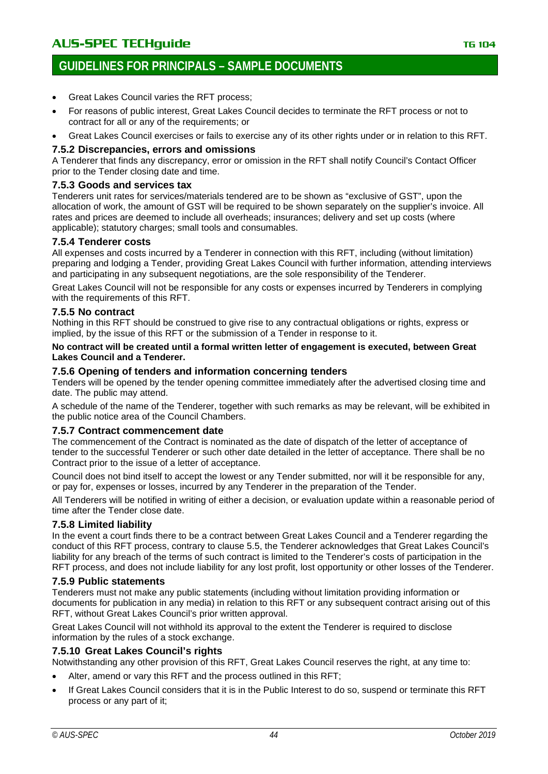# **GUIDELINES FOR PRINCIPALS – SAMPLE DOCUMENTS**

- Great Lakes Council varies the RFT process;
- For reasons of public interest, Great Lakes Council decides to terminate the RFT process or not to contract for all or any of the requirements; or
- Great Lakes Council exercises or fails to exercise any of its other rights under or in relation to this RFT.

### **7.5.2 Discrepancies, errors and omissions**

A Tenderer that finds any discrepancy, error or omission in the RFT shall notify Council's Contact Officer prior to the Tender closing date and time.

#### **7.5.3 Goods and services tax**

Tenderers unit rates for services/materials tendered are to be shown as "exclusive of GST", upon the allocation of work, the amount of GST will be required to be shown separately on the supplier's invoice. All rates and prices are deemed to include all overheads; insurances; delivery and set up costs (where applicable); statutory charges; small tools and consumables.

### **7.5.4 Tenderer costs**

All expenses and costs incurred by a Tenderer in connection with this RFT, including (without limitation) preparing and lodging a Tender, providing Great Lakes Council with further information, attending interviews and participating in any subsequent negotiations, are the sole responsibility of the Tenderer.

Great Lakes Council will not be responsible for any costs or expenses incurred by Tenderers in complying with the requirements of this RFT.

### **7.5.5 No contract**

Nothing in this RFT should be construed to give rise to any contractual obligations or rights, express or implied, by the issue of this RFT or the submission of a Tender in response to it.

#### **No contract will be created until a formal written letter of engagement is executed, between Great Lakes Council and a Tenderer.**

#### **7.5.6 Opening of tenders and information concerning tenders**

Tenders will be opened by the tender opening committee immediately after the advertised closing time and date. The public may attend.

A schedule of the name of the Tenderer, together with such remarks as may be relevant, will be exhibited in the public notice area of the Council Chambers.

### **7.5.7 Contract commencement date**

The commencement of the Contract is nominated as the date of dispatch of the letter of acceptance of tender to the successful Tenderer or such other date detailed in the letter of acceptance. There shall be no Contract prior to the issue of a letter of acceptance.

Council does not bind itself to accept the lowest or any Tender submitted, nor will it be responsible for any, or pay for, expenses or losses, incurred by any Tenderer in the preparation of the Tender.

All Tenderers will be notified in writing of either a decision, or evaluation update within a reasonable period of time after the Tender close date.

### **7.5.8 Limited liability**

In the event a court finds there to be a contract between Great Lakes Council and a Tenderer regarding the conduct of this RFT process, contrary to clause 5.5, the Tenderer acknowledges that Great Lakes Council's liability for any breach of the terms of such contract is limited to the Tenderer's costs of participation in the RFT process, and does not include liability for any lost profit, lost opportunity or other losses of the Tenderer.

### **7.5.9 Public statements**

Tenderers must not make any public statements (including without limitation providing information or documents for publication in any media) in relation to this RFT or any subsequent contract arising out of this RFT, without Great Lakes Council's prior written approval.

Great Lakes Council will not withhold its approval to the extent the Tenderer is required to disclose information by the rules of a stock exchange.

### **7.5.10 Great Lakes Council's rights**

Notwithstanding any other provision of this RFT, Great Lakes Council reserves the right, at any time to:

- Alter, amend or vary this RFT and the process outlined in this RFT;
- If Great Lakes Council considers that it is in the Public Interest to do so, suspend or terminate this RFT process or any part of it;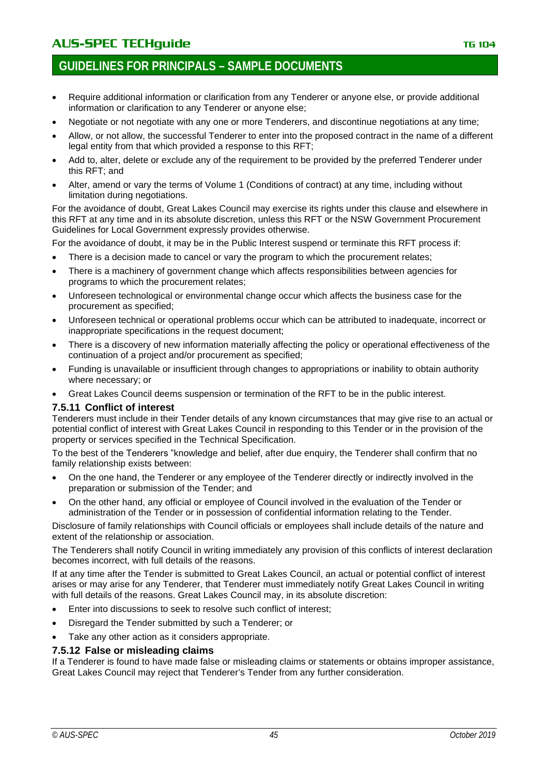# **GUIDELINES FOR PRINCIPALS – SAMPLE DOCUMENTS**

- Require additional information or clarification from any Tenderer or anyone else, or provide additional information or clarification to any Tenderer or anyone else;
- Negotiate or not negotiate with any one or more Tenderers, and discontinue negotiations at any time;
- Allow, or not allow, the successful Tenderer to enter into the proposed contract in the name of a different legal entity from that which provided a response to this RFT;
- Add to, alter, delete or exclude any of the requirement to be provided by the preferred Tenderer under this RFT; and
- Alter, amend or vary the terms of Volume 1 (Conditions of contract) at any time, including without limitation during negotiations.

For the avoidance of doubt, Great Lakes Council may exercise its rights under this clause and elsewhere in this RFT at any time and in its absolute discretion, unless this RFT or the NSW Government Procurement Guidelines for Local Government expressly provides otherwise.

For the avoidance of doubt, it may be in the Public Interest suspend or terminate this RFT process if:

- There is a decision made to cancel or vary the program to which the procurement relates;
- There is a machinery of government change which affects responsibilities between agencies for programs to which the procurement relates;
- Unforeseen technological or environmental change occur which affects the business case for the procurement as specified;
- Unforeseen technical or operational problems occur which can be attributed to inadequate, incorrect or inappropriate specifications in the request document;
- There is a discovery of new information materially affecting the policy or operational effectiveness of the continuation of a project and/or procurement as specified;
- Funding is unavailable or insufficient through changes to appropriations or inability to obtain authority where necessary; or
- Great Lakes Council deems suspension or termination of the RFT to be in the public interest.

### **7.5.11 Conflict of interest**

Tenderers must include in their Tender details of any known circumstances that may give rise to an actual or potential conflict of interest with Great Lakes Council in responding to this Tender or in the provision of the property or services specified in the Technical Specification.

To the best of the Tenderers "knowledge and belief, after due enquiry, the Tenderer shall confirm that no family relationship exists between:

- On the one hand, the Tenderer or any employee of the Tenderer directly or indirectly involved in the preparation or submission of the Tender; and
- On the other hand, any official or employee of Council involved in the evaluation of the Tender or administration of the Tender or in possession of confidential information relating to the Tender.

Disclosure of family relationships with Council officials or employees shall include details of the nature and extent of the relationship or association.

The Tenderers shall notify Council in writing immediately any provision of this conflicts of interest declaration becomes incorrect, with full details of the reasons.

If at any time after the Tender is submitted to Great Lakes Council, an actual or potential conflict of interest arises or may arise for any Tenderer, that Tenderer must immediately notify Great Lakes Council in writing with full details of the reasons. Great Lakes Council may, in its absolute discretion:

- Enter into discussions to seek to resolve such conflict of interest;
- Disregard the Tender submitted by such a Tenderer; or
- Take any other action as it considers appropriate.

### **7.5.12 False or misleading claims**

If a Tenderer is found to have made false or misleading claims or statements or obtains improper assistance, Great Lakes Council may reject that Tenderer's Tender from any further consideration.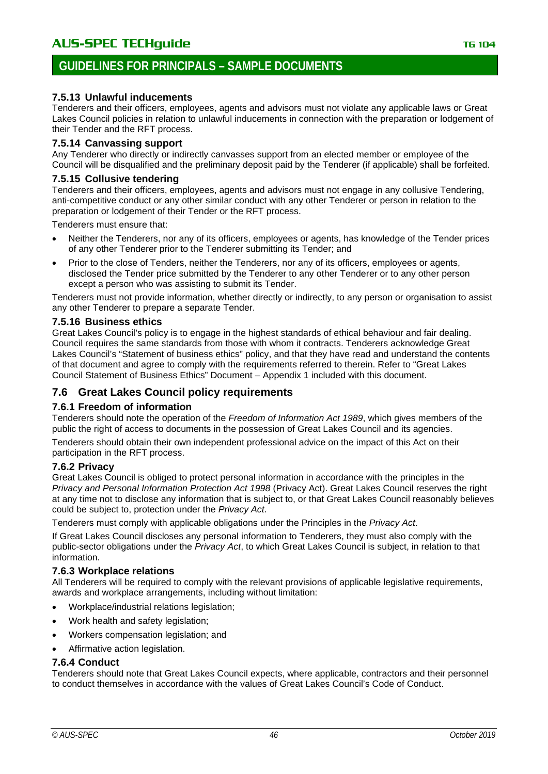# **7.5.13 Unlawful inducements**

Tenderers and their officers, employees, agents and advisors must not violate any applicable laws or Great Lakes Council policies in relation to unlawful inducements in connection with the preparation or lodgement of their Tender and the RFT process.

### **7.5.14 Canvassing support**

Any Tenderer who directly or indirectly canvasses support from an elected member or employee of the Council will be disqualified and the preliminary deposit paid by the Tenderer (if applicable) shall be forfeited.

### **7.5.15 Collusive tendering**

Tenderers and their officers, employees, agents and advisors must not engage in any collusive Tendering, anti-competitive conduct or any other similar conduct with any other Tenderer or person in relation to the preparation or lodgement of their Tender or the RFT process.

Tenderers must ensure that:

- Neither the Tenderers, nor any of its officers, employees or agents, has knowledge of the Tender prices of any other Tenderer prior to the Tenderer submitting its Tender; and
- Prior to the close of Tenders, neither the Tenderers, nor any of its officers, employees or agents, disclosed the Tender price submitted by the Tenderer to any other Tenderer or to any other person except a person who was assisting to submit its Tender.

Tenderers must not provide information, whether directly or indirectly, to any person or organisation to assist any other Tenderer to prepare a separate Tender.

#### **7.5.16 Business ethics**

Great Lakes Council's policy is to engage in the highest standards of ethical behaviour and fair dealing. Council requires the same standards from those with whom it contracts. Tenderers acknowledge Great Lakes Council's "Statement of business ethics" policy, and that they have read and understand the contents of that document and agree to comply with the requirements referred to therein. Refer to "Great Lakes Council Statement of Business Ethics" Document – Appendix 1 included with this document.

# **7.6 Great Lakes Council policy requirements**

### **7.6.1 Freedom of information**

Tenderers should note the operation of the *Freedom of Information Act 1989*, which gives members of the public the right of access to documents in the possession of Great Lakes Council and its agencies.

Tenderers should obtain their own independent professional advice on the impact of this Act on their participation in the RFT process.

### **7.6.2 Privacy**

Great Lakes Council is obliged to protect personal information in accordance with the principles in the *Privacy and Personal Information Protection Act 1998* (Privacy Act). Great Lakes Council reserves the right at any time not to disclose any information that is subject to, or that Great Lakes Council reasonably believes could be subject to, protection under the *Privacy Act*.

Tenderers must comply with applicable obligations under the Principles in the *Privacy Act*.

If Great Lakes Council discloses any personal information to Tenderers, they must also comply with the public-sector obligations under the *Privacy Act*, to which Great Lakes Council is subject, in relation to that information.

### **7.6.3 Workplace relations**

All Tenderers will be required to comply with the relevant provisions of applicable legislative requirements, awards and workplace arrangements, including without limitation:

- Workplace/industrial relations legislation;
- Work health and safety legislation:
- Workers compensation legislation; and
- Affirmative action legislation.

### **7.6.4 Conduct**

Tenderers should note that Great Lakes Council expects, where applicable, contractors and their personnel to conduct themselves in accordance with the values of Great Lakes Council's Code of Conduct.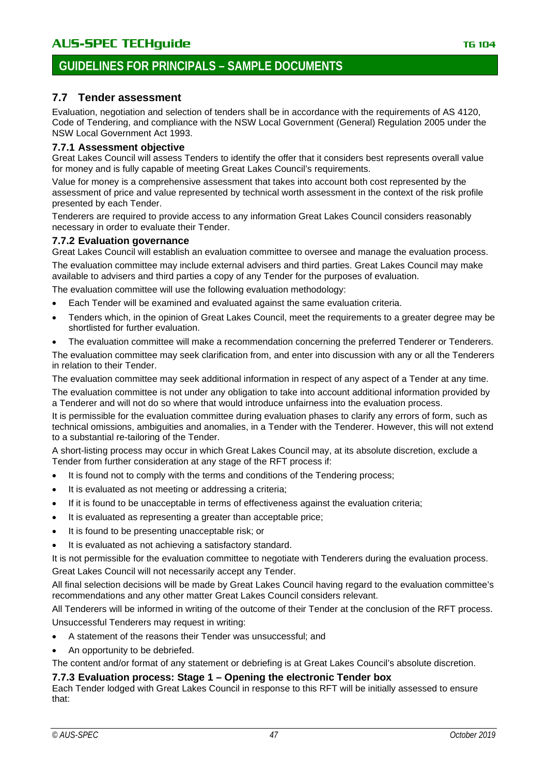# **7.7 Tender assessment**

Evaluation, negotiation and selection of tenders shall be in accordance with the requirements of AS 4120, Code of Tendering, and compliance with the NSW Local Government (General) Regulation 2005 under the NSW Local Government Act 1993.

# **7.7.1 Assessment objective**

Great Lakes Council will assess Tenders to identify the offer that it considers best represents overall value for money and is fully capable of meeting Great Lakes Council's requirements.

Value for money is a comprehensive assessment that takes into account both cost represented by the assessment of price and value represented by technical worth assessment in the context of the risk profile presented by each Tender.

Tenderers are required to provide access to any information Great Lakes Council considers reasonably necessary in order to evaluate their Tender.

# **7.7.2 Evaluation governance**

Great Lakes Council will establish an evaluation committee to oversee and manage the evaluation process.

The evaluation committee may include external advisers and third parties. Great Lakes Council may make available to advisers and third parties a copy of any Tender for the purposes of evaluation.

The evaluation committee will use the following evaluation methodology:

- Each Tender will be examined and evaluated against the same evaluation criteria.
- Tenders which, in the opinion of Great Lakes Council, meet the requirements to a greater degree may be shortlisted for further evaluation.
- The evaluation committee will make a recommendation concerning the preferred Tenderer or Tenderers.

The evaluation committee may seek clarification from, and enter into discussion with any or all the Tenderers in relation to their Tender.

The evaluation committee may seek additional information in respect of any aspect of a Tender at any time.

The evaluation committee is not under any obligation to take into account additional information provided by a Tenderer and will not do so where that would introduce unfairness into the evaluation process.

It is permissible for the evaluation committee during evaluation phases to clarify any errors of form, such as technical omissions, ambiguities and anomalies, in a Tender with the Tenderer. However, this will not extend to a substantial re-tailoring of the Tender.

A short-listing process may occur in which Great Lakes Council may, at its absolute discretion, exclude a Tender from further consideration at any stage of the RFT process if:

- It is found not to comply with the terms and conditions of the Tendering process;
- It is evaluated as not meeting or addressing a criteria;
- If it is found to be unacceptable in terms of effectiveness against the evaluation criteria;
- It is evaluated as representing a greater than acceptable price;
- It is found to be presenting unacceptable risk; or
- It is evaluated as not achieving a satisfactory standard.

It is not permissible for the evaluation committee to negotiate with Tenderers during the evaluation process. Great Lakes Council will not necessarily accept any Tender.

All final selection decisions will be made by Great Lakes Council having regard to the evaluation committee's recommendations and any other matter Great Lakes Council considers relevant.

All Tenderers will be informed in writing of the outcome of their Tender at the conclusion of the RFT process. Unsuccessful Tenderers may request in writing:

- A statement of the reasons their Tender was unsuccessful; and
- An opportunity to be debriefed.

The content and/or format of any statement or debriefing is at Great Lakes Council's absolute discretion.

# **7.7.3 Evaluation process: Stage 1 – Opening the electronic Tender box**

Each Tender lodged with Great Lakes Council in response to this RFT will be initially assessed to ensure that: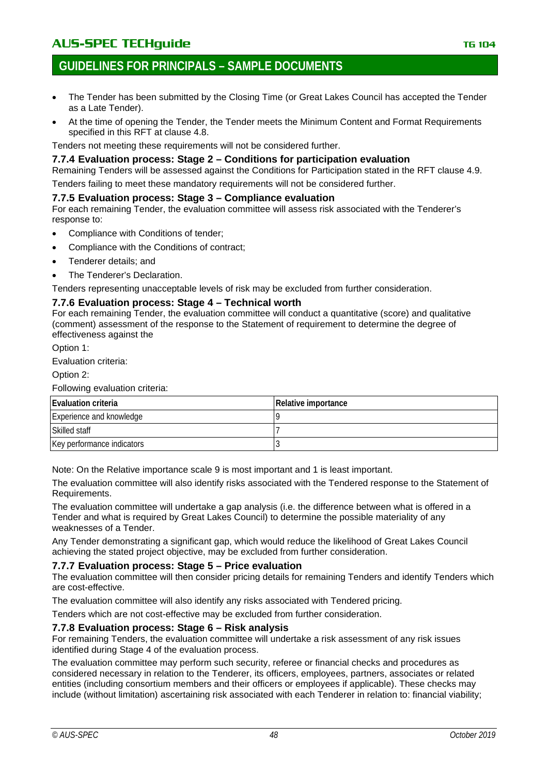# **GUIDELINES FOR PRINCIPALS – SAMPLE DOCUMENTS**

- The Tender has been submitted by the Closing Time (or Great Lakes Council has accepted the Tender as a Late Tender).
- At the time of opening the Tender, the Tender meets the Minimum Content and Format Requirements specified in this RFT at clause 4.8.

Tenders not meeting these requirements will not be considered further.

### **7.7.4 Evaluation process: Stage 2 – Conditions for participation evaluation**

Remaining Tenders will be assessed against the Conditions for Participation stated in the RFT clause 4.9.

Tenders failing to meet these mandatory requirements will not be considered further.

### **7.7.5 Evaluation process: Stage 3 – Compliance evaluation**

For each remaining Tender, the evaluation committee will assess risk associated with the Tenderer's response to:

- Compliance with Conditions of tender;
- Compliance with the Conditions of contract;
- Tenderer details; and
- The Tenderer's Declaration.

Tenders representing unacceptable levels of risk may be excluded from further consideration.

### **7.7.6 Evaluation process: Stage 4 – Technical worth**

For each remaining Tender, the evaluation committee will conduct a quantitative (score) and qualitative (comment) assessment of the response to the Statement of requirement to determine the degree of effectiveness against the

Option 1:

Evaluation criteria:

Option 2:

Following evaluation criteria:

| <b>Evaluation criteria</b> | Relative importance |
|----------------------------|---------------------|
| Experience and knowledge   |                     |
| Skilled staff              |                     |
| Key performance indicators |                     |

Note: On the Relative importance scale 9 is most important and 1 is least important.

The evaluation committee will also identify risks associated with the Tendered response to the Statement of Requirements.

The evaluation committee will undertake a gap analysis (i.e. the difference between what is offered in a Tender and what is required by Great Lakes Council) to determine the possible materiality of any weaknesses of a Tender.

Any Tender demonstrating a significant gap, which would reduce the likelihood of Great Lakes Council achieving the stated project objective, may be excluded from further consideration.

### **7.7.7 Evaluation process: Stage 5 – Price evaluation**

The evaluation committee will then consider pricing details for remaining Tenders and identify Tenders which are cost-effective.

The evaluation committee will also identify any risks associated with Tendered pricing.

Tenders which are not cost-effective may be excluded from further consideration.

### **7.7.8 Evaluation process: Stage 6 – Risk analysis**

For remaining Tenders, the evaluation committee will undertake a risk assessment of any risk issues identified during Stage 4 of the evaluation process.

The evaluation committee may perform such security, referee or financial checks and procedures as considered necessary in relation to the Tenderer, its officers, employees, partners, associates or related entities (including consortium members and their officers or employees if applicable). These checks may include (without limitation) ascertaining risk associated with each Tenderer in relation to: financial viability;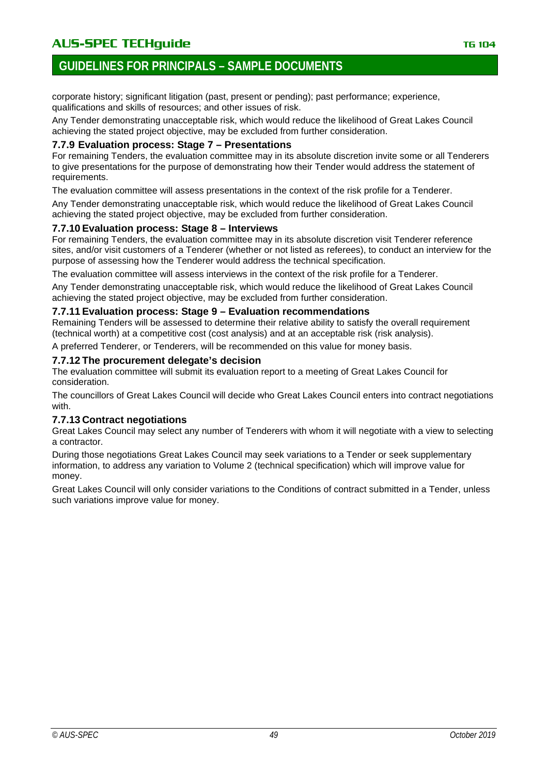# AU**S-SPEC TECHguide** The Contract of the Contract of the TG 104

# **GUIDELINES FOR PRINCIPALS – SAMPLE DOCUMENTS**

corporate history; significant litigation (past, present or pending); past performance; experience, qualifications and skills of resources; and other issues of risk.

Any Tender demonstrating unacceptable risk, which would reduce the likelihood of Great Lakes Council achieving the stated project objective, may be excluded from further consideration.

### **7.7.9 Evaluation process: Stage 7 – Presentations**

For remaining Tenders, the evaluation committee may in its absolute discretion invite some or all Tenderers to give presentations for the purpose of demonstrating how their Tender would address the statement of requirements.

The evaluation committee will assess presentations in the context of the risk profile for a Tenderer.

Any Tender demonstrating unacceptable risk, which would reduce the likelihood of Great Lakes Council achieving the stated project objective, may be excluded from further consideration.

### **7.7.10 Evaluation process: Stage 8 – Interviews**

For remaining Tenders, the evaluation committee may in its absolute discretion visit Tenderer reference sites, and/or visit customers of a Tenderer (whether or not listed as referees), to conduct an interview for the purpose of assessing how the Tenderer would address the technical specification.

The evaluation committee will assess interviews in the context of the risk profile for a Tenderer.

Any Tender demonstrating unacceptable risk, which would reduce the likelihood of Great Lakes Council achieving the stated project objective, may be excluded from further consideration.

### **7.7.11 Evaluation process: Stage 9 – Evaluation recommendations**

Remaining Tenders will be assessed to determine their relative ability to satisfy the overall requirement (technical worth) at a competitive cost (cost analysis) and at an acceptable risk (risk analysis).

A preferred Tenderer, or Tenderers, will be recommended on this value for money basis.

### **7.7.12 The procurement delegate's decision**

The evaluation committee will submit its evaluation report to a meeting of Great Lakes Council for consideration.

The councillors of Great Lakes Council will decide who Great Lakes Council enters into contract negotiations with.

### **7.7.13 Contract negotiations**

Great Lakes Council may select any number of Tenderers with whom it will negotiate with a view to selecting a contractor.

During those negotiations Great Lakes Council may seek variations to a Tender or seek supplementary information, to address any variation to Volume 2 (technical specification) which will improve value for money.

Great Lakes Council will only consider variations to the Conditions of contract submitted in a Tender, unless such variations improve value for money.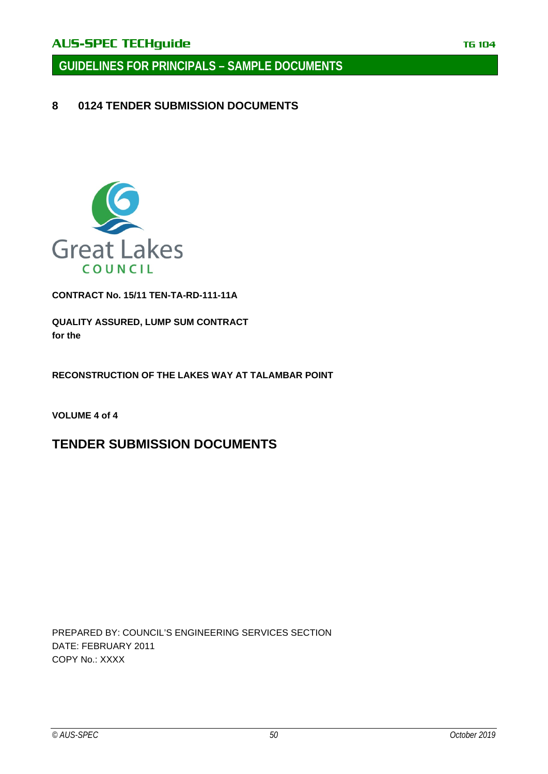**GUIDELINES FOR PRINCIPALS – SAMPLE DOCUMENTS**

**8 0124 TENDER SUBMISSION DOCUMENTS**



**CONTRACT No. 15/11 TEN-TA-RD-111-11A**

**QUALITY ASSURED, LUMP SUM CONTRACT for the**

**RECONSTRUCTION OF THE LAKES WAY AT TALAMBAR POINT**

**VOLUME 4 of 4**

# **TENDER SUBMISSION DOCUMENTS**

PREPARED BY: COUNCIL'S ENGINEERING SERVICES SECTION DATE: FEBRUARY 2011 COPY No.: XXXX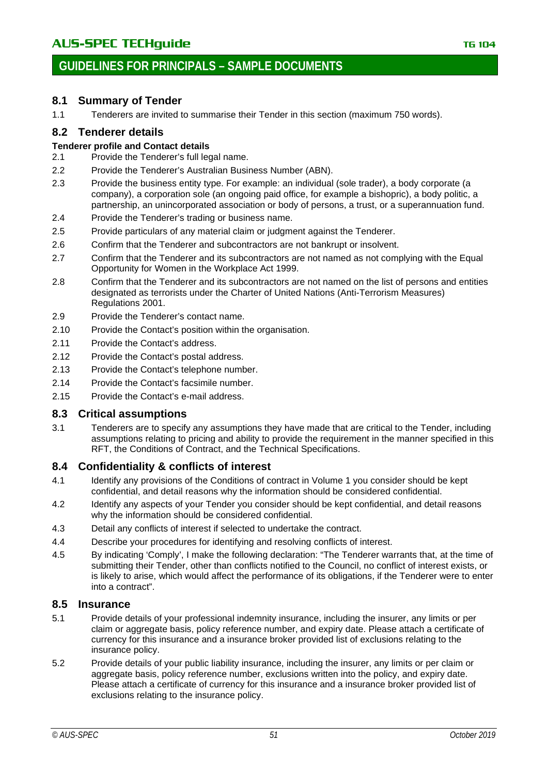# **8.1 Summary of Tender**

1.1 Tenderers are invited to summarise their Tender in this section (maximum 750 words).

# **8.2 Tenderer details**

# **Tenderer profile and Contact details**<br>2.1 Provide the Tenderer's full lea

- Provide the Tenderer's full legal name.
- 2.2 Provide the Tenderer's Australian Business Number (ABN).
- 2.3 Provide the business entity type. For example: an individual (sole trader), a body corporate (a company), a corporation sole (an ongoing paid office, for example a bishopric), a body politic, a partnership, an unincorporated association or body of persons, a trust, or a superannuation fund.
- 2.4 Provide the Tenderer's trading or business name.
- 2.5 Provide particulars of any material claim or judgment against the Tenderer.
- 2.6 Confirm that the Tenderer and subcontractors are not bankrupt or insolvent.
- 2.7 Confirm that the Tenderer and its subcontractors are not named as not complying with the Equal Opportunity for Women in the Workplace Act 1999.
- 2.8 Confirm that the Tenderer and its subcontractors are not named on the list of persons and entities designated as terrorists under the Charter of United Nations (Anti-Terrorism Measures) Regulations 2001.
- 2.9 Provide the Tenderer's contact name.
- 2.10 Provide the Contact's position within the organisation.
- 2.11 Provide the Contact's address.
- 2.12 Provide the Contact's postal address.
- 2.13 Provide the Contact's telephone number.
- 2.14 Provide the Contact's facsimile number.
- 2.15 Provide the Contact's e-mail address.

# **8.3 Critical assumptions**

3.1 Tenderers are to specify any assumptions they have made that are critical to the Tender, including assumptions relating to pricing and ability to provide the requirement in the manner specified in this RFT, the Conditions of Contract, and the Technical Specifications.

# **8.4 Confidentiality & conflicts of interest**

- 4.1 Identify any provisions of the Conditions of contract in Volume 1 you consider should be kept confidential, and detail reasons why the information should be considered confidential.
- 4.2 Identify any aspects of your Tender you consider should be kept confidential, and detail reasons why the information should be considered confidential.
- 4.3 Detail any conflicts of interest if selected to undertake the contract.
- 4.4 Describe your procedures for identifying and resolving conflicts of interest.
- 4.5 By indicating 'Comply', I make the following declaration: "The Tenderer warrants that, at the time of submitting their Tender, other than conflicts notified to the Council, no conflict of interest exists, or is likely to arise, which would affect the performance of its obligations, if the Tenderer were to enter into a contract".

# **8.5 Insurance**

- 5.1 Provide details of your professional indemnity insurance, including the insurer, any limits or per claim or aggregate basis, policy reference number, and expiry date. Please attach a certificate of currency for this insurance and a insurance broker provided list of exclusions relating to the insurance policy.
- 5.2 Provide details of your public liability insurance, including the insurer, any limits or per claim or aggregate basis, policy reference number, exclusions written into the policy, and expiry date. Please attach a certificate of currency for this insurance and a insurance broker provided list of exclusions relating to the insurance policy.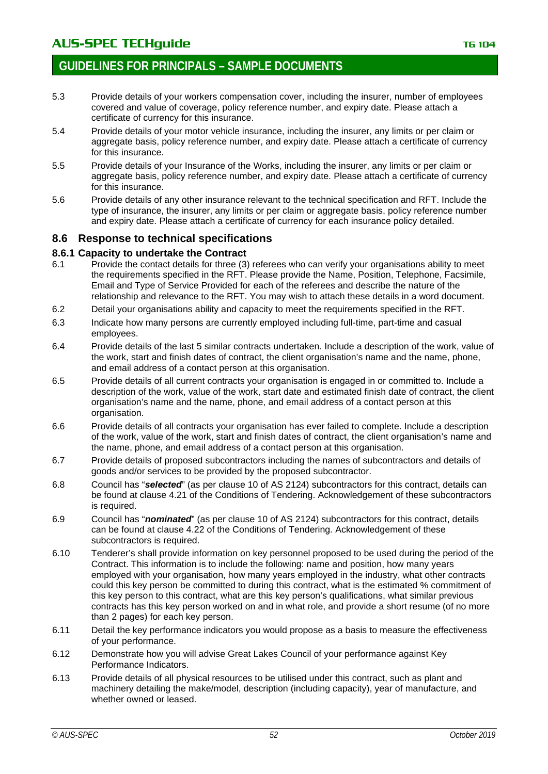- 5.3 Provide details of your workers compensation cover, including the insurer, number of employees covered and value of coverage, policy reference number, and expiry date. Please attach a certificate of currency for this insurance.
- 5.4 Provide details of your motor vehicle insurance, including the insurer, any limits or per claim or aggregate basis, policy reference number, and expiry date. Please attach a certificate of currency for this insurance.
- 5.5 Provide details of your Insurance of the Works, including the insurer, any limits or per claim or aggregate basis, policy reference number, and expiry date. Please attach a certificate of currency for this insurance.
- 5.6 Provide details of any other insurance relevant to the technical specification and RFT. Include the type of insurance, the insurer, any limits or per claim or aggregate basis, policy reference number and expiry date. Please attach a certificate of currency for each insurance policy detailed.

# **8.6 Response to technical specifications**

# **8.6.1 Capacity to undertake the Contract**

- Provide the contact details for three (3) referees who can verify your organisations ability to meet the requirements specified in the RFT. Please provide the Name, Position, Telephone, Facsimile, Email and Type of Service Provided for each of the referees and describe the nature of the relationship and relevance to the RFT. You may wish to attach these details in a word document.
- 6.2 Detail your organisations ability and capacity to meet the requirements specified in the RFT.
- 6.3 Indicate how many persons are currently employed including full-time, part-time and casual employees.
- 6.4 Provide details of the last 5 similar contracts undertaken. Include a description of the work, value of the work, start and finish dates of contract, the client organisation's name and the name, phone, and email address of a contact person at this organisation.
- 6.5 Provide details of all current contracts your organisation is engaged in or committed to. Include a description of the work, value of the work, start date and estimated finish date of contract, the client organisation's name and the name, phone, and email address of a contact person at this organisation.
- 6.6 Provide details of all contracts your organisation has ever failed to complete. Include a description of the work, value of the work, start and finish dates of contract, the client organisation's name and the name, phone, and email address of a contact person at this organisation.
- 6.7 Provide details of proposed subcontractors including the names of subcontractors and details of goods and/or services to be provided by the proposed subcontractor.
- 6.8 Council has "*selected*" (as per clause 10 of AS 2124) subcontractors for this contract, details can be found at clause 4.21 of the Conditions of Tendering. Acknowledgement of these subcontractors is required.
- 6.9 Council has "*nominated*" (as per clause 10 of AS 2124) subcontractors for this contract, details can be found at clause 4.22 of the Conditions of Tendering. Acknowledgement of these subcontractors is required.
- 6.10 Tenderer's shall provide information on key personnel proposed to be used during the period of the Contract. This information is to include the following: name and position, how many years employed with your organisation, how many years employed in the industry, what other contracts could this key person be committed to during this contract, what is the estimated % commitment of this key person to this contract, what are this key person's qualifications, what similar previous contracts has this key person worked on and in what role, and provide a short resume (of no more than 2 pages) for each key person.
- 6.11 Detail the key performance indicators you would propose as a basis to measure the effectiveness of your performance.
- 6.12 Demonstrate how you will advise Great Lakes Council of your performance against Key Performance Indicators.
- 6.13 Provide details of all physical resources to be utilised under this contract, such as plant and machinery detailing the make/model, description (including capacity), year of manufacture, and whether owned or leased.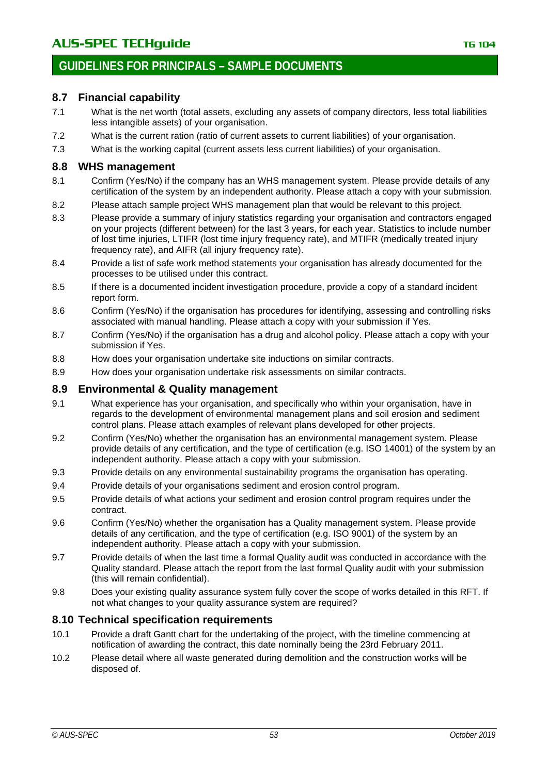# **8.7 Financial capability**

- 7.1 What is the net worth (total assets, excluding any assets of company directors, less total liabilities less intangible assets) of your organisation.
- 7.2 What is the current ration (ratio of current assets to current liabilities) of your organisation.
- 7.3 What is the working capital (current assets less current liabilities) of your organisation.

# **8.8 WHS management**

- 8.1 Confirm (Yes/No) if the company has an WHS management system. Please provide details of any certification of the system by an independent authority. Please attach a copy with your submission.
- 8.2 Please attach sample project WHS management plan that would be relevant to this project.
- 8.3 Please provide a summary of injury statistics regarding your organisation and contractors engaged on your projects (different between) for the last 3 years, for each year. Statistics to include number of lost time injuries, LTIFR (lost time injury frequency rate), and MTIFR (medically treated injury frequency rate), and AIFR (all injury frequency rate).
- 8.4 Provide a list of safe work method statements your organisation has already documented for the processes to be utilised under this contract.
- 8.5 If there is a documented incident investigation procedure, provide a copy of a standard incident report form.
- 8.6 Confirm (Yes/No) if the organisation has procedures for identifying, assessing and controlling risks associated with manual handling. Please attach a copy with your submission if Yes.
- 8.7 Confirm (Yes/No) if the organisation has a drug and alcohol policy. Please attach a copy with your submission if Yes.
- 8.8 How does your organisation undertake site inductions on similar contracts.
- 8.9 How does your organisation undertake risk assessments on similar contracts.

# **8.9 Environmental & Quality management**

- 9.1 What experience has your organisation, and specifically who within your organisation, have in regards to the development of environmental management plans and soil erosion and sediment control plans. Please attach examples of relevant plans developed for other projects.
- 9.2 Confirm (Yes/No) whether the organisation has an environmental management system. Please provide details of any certification, and the type of certification (e.g. ISO 14001) of the system by an independent authority. Please attach a copy with your submission.
- 9.3 Provide details on any environmental sustainability programs the organisation has operating.
- 9.4 Provide details of your organisations sediment and erosion control program.
- 9.5 Provide details of what actions your sediment and erosion control program requires under the contract.
- 9.6 Confirm (Yes/No) whether the organisation has a Quality management system. Please provide details of any certification, and the type of certification (e.g. ISO 9001) of the system by an independent authority. Please attach a copy with your submission.
- 9.7 Provide details of when the last time a formal Quality audit was conducted in accordance with the Quality standard. Please attach the report from the last formal Quality audit with your submission (this will remain confidential).
- 9.8 Does your existing quality assurance system fully cover the scope of works detailed in this RFT. If not what changes to your quality assurance system are required?

# **8.10 Technical specification requirements**

- 10.1 Provide a draft Gantt chart for the undertaking of the project, with the timeline commencing at notification of awarding the contract, this date nominally being the 23rd February 2011.
- 10.2 Please detail where all waste generated during demolition and the construction works will be disposed of.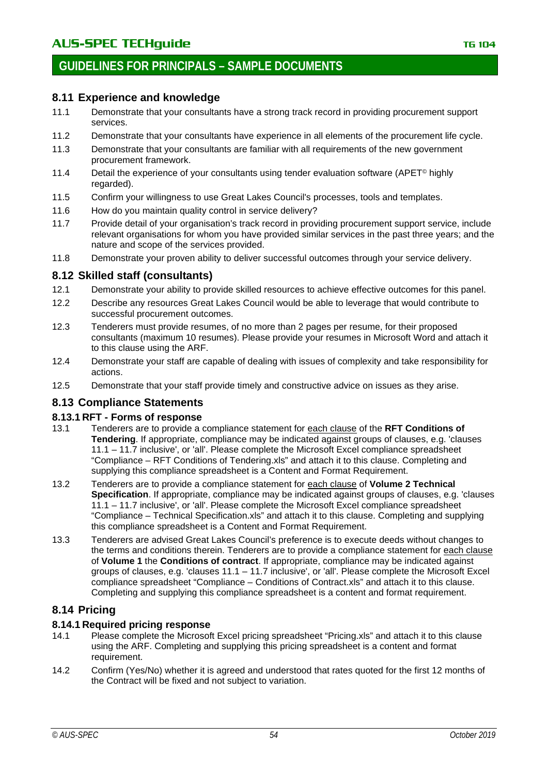# **8.11 Experience and knowledge**

- 11.1 Demonstrate that your consultants have a strong track record in providing procurement support services.
- 11.2 Demonstrate that your consultants have experience in all elements of the procurement life cycle.
- 11.3 Demonstrate that your consultants are familiar with all requirements of the new government procurement framework.
- 11.4 Detail the experience of your consultants using tender evaluation software (APET<sup>©</sup> highly regarded).
- 11.5 Confirm your willingness to use Great Lakes Council's processes, tools and templates.
- 11.6 How do you maintain quality control in service delivery?
- 11.7 Provide detail of your organisation's track record in providing procurement support service, include relevant organisations for whom you have provided similar services in the past three years; and the nature and scope of the services provided.
- 11.8 Demonstrate your proven ability to deliver successful outcomes through your service delivery.

# **8.12 Skilled staff (consultants)**

- 12.1 Demonstrate your ability to provide skilled resources to achieve effective outcomes for this panel.
- 12.2 Describe any resources Great Lakes Council would be able to leverage that would contribute to successful procurement outcomes.
- 12.3 Tenderers must provide resumes, of no more than 2 pages per resume, for their proposed consultants (maximum 10 resumes). Please provide your resumes in Microsoft Word and attach it to this clause using the ARF.
- 12.4 Demonstrate your staff are capable of dealing with issues of complexity and take responsibility for actions.
- 12.5 Demonstrate that your staff provide timely and constructive advice on issues as they arise.

# **8.13 Compliance Statements**

# **8.13.1 RFT - Forms of response**

- 13.1 Tenderers are to provide a compliance statement for each clause of the **RFT Conditions of Tendering**. If appropriate, compliance may be indicated against groups of clauses, e.g. 'clauses 11.1 – 11.7 inclusive', or 'all'. Please complete the Microsoft Excel compliance spreadsheet "Compliance – RFT Conditions of Tendering.xls" and attach it to this clause. Completing and supplying this compliance spreadsheet is a Content and Format Requirement.
- 13.2 Tenderers are to provide a compliance statement for each clause of **Volume 2 Technical Specification**. If appropriate, compliance may be indicated against groups of clauses, e.g. 'clauses 11.1 – 11.7 inclusive', or 'all'. Please complete the Microsoft Excel compliance spreadsheet "Compliance – Technical Specification.xls" and attach it to this clause. Completing and supplying this compliance spreadsheet is a Content and Format Requirement.
- 13.3 Tenderers are advised Great Lakes Council's preference is to execute deeds without changes to the terms and conditions therein. Tenderers are to provide a compliance statement for each clause of **Volume 1** the **Conditions of contract**. If appropriate, compliance may be indicated against groups of clauses, e.g. 'clauses 11.1 – 11.7 inclusive', or 'all'. Please complete the Microsoft Excel compliance spreadsheet "Compliance – Conditions of Contract.xls" and attach it to this clause. Completing and supplying this compliance spreadsheet is a content and format requirement.

# **8.14 Pricing**

# **8.14.1 Required pricing response**

- 14.1 Please complete the Microsoft Excel pricing spreadsheet "Pricing.xls" and attach it to this clause using the ARF. Completing and supplying this pricing spreadsheet is a content and format requirement.
- 14.2 Confirm (Yes/No) whether it is agreed and understood that rates quoted for the first 12 months of the Contract will be fixed and not subject to variation.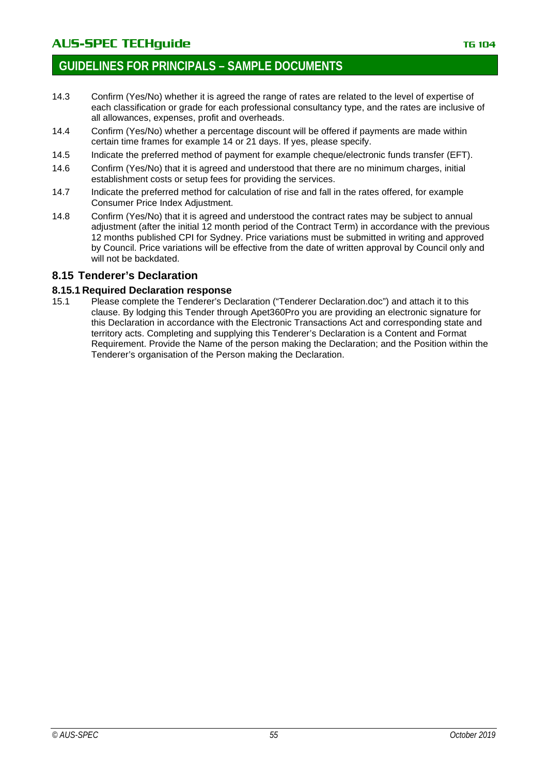- 14.3 Confirm (Yes/No) whether it is agreed the range of rates are related to the level of expertise of each classification or grade for each professional consultancy type, and the rates are inclusive of all allowances, expenses, profit and overheads.
- 14.4 Confirm (Yes/No) whether a percentage discount will be offered if payments are made within certain time frames for example 14 or 21 days. If yes, please specify.
- 14.5 Indicate the preferred method of payment for example cheque/electronic funds transfer (EFT).
- 14.6 Confirm (Yes/No) that it is agreed and understood that there are no minimum charges, initial establishment costs or setup fees for providing the services.
- 14.7 Indicate the preferred method for calculation of rise and fall in the rates offered, for example Consumer Price Index Adjustment.
- 14.8 Confirm (Yes/No) that it is agreed and understood the contract rates may be subject to annual adjustment (after the initial 12 month period of the Contract Term) in accordance with the previous 12 months published CPI for Sydney. Price variations must be submitted in writing and approved by Council. Price variations will be effective from the date of written approval by Council only and will not be backdated.

# **8.15 Tenderer's Declaration**

### **8.15.1 Required Declaration response**

15.1 Please complete the Tenderer's Declaration ("Tenderer Declaration.doc") and attach it to this clause. By lodging this Tender through Apet360Pro you are providing an electronic signature for this Declaration in accordance with the Electronic Transactions Act and corresponding state and territory acts. Completing and supplying this Tenderer's Declaration is a Content and Format Requirement. Provide the Name of the person making the Declaration; and the Position within the Tenderer's organisation of the Person making the Declaration.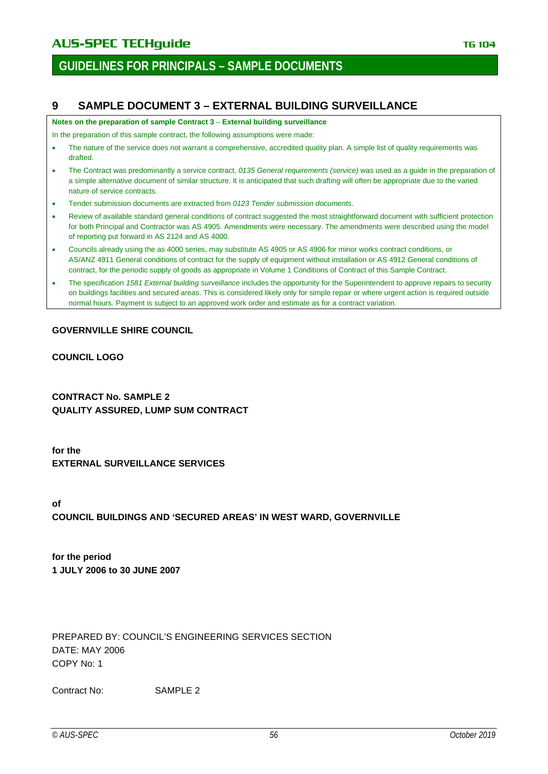# **GUIDELINES FOR PRINCIPALS – SAMPLE DOCUMENTS**

# **9 SAMPLE DOCUMENT 3 – EXTERNAL BUILDING SURVEILLANCE**

**Notes on the preparation of sample Contract 3** – **External building surveillance**

In the preparation of this sample contract, the following assumptions were made:

- The nature of the service does not warrant a comprehensive, accredited quality plan. A simple list of quality requirements was drafted.
- The Contract was predominantly a service contract, *0135 General requirements (service)* was used as a guide in the preparation of a simple alternative document of similar structure. It is anticipated that such drafting will often be appropriate due to the varied nature of service contracts.
- Tender submission documents are extracted from *0123 Tender submission documents*.
- Review of available standard general conditions of contract suggested the most straightforward document with sufficient protection for both Principal and Contractor was AS 4905. Amendments were necessary. The amendments were described using the model of reporting put forward in AS 2124 and AS 4000.
- Councils already using the as 4000 series, may substitute AS 4905 or AS 4906 for minor works contract conditions, or AS/ANZ 4911 General conditions of contract for the supply of equipment without installation or AS 4912 General conditions of contract, for the periodic supply of goods as appropriate in Volume 1 Conditions of Contract of this Sample Contract.
- The specification *1581 External building surveillance* includes the opportunity for the Superintendent to approve repairs to security on buildings facilities and secured areas. This is considered likely only for simple repair or where urgent action is required outside normal hours. Payment is subject to an approved work order and estimate as for a contract variation.

### **GOVERNVILLE SHIRE COUNCIL**

**COUNCIL LOGO**

**CONTRACT No. SAMPLE 2 QUALITY ASSURED, LUMP SUM CONTRACT**

**for the EXTERNAL SURVEILLANCE SERVICES**

**of COUNCIL BUILDINGS AND 'SECURED AREAS' IN WEST WARD, GOVERNVILLE**

**for the period 1 JULY 2006 to 30 JUNE 2007**

PREPARED BY: COUNCIL'S ENGINEERING SERVICES SECTION DATE: MAY 2006 COPY No: 1

Contract No: SAMPLE 2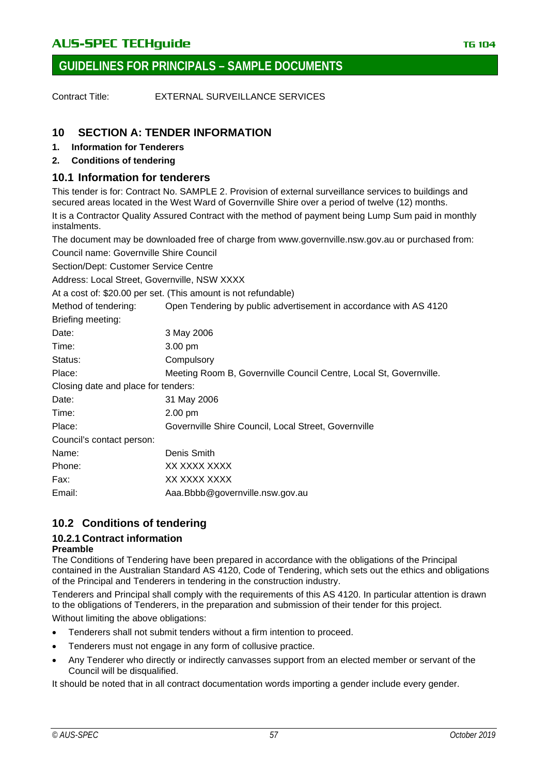Contract Title: EXTERNAL SURVEILLANCE SERVICES

# **10 SECTION A: TENDER INFORMATION**

- **1. Information for Tenderers**
- **2. Conditions of tendering**

# **10.1 Information for tenderers**

This tender is for: Contract No. SAMPLE 2. Provision of external surveillance services to buildings and secured areas located in the West Ward of Governville Shire over a period of twelve (12) months.

It is a Contractor Quality Assured Contract with the method of payment being Lump Sum paid in monthly instalments.

The document may be downloaded free of charge from www.governville.nsw.gov.au or purchased from:

Council name: Governville Shire Council

Section/Dept: Customer Service Centre

Address: Local Street, Governville, NSW XXXX

At a cost of: \$20.00 per set. (This amount is not refundable)

| Method of tendering:                | Open Tendering by public advertisement in accordance with AS 4120  |  |
|-------------------------------------|--------------------------------------------------------------------|--|
| Briefing meeting:                   |                                                                    |  |
| Date:                               | 3 May 2006                                                         |  |
| Time:                               | 3.00 pm                                                            |  |
| Status:                             | Compulsory                                                         |  |
| Place:                              | Meeting Room B, Governville Council Centre, Local St, Governville. |  |
| Closing date and place for tenders: |                                                                    |  |
| Date:                               | 31 May 2006                                                        |  |
| Time:                               | $2.00$ pm                                                          |  |
| Place:                              | Governville Shire Council, Local Street, Governville               |  |
| Council's contact person:           |                                                                    |  |
| Name:                               | Denis Smith                                                        |  |
| Phone:                              | XX XXXX XXXX                                                       |  |
| Fax:                                | XX XXXX XXXX                                                       |  |
| Email:                              | Aaa.Bbbb@governville.nsw.gov.au                                    |  |
|                                     |                                                                    |  |

# **10.2 Conditions of tendering**

# **10.2.1 Contract information**

### **Preamble**

The Conditions of Tendering have been prepared in accordance with the obligations of the Principal contained in the Australian Standard AS 4120, Code of Tendering, which sets out the ethics and obligations of the Principal and Tenderers in tendering in the construction industry.

Tenderers and Principal shall comply with the requirements of this AS 4120. In particular attention is drawn to the obligations of Tenderers, in the preparation and submission of their tender for this project. Without limiting the above obligations:

- Tenderers shall not submit tenders without a firm intention to proceed.
- Tenderers must not engage in any form of collusive practice.
- Any Tenderer who directly or indirectly canvasses support from an elected member or servant of the Council will be disqualified.

It should be noted that in all contract documentation words importing a gender include every gender.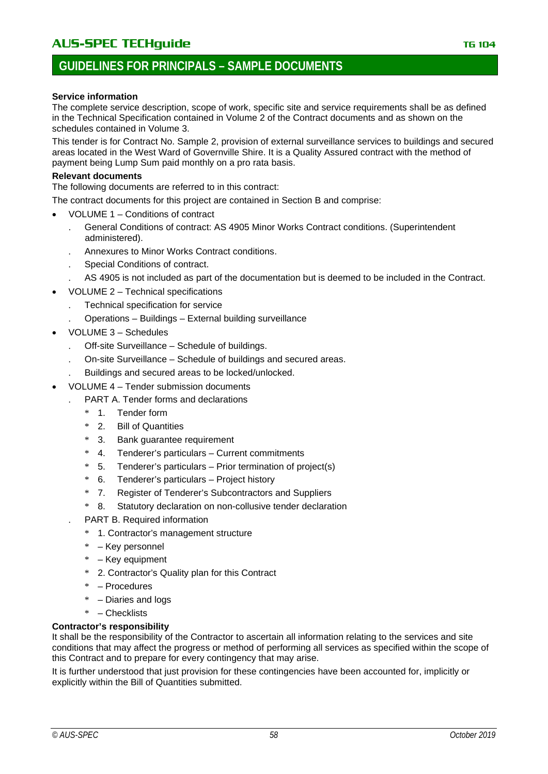# **GUIDELINES FOR PRINCIPALS – SAMPLE DOCUMENTS**

#### **Service information**

The complete service description, scope of work, specific site and service requirements shall be as defined in the Technical Specification contained in Volume 2 of the Contract documents and as shown on the schedules contained in Volume 3.

This tender is for Contract No. Sample 2, provision of external surveillance services to buildings and secured areas located in the West Ward of Governville Shire. It is a Quality Assured contract with the method of payment being Lump Sum paid monthly on a pro rata basis.

#### **Relevant documents**

The following documents are referred to in this contract:

The contract documents for this project are contained in Section B and comprise:

- VOLUME 1 Conditions of contract
	- . General Conditions of contract: AS 4905 Minor Works Contract conditions. (Superintendent administered).
	- . Annexures to Minor Works Contract conditions.
	- . Special Conditions of contract.
	- . AS 4905 is not included as part of the documentation but is deemed to be included in the Contract.
- VOLUME 2 Technical specifications
	- . Technical specification for service
	- . Operations Buildings External building surveillance
- VOLUME 3 Schedules
	- . Off-site Surveillance Schedule of buildings.
	- . On-site Surveillance Schedule of buildings and secured areas.
	- . Buildings and secured areas to be locked/unlocked.
	- VOLUME 4 Tender submission documents
		- . PART A. Tender forms and declarations
		- \* 1. Tender form
		- \* 2. Bill of Quantities
		- 3. Bank guarantee requirement
		- 4. Tenderer's particulars Current commitments
		- \* 5. Tenderer's particulars Prior termination of project(s)
		- \* 6. Tenderer's particulars Project history
		- \* 7. Register of Tenderer's Subcontractors and Suppliers
		- \* 8. Statutory declaration on non-collusive tender declaration
		- . PART B. Required information
			- \* 1. Contractor's management structure
			- \* Key personnel
			- \* Key equipment
			- \* 2. Contractor's Quality plan for this Contract
			- \* Procedures
			- \* Diaries and logs
		- \* Checklists

#### **Contractor's responsibility**

It shall be the responsibility of the Contractor to ascertain all information relating to the services and site conditions that may affect the progress or method of performing all services as specified within the scope of this Contract and to prepare for every contingency that may arise.

It is further understood that just provision for these contingencies have been accounted for, implicitly or explicitly within the Bill of Quantities submitted.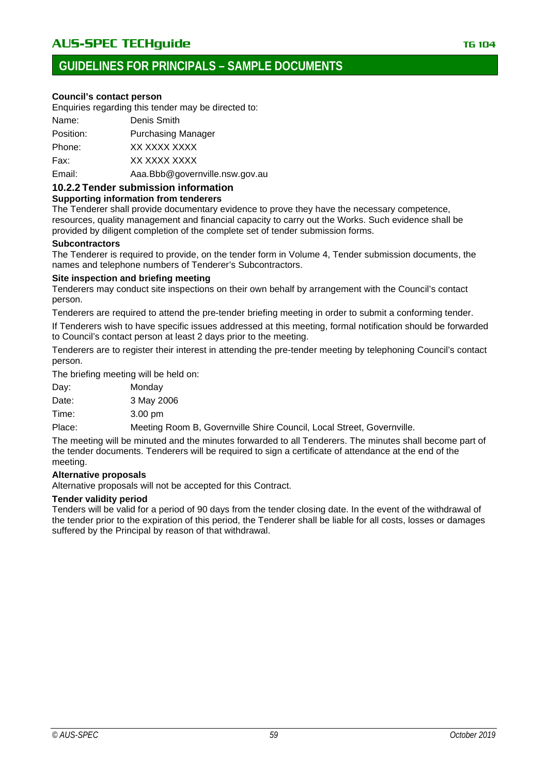### **Council's contact person**

Enquiries regarding this tender may be directed to:

| Name:     | Denis Smith                    |
|-----------|--------------------------------|
| Position: | <b>Purchasing Manager</b>      |
| Phone:    | XX XXXX XXXX                   |
| Fax:      | XX XXXX XXXX                   |
| Email:    | Aaa.Bbb@governville.nsw.gov.au |

**10.2.2 Tender submission information**

#### **Supporting information from tenderers**

The Tenderer shall provide documentary evidence to prove they have the necessary competence, resources, quality management and financial capacity to carry out the Works. Such evidence shall be provided by diligent completion of the complete set of tender submission forms.

#### **Subcontractors**

The Tenderer is required to provide, on the tender form in Volume 4, Tender submission documents, the names and telephone numbers of Tenderer's Subcontractors.

#### **Site inspection and briefing meeting**

Tenderers may conduct site inspections on their own behalf by arrangement with the Council's contact person.

Tenderers are required to attend the pre-tender briefing meeting in order to submit a conforming tender.

If Tenderers wish to have specific issues addressed at this meeting, formal notification should be forwarded to Council's contact person at least 2 days prior to the meeting.

Tenderers are to register their interest in attending the pre-tender meeting by telephoning Council's contact person.

The briefing meeting will be held on:

Day: Monday

Date: 3 May 2006

Time: 3.00 pm

Place: Meeting Room B, Governville Shire Council, Local Street, Governville.

The meeting will be minuted and the minutes forwarded to all Tenderers. The minutes shall become part of the tender documents. Tenderers will be required to sign a certificate of attendance at the end of the meeting.

### **Alternative proposals**

Alternative proposals will not be accepted for this Contract.

### **Tender validity period**

Tenders will be valid for a period of 90 days from the tender closing date. In the event of the withdrawal of the tender prior to the expiration of this period, the Tenderer shall be liable for all costs, losses or damages suffered by the Principal by reason of that withdrawal.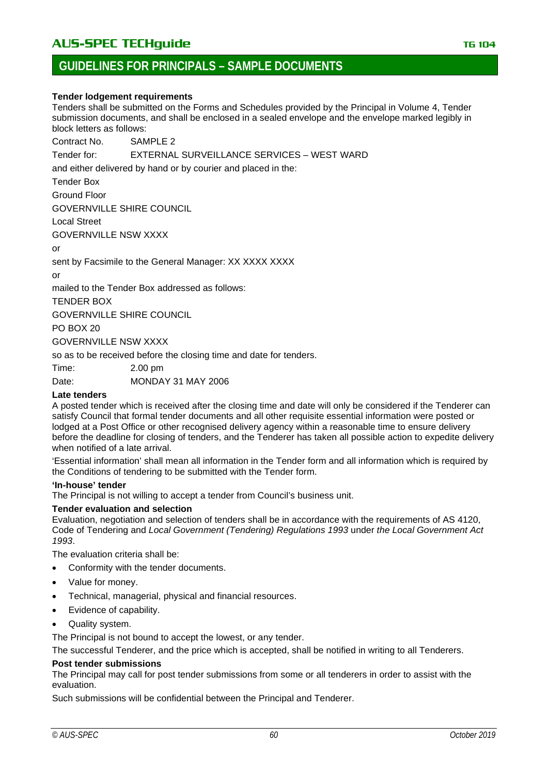# **GUIDELINES FOR PRINCIPALS – SAMPLE DOCUMENTS**

#### **Tender lodgement requirements**

Tenders shall be submitted on the Forms and Schedules provided by the Principal in Volume 4, Tender submission documents, and shall be enclosed in a sealed envelope and the envelope marked legibly in block letters as follows:

Contract No. SAMPLE 2

Tender for: EXTERNAL SURVEILLANCE SERVICES – WEST WARD

and either delivered by hand or by courier and placed in the:

Tender Box

Ground Floor

GOVERNVILLE SHIRE COUNCIL

Local Street

GOVERNVILLE NSW XXXX

or

sent by Facsimile to the General Manager: XX XXXX XXXX

or

mailed to the Tender Box addressed as follows:

TENDER BOX

GOVERNVILLE SHIRE COUNCIL

PO BOX 20

GOVERNVILLE NSW XXXX

so as to be received before the closing time and date for tenders.

Time: 2.00 pm

Date: MONDAY 31 MAY 2006

#### **Late tenders**

A posted tender which is received after the closing time and date will only be considered if the Tenderer can satisfy Council that formal tender documents and all other requisite essential information were posted or lodged at a Post Office or other recognised delivery agency within a reasonable time to ensure delivery before the deadline for closing of tenders, and the Tenderer has taken all possible action to expedite delivery when notified of a late arrival.

'Essential information' shall mean all information in the Tender form and all information which is required by the Conditions of tendering to be submitted with the Tender form.

#### **'In-house' tender**

The Principal is not willing to accept a tender from Council's business unit.

### **Tender evaluation and selection**

Evaluation, negotiation and selection of tenders shall be in accordance with the requirements of AS 4120, Code of Tendering and *Local Government (Tendering) Regulations 1993* under *the Local Government Act 1993*.

The evaluation criteria shall be:

- Conformity with the tender documents.
- Value for money.
- Technical, managerial, physical and financial resources.
- Evidence of capability.
- Quality system.

The Principal is not bound to accept the lowest, or any tender.

The successful Tenderer, and the price which is accepted, shall be notified in writing to all Tenderers.

### **Post tender submissions**

The Principal may call for post tender submissions from some or all tenderers in order to assist with the evaluation.

Such submissions will be confidential between the Principal and Tenderer.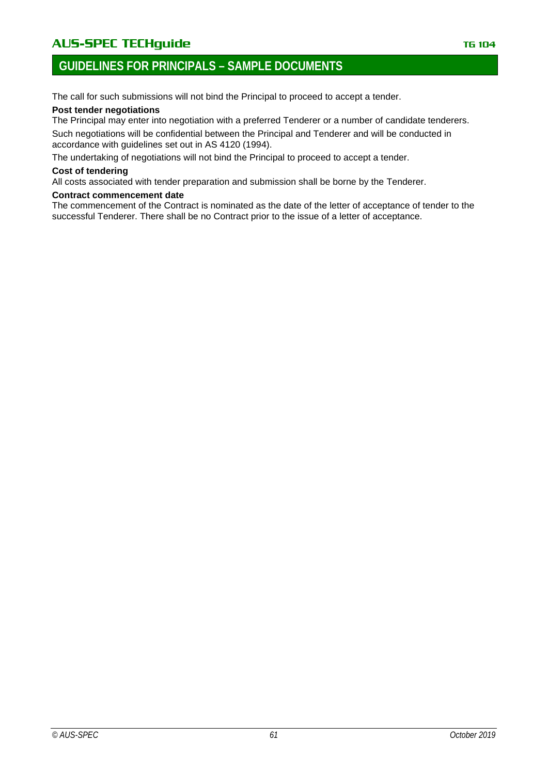# AUS-SPEC TECHguide **TECHGUIDE TECHGUIDE TELES IN THE 104**

# **GUIDELINES FOR PRINCIPALS – SAMPLE DOCUMENTS**

The call for such submissions will not bind the Principal to proceed to accept a tender.

### **Post tender negotiations**

The Principal may enter into negotiation with a preferred Tenderer or a number of candidate tenderers.

Such negotiations will be confidential between the Principal and Tenderer and will be conducted in accordance with guidelines set out in AS 4120 (1994).

The undertaking of negotiations will not bind the Principal to proceed to accept a tender.

#### **Cost of tendering**

All costs associated with tender preparation and submission shall be borne by the Tenderer.

#### **Contract commencement date**

The commencement of the Contract is nominated as the date of the letter of acceptance of tender to the successful Tenderer. There shall be no Contract prior to the issue of a letter of acceptance.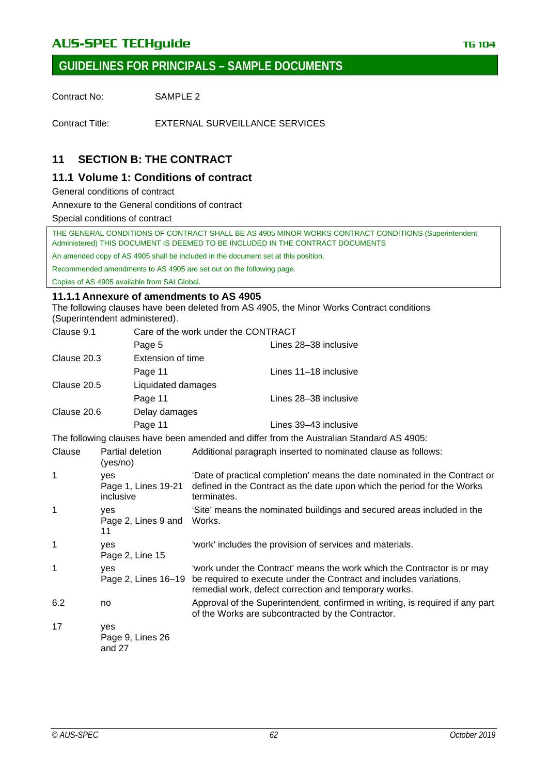# AUS-SPEC TECHguide **TECHGUIDE TECHGUIDE TELES IN THE 104**

Contract No: SAMPLE 2

Contract Title: EXTERNAL SURVEILLANCE SERVICES

# **11 SECTION B: THE CONTRACT**

# **11.1 Volume 1: Conditions of contract**

General conditions of contract

Annexure to the General conditions of contract

Special conditions of contract

THE GENERAL CONDITIONS OF CONTRACT SHALL BE AS 4905 MINOR WORKS CONTRACT CONDITIONS (Superintendent Administered) THIS DOCUMENT IS DEEMED TO BE INCLUDED IN THE CONTRACT DOCUMENTS

An amended copy of AS 4905 shall be included in the document set at this position.

Recommended amendments to AS 4905 are set out on the following page.

Copies of AS 4905 available from SAI Global.

### **11.1.1 Annexure of amendments to AS 4905**

The following clauses have been deleted from AS 4905, the Minor Works Contract conditions (Superintendent administered).

| Clause 9.1<br>Care of the work under the CONTRACT |                              |                                                                                          |  |  |
|---------------------------------------------------|------------------------------|------------------------------------------------------------------------------------------|--|--|
|                                                   | Page 5                       | Lines 28–38 inclusive                                                                    |  |  |
| Clause 20.3                                       |                              | Extension of time                                                                        |  |  |
|                                                   | Page 11                      | Lines 11–18 inclusive                                                                    |  |  |
| Clause 20.5<br>Liquidated damages                 |                              |                                                                                          |  |  |
|                                                   | Page 11                      | Lines 28–38 inclusive                                                                    |  |  |
| Clause 20.6                                       | Delay damages                |                                                                                          |  |  |
|                                                   | Page 11                      | Lines 39–43 inclusive                                                                    |  |  |
|                                                   |                              | The following clauses have been amended and differ from the Australian Standard AS 4905: |  |  |
| Clause                                            | Partial deletion<br>(ves/no) | Additional paragraph inserted to nominated clause as follows:                            |  |  |

| 1   | yes<br>Page 1, Lines 19-21<br>inclusive | 'Date of practical completion' means the date nominated in the Contract or<br>defined in the Contract as the date upon which the period for the Works<br>terminates.                                                       |
|-----|-----------------------------------------|----------------------------------------------------------------------------------------------------------------------------------------------------------------------------------------------------------------------------|
| 1   | yes<br>Page 2, Lines 9 and<br>11        | 'Site' means the nominated buildings and secured areas included in the<br>Works.                                                                                                                                           |
| 1   | ves<br>Page 2, Line 15                  | 'work' includes the provision of services and materials.                                                                                                                                                                   |
| 1   | yes                                     | 'work under the Contract' means the work which the Contractor is or may<br>Page 2, Lines 16–19 be required to execute under the Contract and includes variations,<br>remedial work, defect correction and temporary works. |
| 6.2 | no                                      | Approval of the Superintendent, confirmed in writing, is required if any part<br>of the Works are subcontracted by the Contractor.                                                                                         |
| 17  | yes                                     |                                                                                                                                                                                                                            |

Page 9, Lines 26 and 27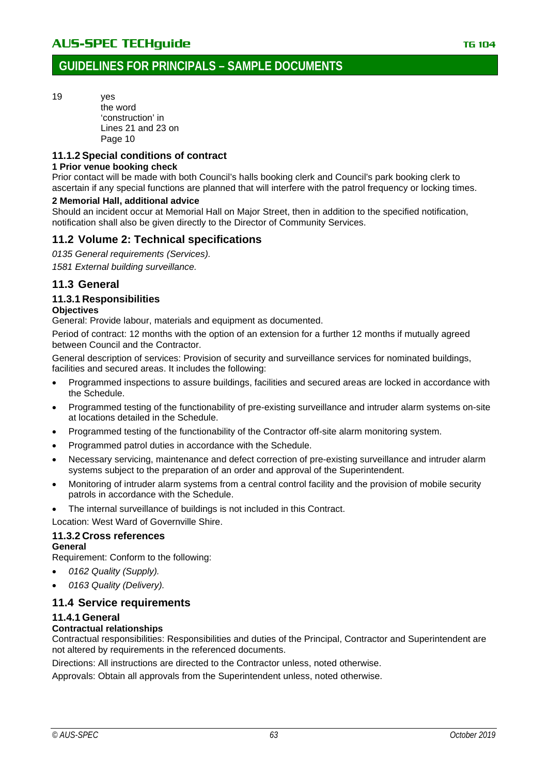19 yes

the word 'construction' in Lines 21 and 23 on Page 10

## **11.1.2 Special conditions of contract**

### **1 Prior venue booking check**

Prior contact will be made with both Council's halls booking clerk and Council's park booking clerk to ascertain if any special functions are planned that will interfere with the patrol frequency or locking times.

### **2 Memorial Hall, additional advice**

Should an incident occur at Memorial Hall on Major Street, then in addition to the specified notification, notification shall also be given directly to the Director of Community Services.

# **11.2 Volume 2: Technical specifications**

*0135 General requirements (Services).*

*1581 External building surveillance.*

# **11.3 General**

### **11.3.1 Responsibilities**

#### **Objectives**

General: Provide labour, materials and equipment as documented.

Period of contract: 12 months with the option of an extension for a further 12 months if mutually agreed between Council and the Contractor.

General description of services: Provision of security and surveillance services for nominated buildings, facilities and secured areas. It includes the following:

- Programmed inspections to assure buildings, facilities and secured areas are locked in accordance with the Schedule.
- Programmed testing of the functionability of pre-existing surveillance and intruder alarm systems on-site at locations detailed in the Schedule.
- Programmed testing of the functionability of the Contractor off-site alarm monitoring system.
- Programmed patrol duties in accordance with the Schedule.
- Necessary servicing, maintenance and defect correction of pre-existing surveillance and intruder alarm systems subject to the preparation of an order and approval of the Superintendent.
- Monitoring of intruder alarm systems from a central control facility and the provision of mobile security patrols in accordance with the Schedule.
- The internal surveillance of buildings is not included in this Contract.

Location: West Ward of Governville Shire.

### **11.3.2 Cross references**

#### **General**

Requirement: Conform to the following:

- *0162 Quality (Supply).*
- *0163 Quality (Delivery).*

# **11.4 Service requirements**

### **11.4.1 General**

### **Contractual relationships**

Contractual responsibilities: Responsibilities and duties of the Principal, Contractor and Superintendent are not altered by requirements in the referenced documents.

Directions: All instructions are directed to the Contractor unless, noted otherwise.

Approvals: Obtain all approvals from the Superintendent unless, noted otherwise.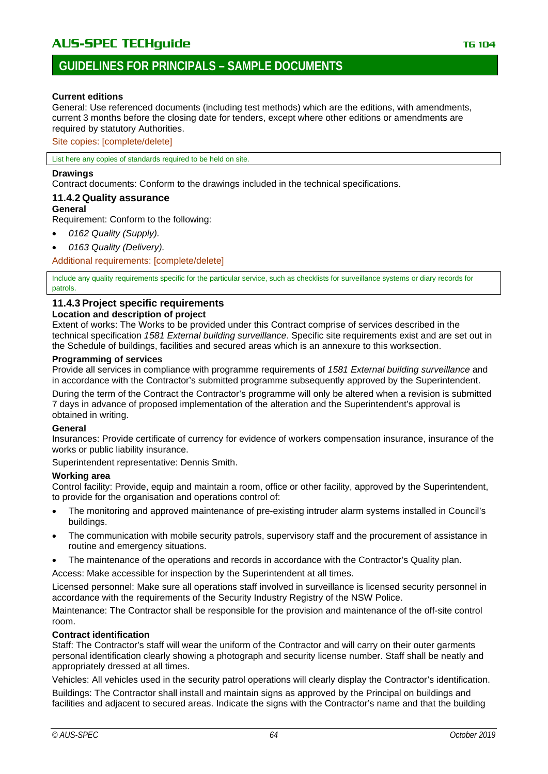# **GUIDELINES FOR PRINCIPALS – SAMPLE DOCUMENTS**

#### **Current editions**

General: Use referenced documents (including test methods) which are the editions, with amendments, current 3 months before the closing date for tenders, except where other editions or amendments are required by statutory Authorities.

Site copies: [complete/delete]

List here any copies of standards required to be held on site.

#### **Drawings**

Contract documents: Conform to the drawings included in the technical specifications.

#### **11.4.2 Quality assurance**

#### **General**

Requirement: Conform to the following:

- *0162 Quality (Supply).*
- *0163 Quality (Delivery).*

Additional requirements: [complete/delete]

Include any quality requirements specific for the particular service, such as checklists for surveillance systems or diary records for patrols.

### **11.4.3 Project specific requirements**

#### **Location and description of project**

Extent of works: The Works to be provided under this Contract comprise of services described in the technical specification *1581 External building surveillance*. Specific site requirements exist and are set out in the Schedule of buildings, facilities and secured areas which is an annexure to this worksection.

#### **Programming of services**

Provide all services in compliance with programme requirements of *1581 External building surveillance* and in accordance with the Contractor's submitted programme subsequently approved by the Superintendent.

During the term of the Contract the Contractor's programme will only be altered when a revision is submitted 7 days in advance of proposed implementation of the alteration and the Superintendent's approval is obtained in writing.

#### **General**

Insurances: Provide certificate of currency for evidence of workers compensation insurance, insurance of the works or public liability insurance.

Superintendent representative: Dennis Smith.

#### **Working area**

Control facility: Provide, equip and maintain a room, office or other facility, approved by the Superintendent, to provide for the organisation and operations control of:

- The monitoring and approved maintenance of pre-existing intruder alarm systems installed in Council's buildings.
- The communication with mobile security patrols, supervisory staff and the procurement of assistance in routine and emergency situations.
- The maintenance of the operations and records in accordance with the Contractor's Quality plan.

Access: Make accessible for inspection by the Superintendent at all times.

Licensed personnel: Make sure all operations staff involved in surveillance is licensed security personnel in accordance with the requirements of the Security Industry Registry of the NSW Police.

Maintenance: The Contractor shall be responsible for the provision and maintenance of the off-site control room.

### **Contract identification**

Staff: The Contractor's staff will wear the uniform of the Contractor and will carry on their outer garments personal identification clearly showing a photograph and security license number. Staff shall be neatly and appropriately dressed at all times.

Vehicles: All vehicles used in the security patrol operations will clearly display the Contractor's identification. Buildings: The Contractor shall install and maintain signs as approved by the Principal on buildings and facilities and adjacent to secured areas. Indicate the signs with the Contractor's name and that the building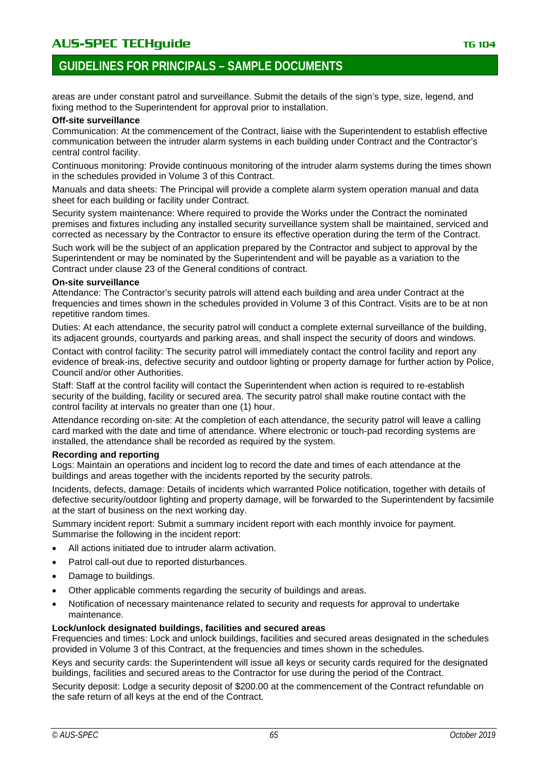# AU**S-SPEC TECHguide** The Contract of the Contract of the TG 104

# **GUIDELINES FOR PRINCIPALS – SAMPLE DOCUMENTS**

areas are under constant patrol and surveillance. Submit the details of the sign's type, size, legend, and fixing method to the Superintendent for approval prior to installation.

#### **Off-site surveillance**

Communication: At the commencement of the Contract, liaise with the Superintendent to establish effective communication between the intruder alarm systems in each building under Contract and the Contractor's central control facility.

Continuous monitoring: Provide continuous monitoring of the intruder alarm systems during the times shown in the schedules provided in Volume 3 of this Contract.

Manuals and data sheets: The Principal will provide a complete alarm system operation manual and data sheet for each building or facility under Contract.

Security system maintenance: Where required to provide the Works under the Contract the nominated premises and fixtures including any installed security surveillance system shall be maintained, serviced and corrected as necessary by the Contractor to ensure its effective operation during the term of the Contract.

Such work will be the subject of an application prepared by the Contractor and subject to approval by the Superintendent or may be nominated by the Superintendent and will be payable as a variation to the Contract under clause 23 of the General conditions of contract.

#### **On-site surveillance**

Attendance: The Contractor's security patrols will attend each building and area under Contract at the frequencies and times shown in the schedules provided in Volume 3 of this Contract. Visits are to be at non repetitive random times.

Duties: At each attendance, the security patrol will conduct a complete external surveillance of the building, its adjacent grounds, courtyards and parking areas, and shall inspect the security of doors and windows.

Contact with control facility: The security patrol will immediately contact the control facility and report any evidence of break-ins, defective security and outdoor lighting or property damage for further action by Police, Council and/or other Authorities.

Staff: Staff at the control facility will contact the Superintendent when action is required to re-establish security of the building, facility or secured area. The security patrol shall make routine contact with the control facility at intervals no greater than one (1) hour.

Attendance recording on-site: At the completion of each attendance, the security patrol will leave a calling card marked with the date and time of attendance. Where electronic or touch-pad recording systems are installed, the attendance shall be recorded as required by the system.

#### **Recording and reporting**

Logs: Maintain an operations and incident log to record the date and times of each attendance at the buildings and areas together with the incidents reported by the security patrols.

Incidents, defects, damage: Details of incidents which warranted Police notification, together with details of defective security/outdoor lighting and property damage, will be forwarded to the Superintendent by facsimile at the start of business on the next working day.

Summary incident report: Submit a summary incident report with each monthly invoice for payment. Summarise the following in the incident report:

- All actions initiated due to intruder alarm activation.
- Patrol call-out due to reported disturbances.
- Damage to buildings.
- Other applicable comments regarding the security of buildings and areas.
- Notification of necessary maintenance related to security and requests for approval to undertake maintenance.

#### **Lock/unlock designated buildings, facilities and secured areas**

Frequencies and times: Lock and unlock buildings, facilities and secured areas designated in the schedules provided in Volume 3 of this Contract, at the frequencies and times shown in the schedules.

Keys and security cards: the Superintendent will issue all keys or security cards required for the designated buildings, facilities and secured areas to the Contractor for use during the period of the Contract.

Security deposit: Lodge a security deposit of \$200.00 at the commencement of the Contract refundable on the safe return of all keys at the end of the Contract.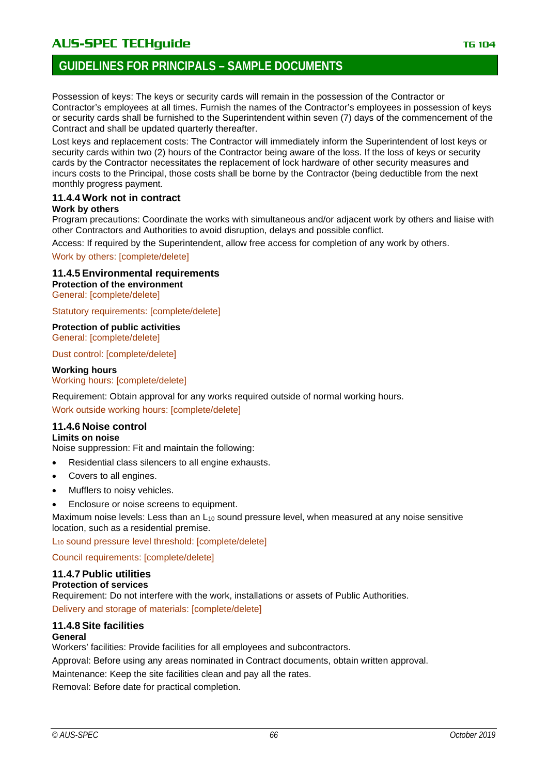# **GUIDELINES FOR PRINCIPALS – SAMPLE DOCUMENTS**

Possession of keys: The keys or security cards will remain in the possession of the Contractor or Contractor's employees at all times. Furnish the names of the Contractor's employees in possession of keys or security cards shall be furnished to the Superintendent within seven (7) days of the commencement of the Contract and shall be updated quarterly thereafter.

Lost keys and replacement costs: The Contractor will immediately inform the Superintendent of lost keys or security cards within two (2) hours of the Contractor being aware of the loss. If the loss of keys or security cards by the Contractor necessitates the replacement of lock hardware of other security measures and incurs costs to the Principal, those costs shall be borne by the Contractor (being deductible from the next monthly progress payment.

### **11.4.4 Work not in contract**

### **Work by others**

Program precautions: Coordinate the works with simultaneous and/or adjacent work by others and liaise with other Contractors and Authorities to avoid disruption, delays and possible conflict.

Access: If required by the Superintendent, allow free access for completion of any work by others.

Work by others: [complete/delete]

**11.4.5 Environmental requirements Protection of the environment**

General: [complete/delete]

Statutory requirements: [complete/delete]

**Protection of public activities** General: [complete/delete]

Dust control: [complete/delete]

**Working hours** Working hours: [complete/delete]

Requirement: Obtain approval for any works required outside of normal working hours. Work outside working hours: [complete/delete]

# **11.4.6 Noise control**

### **Limits on noise**

Noise suppression: Fit and maintain the following:

- Residential class silencers to all engine exhausts.
- Covers to all engines.
- Mufflers to noisy vehicles.
- Enclosure or noise screens to equipment.

Maximum noise levels: Less than an  $L_{10}$  sound pressure level, when measured at any noise sensitive location, such as a residential premise.

L10 sound pressure level threshold: [complete/delete]

Council requirements: [complete/delete]

### **11.4.7 Public utilities**

#### **Protection of services**

Requirement: Do not interfere with the work, installations or assets of Public Authorities. Delivery and storage of materials: [complete/delete]

#### **11.4.8 Site facilities General**

Workers' facilities: Provide facilities for all employees and subcontractors.

Approval: Before using any areas nominated in Contract documents, obtain written approval.

Maintenance: Keep the site facilities clean and pay all the rates.

Removal: Before date for practical completion.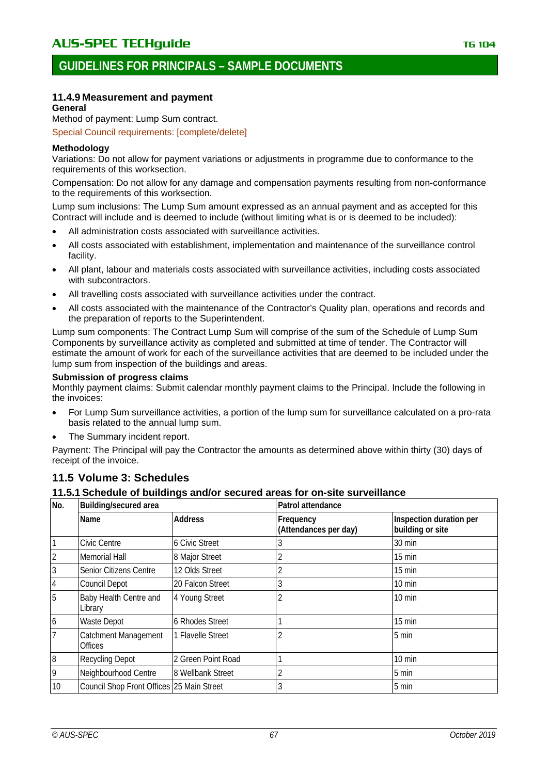# **11.4.9 Measurement and payment**

### **General**

Method of payment: Lump Sum contract.

Special Council requirements: [complete/delete]

### **Methodology**

Variations: Do not allow for payment variations or adjustments in programme due to conformance to the requirements of this worksection.

Compensation: Do not allow for any damage and compensation payments resulting from non-conformance to the requirements of this worksection.

Lump sum inclusions: The Lump Sum amount expressed as an annual payment and as accepted for this Contract will include and is deemed to include (without limiting what is or is deemed to be included):

- All administration costs associated with surveillance activities.
- All costs associated with establishment, implementation and maintenance of the surveillance control facility.
- All plant, labour and materials costs associated with surveillance activities, including costs associated with subcontractors.
- All travelling costs associated with surveillance activities under the contract.
- All costs associated with the maintenance of the Contractor's Quality plan, operations and records and the preparation of reports to the Superintendent.

Lump sum components: The Contract Lump Sum will comprise of the sum of the Schedule of Lump Sum Components by surveillance activity as completed and submitted at time of tender. The Contractor will estimate the amount of work for each of the surveillance activities that are deemed to be included under the lump sum from inspection of the buildings and areas.

### **Submission of progress claims**

Monthly payment claims: Submit calendar monthly payment claims to the Principal. Include the following in the invoices:

- For Lump Sum surveillance activities, a portion of the lump sum for surveillance calculated on a pro-rata basis related to the annual lump sum.
- The Summary incident report.

Payment: The Principal will pay the Contractor the amounts as determined above within thirty (30) days of receipt of the invoice.

# **11.5 Volume 3: Schedules**

### **11.5.1 Schedule of buildings and/or secured areas for on-site surveillance**

| No.            | Building/secured area                     |                       | Patrol attendance                  |                                             |  |
|----------------|-------------------------------------------|-----------------------|------------------------------------|---------------------------------------------|--|
|                | Name                                      | <b>Address</b>        | Frequency<br>(Attendances per day) | Inspection duration per<br>building or site |  |
| $\overline{1}$ | Civic Centre                              | <b>6 Civic Street</b> | 3                                  | 30 min                                      |  |
| $\overline{2}$ | <b>Memorial Hall</b>                      | 8 Major Street        |                                    | $15 \text{ min}$                            |  |
| $\overline{3}$ | Senior Citizens Centre                    | 12 Olds Street        |                                    | 15 min                                      |  |
| $\overline{4}$ | Council Depot                             | 20 Falcon Street      | 3                                  | 10 min                                      |  |
| 5              | Baby Health Centre and<br>Library         | 4 Young Street        |                                    | $10 \text{ min}$                            |  |
| $\overline{6}$ | <b>Waste Depot</b>                        | 6 Rhodes Street       |                                    | 15 min                                      |  |
| $\overline{7}$ | Catchment Management<br><b>Offices</b>    | 1 Flavelle Street     |                                    | 5 min                                       |  |
| $\overline{8}$ | <b>Recycling Depot</b>                    | 2 Green Point Road    |                                    | $10 \text{ min}$                            |  |
| 9              | Neighbourhood Centre                      | 8 Wellbank Street     |                                    | 5 min                                       |  |
| 10             | Council Shop Front Offices 25 Main Street |                       |                                    | 5 min                                       |  |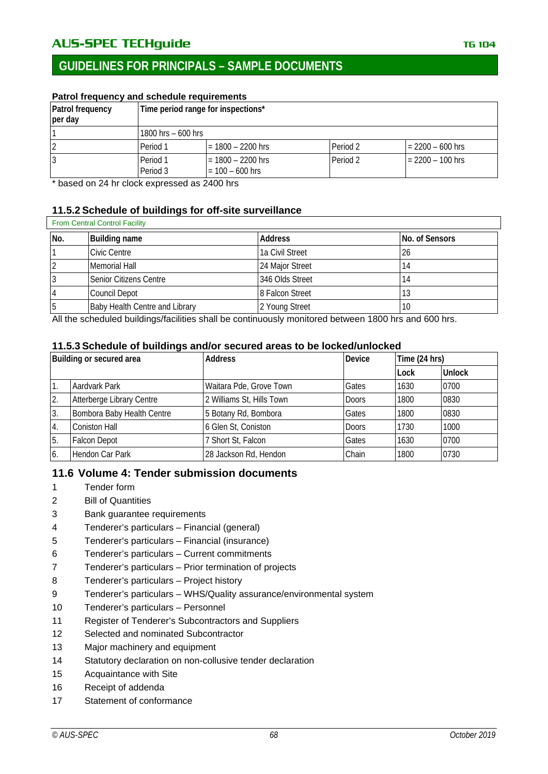# AU**S-SPEC TECHguide** The Contract of the Contract of the TG 104

# **GUIDELINES FOR PRINCIPALS – SAMPLE DOCUMENTS**

# **Patrol frequency and schedule requirements**

| Patrol frequency<br>per day | Time period range for inspections* |                                          |          |                    |
|-----------------------------|------------------------------------|------------------------------------------|----------|--------------------|
|                             | 1800 hrs $-600$ hrs                |                                          |          |                    |
| $\overline{2}$              | Period 1                           | $= 1800 - 2200$ hrs                      | Period 2 | $= 2200 - 600$ hrs |
| 13                          | Period 1<br>Period 3               | $= 1800 - 2200$ hrs<br>$= 100 - 600$ hrs | Period 2 | $= 2200 - 100$ hrs |

\* based on 24 hr clock expressed as 2400 hrs

### **11.5.2 Schedule of buildings for off-site surveillance**

| <b>From Central Control Facility</b> |  |
|--------------------------------------|--|
|--------------------------------------|--|

| No. | <b>Building name</b>           | Address         | No. of Sensors |
|-----|--------------------------------|-----------------|----------------|
|     | Civic Centre                   | 1a Civil Street | 26             |
|     | Memorial Hall                  | 24 Major Street |                |
| 3   | Senior Citizens Centre         | 346 Olds Street |                |
| 4   | Council Depot                  | 8 Falcon Street | C، I           |
| 5   | Baby Health Centre and Library | 2 Young Street  | 10             |

All the scheduled buildings/facilities shall be continuously monitored between 1800 hrs and 600 hrs.

### **11.5.3 Schedule of buildings and/or secured areas to be locked/unlocked**

| Building or secured area |                            | <b>Address</b>            | <b>Device</b> | Time (24 hrs) |               |
|--------------------------|----------------------------|---------------------------|---------------|---------------|---------------|
|                          |                            |                           |               | Lock          | <b>Unlock</b> |
|                          | Aardvark Park              | Waitara Pde, Grove Town   | Gates         | 1630          | 0700          |
| 2.                       | Atterberge Library Centre  | 2 Williams St, Hills Town | <b>Doors</b>  | 1800          | 0830          |
| 3.                       | Bombora Baby Health Centre | 5 Botany Rd, Bombora      | Gates         | 1800          | 0830          |
| 4.                       | <b>Coniston Hall</b>       | 6 Glen St, Coniston       | <b>Doors</b>  | 1730          | 1000          |
| 5.                       | <b>Falcon Depot</b>        | 7 Short St, Falcon        | Gates         | 1630          | 0700          |
| 6.                       | Hendon Car Park            | 28 Jackson Rd, Hendon     | Chain         | 1800          | 0730          |

# **11.6 Volume 4: Tender submission documents**

- 1 Tender form
- 2 Bill of Quantities
- 3 Bank guarantee requirements
- 4 Tenderer's particulars Financial (general)
- 5 Tenderer's particulars Financial (insurance)
- 6 Tenderer's particulars Current commitments
- 7 Tenderer's particulars Prior termination of projects
- 8 Tenderer's particulars Project history
- 9 Tenderer's particulars WHS/Quality assurance/environmental system
- 10 Tenderer's particulars Personnel
- 11 Register of Tenderer's Subcontractors and Suppliers
- 12 Selected and nominated Subcontractor
- 13 Major machinery and equipment
- 14 Statutory declaration on non-collusive tender declaration
- 15 Acquaintance with Site
- 16 Receipt of addenda
- 17 Statement of conformance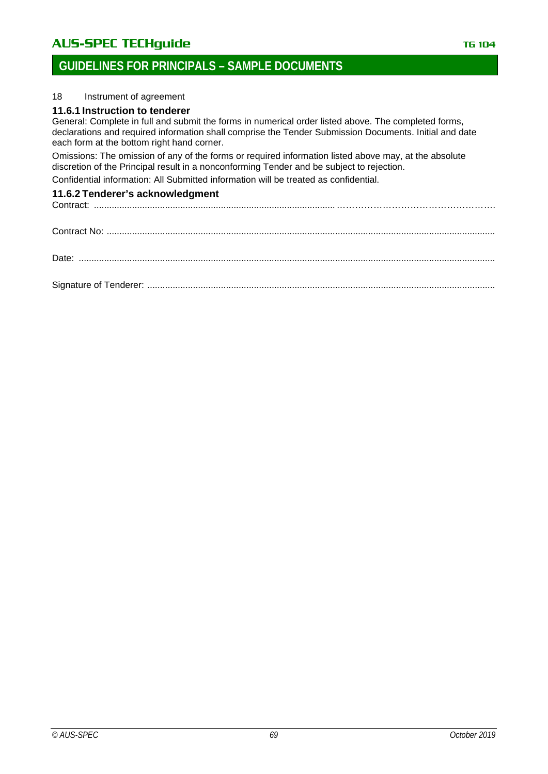# AUS-SPEC TECHguide **TECHGUIDE TECHGUIDE TELES IN THE 104**

# **GUIDELINES FOR PRINCIPALS – SAMPLE DOCUMENTS**

### 18 Instrument of agreement

### **11.6.1 Instruction to tenderer**

General: Complete in full and submit the forms in numerical order listed above. The completed forms, declarations and required information shall comprise the Tender Submission Documents. Initial and date each form at the bottom right hand corner.

Omissions: The omission of any of the forms or required information listed above may, at the absolute discretion of the Principal result in a nonconforming Tender and be subject to rejection.

Confidential information: All Submitted information will be treated as confidential.

# **11.6.2 Tenderer's acknowledgment**

Contract: ...............................................................................................…………………………………………….

| Date: |  |  |  |  |  |
|-------|--|--|--|--|--|

Signature of Tenderer: .........................................................................................................................................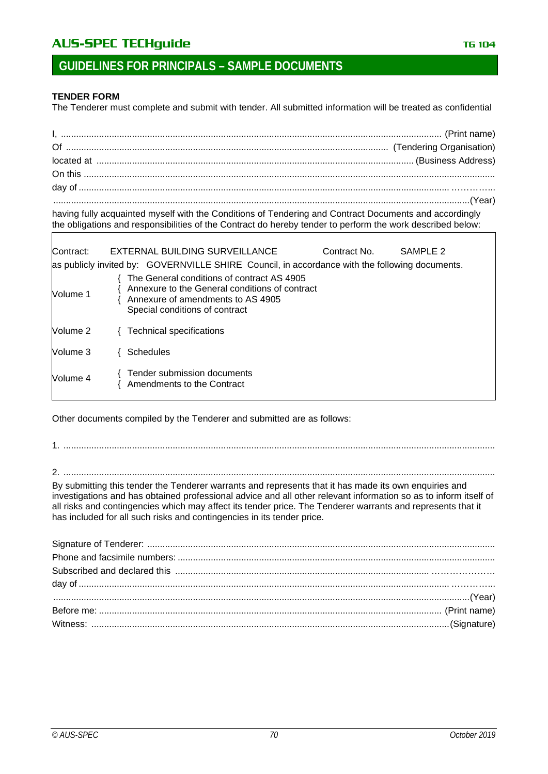# AUS-SPEC TECHguide **TECHGUIDE TECHGUIDE TELES IN THE 104**

### **TENDER FORM**

Г

The Tenderer must complete and submit with tender. All submitted information will be treated as confidential

| $(Year)$ |  |
|----------|--|

having fully acquainted myself with the Conditions of Tendering and Contract Documents and accordingly the obligations and responsibilities of the Contract do hereby tender to perform the work described below:

| Contract: | EXTERNAL BUILDING SURVEILLANCE<br>Contract No.<br>SAMPLE 2<br>as publicly invited by: GOVERNVILLE SHIRE Council, in accordance with the following documents.        |  |
|-----------|---------------------------------------------------------------------------------------------------------------------------------------------------------------------|--|
| Volume 1  | The General conditions of contract AS 4905<br>Annexure to the General conditions of contract<br>Annexure of amendments to AS 4905<br>Special conditions of contract |  |
| Volume 2  | <b>Technical specifications</b>                                                                                                                                     |  |
| Volume 3  | <b>Schedules</b>                                                                                                                                                    |  |
| Volume 4  | Tender submission documents<br>Amendments to the Contract                                                                                                           |  |

Other documents compiled by the Tenderer and submitted are as follows:

1. ..........................................................................................................................................................................

2. ..........................................................................................................................................................................

By submitting this tender the Tenderer warrants and represents that it has made its own enquiries and investigations and has obtained professional advice and all other relevant information so as to inform itself of all risks and contingencies which may affect its tender price. The Tenderer warrants and represents that it has included for all such risks and contingencies in its tender price.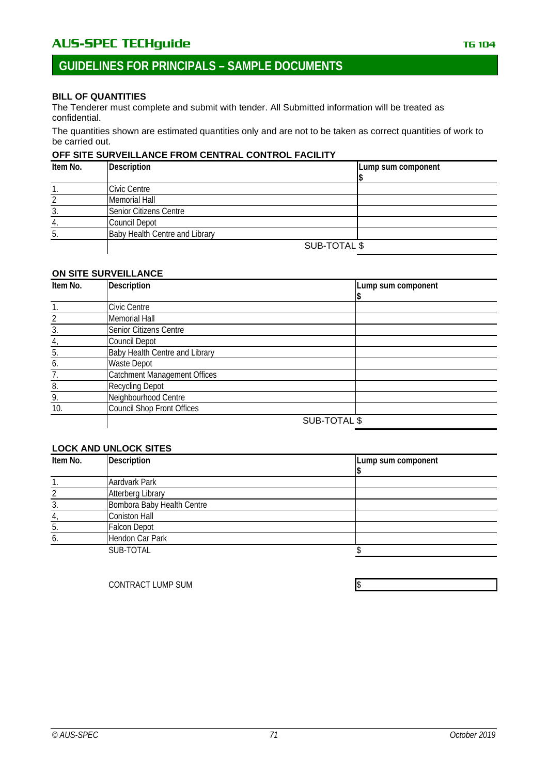# **GUIDELINES FOR PRINCIPALS – SAMPLE DOCUMENTS**

### **BILL OF QUANTITIES**

The Tenderer must complete and submit with tender. All Submitted information will be treated as confidential.

The quantities shown are estimated quantities only and are not to be taken as correct quantities of work to be carried out.

#### **OFF SITE SURVEILLANCE FROM CENTRAL CONTROL FACILITY**

| Item No. | <b>Description</b>                    |  | Lump sum component |
|----------|---------------------------------------|--|--------------------|
|          |                                       |  |                    |
|          | Civic Centre                          |  |                    |
|          | <b>Memorial Hall</b>                  |  |                    |
|          | Senior Citizens Centre                |  |                    |
| 4.       | <b>Council Depot</b>                  |  |                    |
| b        | <b>Baby Health Centre and Library</b> |  |                    |
|          | SUB-TOTAL \$                          |  |                    |

#### **ON SITE SURVEILLANCE**

| Item No. | <b>Description</b>                  |              | Lump sum component |
|----------|-------------------------------------|--------------|--------------------|
|          |                                     |              |                    |
|          | Civic Centre                        |              |                    |
|          | <b>Memorial Hall</b>                |              |                    |
| 3.       | Senior Citizens Centre              |              |                    |
| 4,       | Council Depot                       |              |                    |
| 5.       | Baby Health Centre and Library      |              |                    |
| 6.       | <b>Waste Depot</b>                  |              |                    |
| 7.       | <b>Catchment Management Offices</b> |              |                    |
| 8.       | <b>Recycling Depot</b>              |              |                    |
| 9.       | Neighbourhood Centre                |              |                    |
| 10.      | <b>Council Shop Front Offices</b>   |              |                    |
|          |                                     | SUB-TOTAL \$ |                    |

# **LOCK AND UNLOCK SITES**

| Item No. | Description                | Lump sum component |
|----------|----------------------------|--------------------|
|          |                            |                    |
|          | Aardvark Park              |                    |
|          | <b>Atterberg Library</b>   |                    |
|          | Bombora Baby Health Centre |                    |
|          | Coniston Hall              |                    |
|          | <b>Falcon Depot</b>        |                    |
|          | Hendon Car Park            |                    |
|          | SUB-TOTAL                  |                    |

CONTRACT LUMP SUM SERVICES AND THE SERVICES OF STREET AND THE SERVICES OF STREET AND THE SERVICES OF STREET AND THE SERVICES OF STREET AND THE SERVICES OF STREET AND THE SERVICES OF STREET AND THE STREET AND THE STREET AND